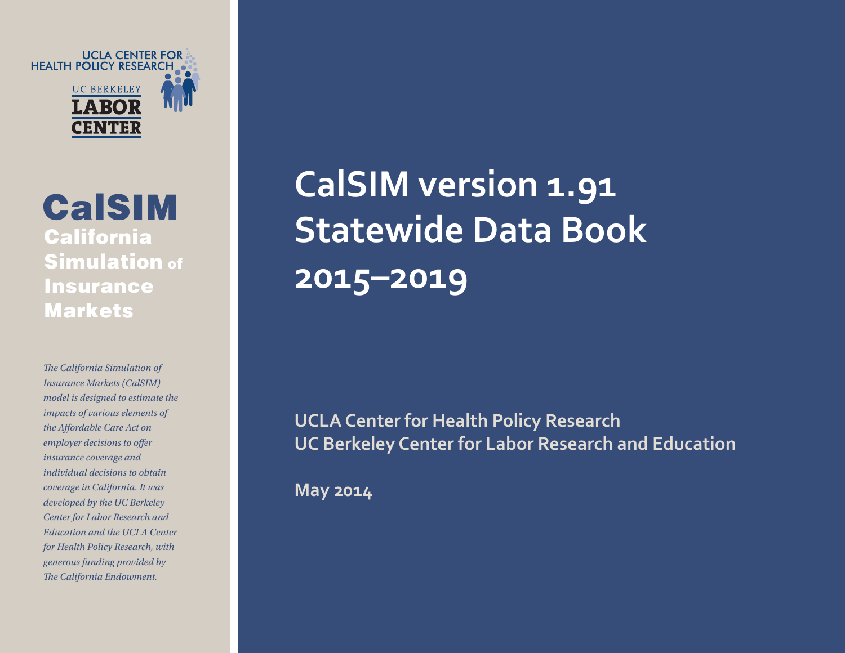UCLA CENTER FOR<br>• HEALTH POLICY RESEARCH **UC BERKELEY** 

CalSIM California Simulation of **Insurance** Markets

*e California Simulation of Insurance Markets (CalSIM) model is designed to estimate the impacts of various elements of the Affordable Care Act on employer decisions to offer insurance coverage and individual decisions to obtain coverage in California. It was developed by the UC Berkeley Center for Labor Research and Education and the UCLA Center for Health Policy Research, with generous fund ing provided by e California Endowment.*

**CalSIM version 1.91 Statewide Data Book 2015–2019**

**UCLA Center for Health Policy Research UC Berkeley Center for Labor Research and Education**

**May 2014**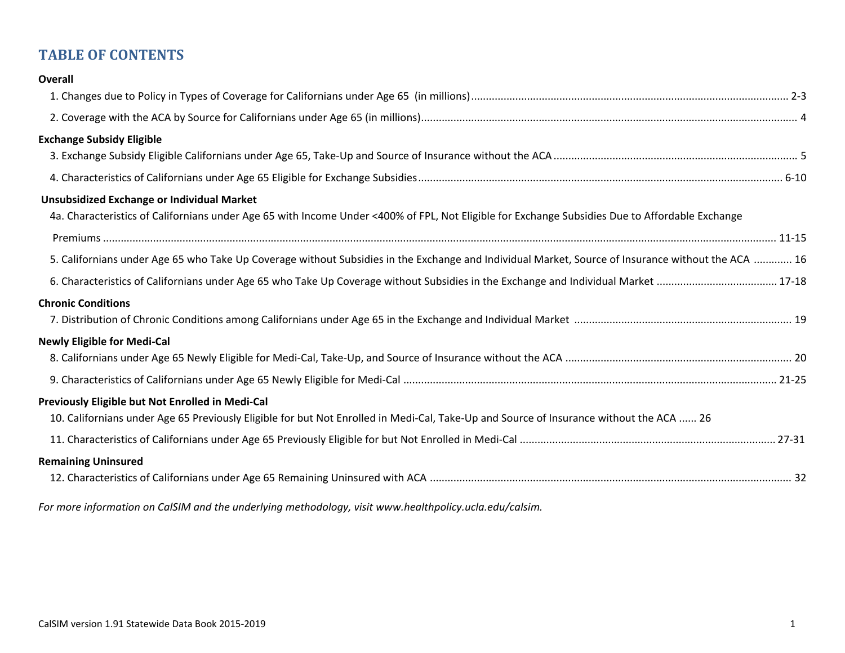# **TABLE OF CONTENTS**

| <b>Overall</b>                                                                                                                                     |
|----------------------------------------------------------------------------------------------------------------------------------------------------|
|                                                                                                                                                    |
|                                                                                                                                                    |
| <b>Exchange Subsidy Eligible</b>                                                                                                                   |
|                                                                                                                                                    |
|                                                                                                                                                    |
| <b>Unsubsidized Exchange or Individual Market</b>                                                                                                  |
| 4a. Characteristics of Californians under Age 65 with Income Under <400% of FPL, Not Eligible for Exchange Subsidies Due to Affordable Exchange    |
|                                                                                                                                                    |
| 5. Californians under Age 65 who Take Up Coverage without Subsidies in the Exchange and Individual Market, Source of Insurance without the ACA  16 |
|                                                                                                                                                    |
| <b>Chronic Conditions</b>                                                                                                                          |
|                                                                                                                                                    |
| <b>Newly Eligible for Medi-Cal</b>                                                                                                                 |
|                                                                                                                                                    |
|                                                                                                                                                    |
| Previously Eligible but Not Enrolled in Medi-Cal                                                                                                   |
| 10. Californians under Age 65 Previously Eligible for but Not Enrolled in Medi-Cal, Take-Up and Source of Insurance without the ACA  26            |
|                                                                                                                                                    |
| <b>Remaining Uninsured</b>                                                                                                                         |
|                                                                                                                                                    |

*For more information on CalSIM and the underlying methodology, visit www.healthpolicy.ucla.edu/calsim.*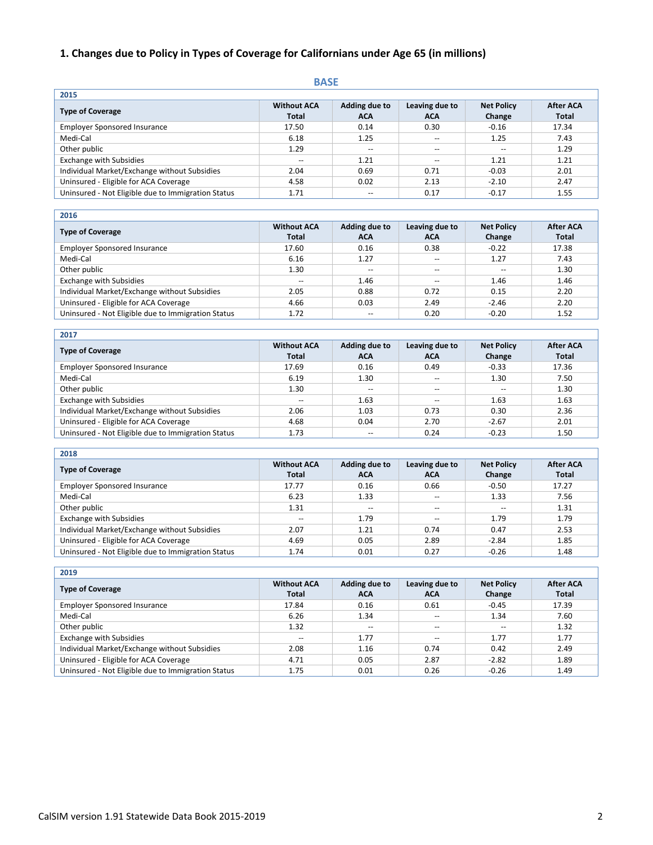## **1. Changes due to Policy in Types of Coverage for Californians under Age 65 (in millions)**

#### **BASE**

| 2015                                               |                                    |                      |                              |                             |                                  |
|----------------------------------------------------|------------------------------------|----------------------|------------------------------|-----------------------------|----------------------------------|
| <b>Type of Coverage</b>                            | <b>Without ACA</b><br><b>Total</b> | Adding due to<br>ACA | Leaving due to<br><b>ACA</b> | <b>Net Policy</b><br>Change | <b>After ACA</b><br><b>Total</b> |
| <b>Employer Sponsored Insurance</b>                | 17.50                              | 0.14                 | 0.30                         | $-0.16$                     | 17.34                            |
| Medi-Cal                                           | 6.18                               | 1.25                 | $\overline{\phantom{a}}$     | 1.25                        | 7.43                             |
| Other public                                       | 1.29                               | $- -$                | $- -$                        | $- -$                       | 1.29                             |
| <b>Exchange with Subsidies</b>                     | --                                 | 1.21                 | $- -$                        | 1.21                        | 1.21                             |
| Individual Market/Exchange without Subsidies       | 2.04                               | 0.69                 | 0.71                         | $-0.03$                     | 2.01                             |
| Uninsured - Eligible for ACA Coverage              | 4.58                               | 0.02                 | 2.13                         | $-2.10$                     | 2.47                             |
| Uninsured - Not Eligible due to Immigration Status | 1.71                               | $- -$                | 0.17                         | $-0.17$                     | 1.55                             |

| <b>Type of Coverage</b>                            | <b>Without ACA</b><br><b>Total</b> | Adding due to<br><b>ACA</b> | Leaving due to<br><b>ACA</b> | <b>Net Policy</b><br>Change | <b>After ACA</b><br><b>Total</b> |
|----------------------------------------------------|------------------------------------|-----------------------------|------------------------------|-----------------------------|----------------------------------|
| <b>Employer Sponsored Insurance</b>                | 17.60                              | 0.16                        | 0.38                         | $-0.22$                     | 17.38                            |
| Medi-Cal                                           | 6.16                               | 1.27                        | $\overline{\phantom{m}}$     | 1.27                        | 7.43                             |
| Other public                                       | 1.30                               | $- -$                       | $\overline{\phantom{a}}$     | $\qquad \qquad -$           | 1.30                             |
| <b>Exchange with Subsidies</b>                     | $\overline{\phantom{m}}$           | 1.46                        | $\overline{\phantom{a}}$     | 1.46                        | 1.46                             |
| Individual Market/Exchange without Subsidies       | 2.05                               | 0.88                        | 0.72                         | 0.15                        | 2.20                             |
| Uninsured - Eligible for ACA Coverage              | 4.66                               | 0.03                        | 2.49                         | $-2.46$                     | 2.20                             |
| Uninsured - Not Eligible due to Immigration Status | 1.72                               | $- -$                       | 0.20                         | $-0.20$                     | 1.52                             |
|                                                    |                                    |                             |                              |                             |                                  |

| 2017                                               |                                    |                             |                              |                             |                                  |
|----------------------------------------------------|------------------------------------|-----------------------------|------------------------------|-----------------------------|----------------------------------|
| <b>Type of Coverage</b>                            | <b>Without ACA</b><br><b>Total</b> | Adding due to<br><b>ACA</b> | Leaving due to<br><b>ACA</b> | <b>Net Policy</b><br>Change | <b>After ACA</b><br><b>Total</b> |
| <b>Employer Sponsored Insurance</b>                | 17.69                              | 0.16                        | 0.49                         | $-0.33$                     | 17.36                            |
| Medi-Cal                                           | 6.19                               | 1.30                        | $- -$                        | 1.30                        | 7.50                             |
| Other public                                       | 1.30                               | $-$                         | $- -$                        | $- -$                       | 1.30                             |
| <b>Exchange with Subsidies</b>                     | $\overline{\phantom{m}}$           | 1.63                        | $-$                          | 1.63                        | 1.63                             |
| Individual Market/Exchange without Subsidies       | 2.06                               | 1.03                        | 0.73                         | 0.30                        | 2.36                             |
| Uninsured - Eligible for ACA Coverage              | 4.68                               | 0.04                        | 2.70                         | $-2.67$                     | 2.01                             |
| Uninsured - Not Eligible due to Immigration Status | 1.73                               | --                          | 0.24                         | $-0.23$                     | 1.50                             |

|  | ×<br>۰, | ٧ |
|--|---------|---|

| ----                                               |                                    |                             |                              |                             |                                  |
|----------------------------------------------------|------------------------------------|-----------------------------|------------------------------|-----------------------------|----------------------------------|
| <b>Type of Coverage</b>                            | <b>Without ACA</b><br><b>Total</b> | Adding due to<br><b>ACA</b> | Leaving due to<br><b>ACA</b> | <b>Net Policy</b><br>Change | <b>After ACA</b><br><b>Total</b> |
| <b>Employer Sponsored Insurance</b>                | 17.77                              | 0.16                        | 0.66                         | $-0.50$                     | 17.27                            |
| Medi-Cal                                           | 6.23                               | 1.33                        | $\overline{\phantom{a}}$     | 1.33                        | 7.56                             |
| Other public                                       | 1.31                               | $\overline{\phantom{m}}$    | $\overline{\phantom{a}}$     | $-$                         | 1.31                             |
| <b>Exchange with Subsidies</b>                     | $- -$                              | 1.79                        | $\overline{\phantom{m}}$     | 1.79                        | 1.79                             |
| Individual Market/Exchange without Subsidies       | 2.07                               | 1.21                        | 0.74                         | 0.47                        | 2.53                             |
| Uninsured - Eligible for ACA Coverage              | 4.69                               | 0.05                        | 2.89                         | $-2.84$                     | 1.85                             |
| Uninsured - Not Eligible due to Immigration Status | 1.74                               | 0.01                        | 0.27                         | $-0.26$                     | 1.48                             |
|                                                    |                                    |                             |                              |                             |                                  |

| 2019                                               |                                    |                             |                              |                             |                                  |
|----------------------------------------------------|------------------------------------|-----------------------------|------------------------------|-----------------------------|----------------------------------|
| <b>Type of Coverage</b>                            | <b>Without ACA</b><br><b>Total</b> | Adding due to<br><b>ACA</b> | Leaving due to<br><b>ACA</b> | <b>Net Policy</b><br>Change | <b>After ACA</b><br><b>Total</b> |
| <b>Employer Sponsored Insurance</b>                | 17.84                              | 0.16                        | 0.61                         | $-0.45$                     | 17.39                            |
| Medi-Cal                                           | 6.26                               | 1.34                        | --                           | 1.34                        | 7.60                             |
| Other public                                       | 1.32                               | $-$                         | $\overline{\phantom{a}}$     | $-$                         | 1.32                             |
| <b>Exchange with Subsidies</b>                     | $-$                                | 1.77                        | --                           | 1.77                        | 1.77                             |
| Individual Market/Exchange without Subsidies       | 2.08                               | 1.16                        | 0.74                         | 0.42                        | 2.49                             |
| Uninsured - Eligible for ACA Coverage              | 4.71                               | 0.05                        | 2.87                         | $-2.82$                     | 1.89                             |
| Uninsured - Not Eligible due to Immigration Status | 1.75                               | 0.01                        | 0.26                         | $-0.26$                     | 1.49                             |

٦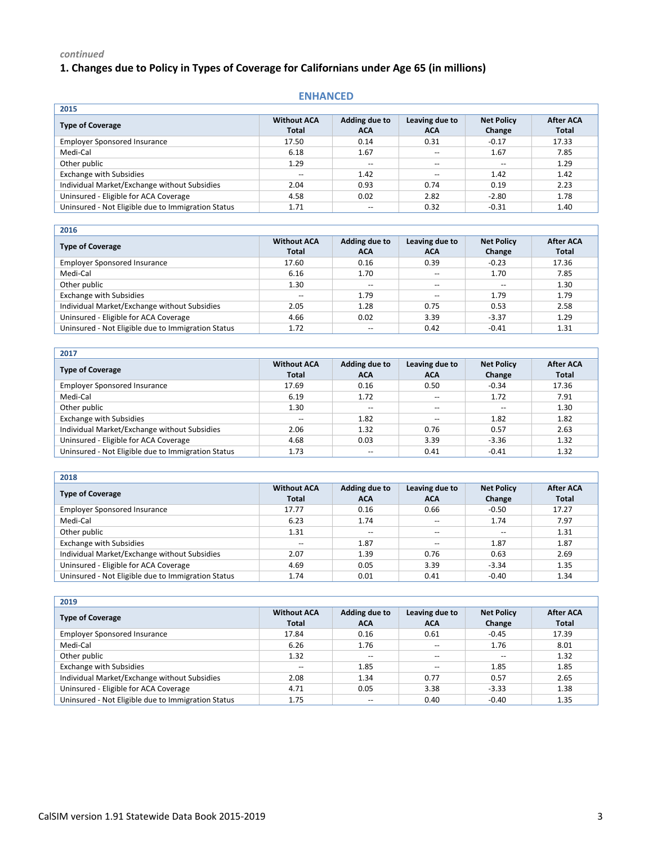# **1. Changes due to Policy in Types of Coverage for Californians under Age 65 (in millions)**

#### **ENHANCED**

| 2015                                               |                                    |                             |                              |                             |                                  |
|----------------------------------------------------|------------------------------------|-----------------------------|------------------------------|-----------------------------|----------------------------------|
| <b>Type of Coverage</b>                            | <b>Without ACA</b><br><b>Total</b> | Adding due to<br><b>ACA</b> | Leaving due to<br><b>ACA</b> | <b>Net Policy</b><br>Change | <b>After ACA</b><br><b>Total</b> |
| <b>Employer Sponsored Insurance</b>                | 17.50                              | 0.14                        | 0.31                         | $-0.17$                     | 17.33                            |
| Medi-Cal                                           | 6.18                               | 1.67                        | $\overline{\phantom{a}}$     | 1.67                        | 7.85                             |
| Other public                                       | 1.29                               | $\overline{\phantom{a}}$    | $\overline{\phantom{m}}$     | $\overline{\phantom{m}}$    | 1.29                             |
| <b>Exchange with Subsidies</b>                     | $- -$                              | 1.42                        | $\overline{\phantom{m}}$     | 1.42                        | 1.42                             |
| Individual Market/Exchange without Subsidies       | 2.04                               | 0.93                        | 0.74                         | 0.19                        | 2.23                             |
| Uninsured - Eligible for ACA Coverage              | 4.58                               | 0.02                        | 2.82                         | $-2.80$                     | 1.78                             |
| Uninsured - Not Eligible due to Immigration Status | 1.71                               | $- -$                       | 0.32                         | $-0.31$                     | 1.40                             |

| 2016                                               |                                    |                             |                              |                             |                           |
|----------------------------------------------------|------------------------------------|-----------------------------|------------------------------|-----------------------------|---------------------------|
| <b>Type of Coverage</b>                            | <b>Without ACA</b><br><b>Total</b> | Adding due to<br><b>ACA</b> | Leaving due to<br><b>ACA</b> | <b>Net Policy</b><br>Change | <b>After ACA</b><br>Total |
| <b>Employer Sponsored Insurance</b>                | 17.60                              | 0.16                        | 0.39                         | $-0.23$                     | 17.36                     |
| Medi-Cal                                           | 6.16                               | 1.70                        | $- -$                        | 1.70                        | 7.85                      |
| Other public                                       | 1.30                               | $-$                         | $-$                          |                             | 1.30                      |
| <b>Exchange with Subsidies</b>                     | $- -$                              | 1.79                        | $-$                          | 1.79                        | 1.79                      |
| Individual Market/Exchange without Subsidies       | 2.05                               | 1.28                        | 0.75                         | 0.53                        | 2.58                      |
| Uninsured - Eligible for ACA Coverage              | 4.66                               | 0.02                        | 3.39                         | $-3.37$                     | 1.29                      |
| Uninsured - Not Eligible due to Immigration Status | 1.72                               | $- -$                       | 0.42                         | $-0.41$                     | 1.31                      |

| 2017                                               |                                    |                             |                              |                             |                                  |
|----------------------------------------------------|------------------------------------|-----------------------------|------------------------------|-----------------------------|----------------------------------|
| <b>Type of Coverage</b>                            | <b>Without ACA</b><br><b>Total</b> | Adding due to<br><b>ACA</b> | Leaving due to<br><b>ACA</b> | <b>Net Policy</b><br>Change | <b>After ACA</b><br><b>Total</b> |
| <b>Employer Sponsored Insurance</b>                | 17.69                              | 0.16                        | 0.50                         | $-0.34$                     | 17.36                            |
| Medi-Cal                                           | 6.19                               | 1.72                        | $-$                          | 1.72                        | 7.91                             |
| Other public                                       | 1.30                               | $\qquad \qquad -$           | $\overline{\phantom{m}}$     |                             | 1.30                             |
| <b>Exchange with Subsidies</b>                     |                                    | 1.82                        | $-$                          | 1.82                        | 1.82                             |
| Individual Market/Exchange without Subsidies       | 2.06                               | 1.32                        | 0.76                         | 0.57                        | 2.63                             |
| Uninsured - Eligible for ACA Coverage              | 4.68                               | 0.03                        | 3.39                         | $-3.36$                     | 1.32                             |
| Uninsured - Not Eligible due to Immigration Status | 1.73                               | $- -$                       | 0.41                         | $-0.41$                     | 1.32                             |
|                                                    |                                    |                             |                              |                             |                                  |

| 2018                                               |                                    |                             |                              |                             |                                  |
|----------------------------------------------------|------------------------------------|-----------------------------|------------------------------|-----------------------------|----------------------------------|
| <b>Type of Coverage</b>                            | <b>Without ACA</b><br><b>Total</b> | Adding due to<br><b>ACA</b> | Leaving due to<br><b>ACA</b> | <b>Net Policy</b><br>Change | <b>After ACA</b><br><b>Total</b> |
| <b>Employer Sponsored Insurance</b>                | 17.77                              | 0.16                        | 0.66                         | $-0.50$                     | 17.27                            |
| Medi-Cal                                           | 6.23                               | 1.74                        | $-$                          | 1.74                        | 7.97                             |
| Other public                                       | 1.31                               | $-$                         | $\overline{\phantom{m}}$     | $- -$                       | 1.31                             |
| <b>Exchange with Subsidies</b>                     |                                    | 1.87                        | $\overline{\phantom{a}}$     | 1.87                        | 1.87                             |
| Individual Market/Exchange without Subsidies       | 2.07                               | 1.39                        | 0.76                         | 0.63                        | 2.69                             |
| Uninsured - Eligible for ACA Coverage              | 4.69                               | 0.05                        | 3.39                         | $-3.34$                     | 1.35                             |
| Uninsured - Not Eligible due to Immigration Status | 1.74                               | 0.01                        | 0.41                         | $-0.40$                     | 1.34                             |

| 2019                                               |                                    |                             |                              |                             |                                  |
|----------------------------------------------------|------------------------------------|-----------------------------|------------------------------|-----------------------------|----------------------------------|
| <b>Type of Coverage</b>                            | <b>Without ACA</b><br><b>Total</b> | Adding due to<br><b>ACA</b> | Leaving due to<br><b>ACA</b> | <b>Net Policy</b><br>Change | <b>After ACA</b><br><b>Total</b> |
| <b>Employer Sponsored Insurance</b>                | 17.84                              | 0.16                        | 0.61                         | $-0.45$                     | 17.39                            |
| Medi-Cal                                           | 6.26                               | 1.76                        | $-$                          | 1.76                        | 8.01                             |
| Other public                                       | 1.32                               | $-$                         | $\overline{\phantom{a}}$     | $- -$                       | 1.32                             |
| <b>Exchange with Subsidies</b>                     | --                                 | 1.85                        | $-$                          | 1.85                        | 1.85                             |
| Individual Market/Exchange without Subsidies       | 2.08                               | 1.34                        | 0.77                         | 0.57                        | 2.65                             |
| Uninsured - Eligible for ACA Coverage              | 4.71                               | 0.05                        | 3.38                         | $-3.33$                     | 1.38                             |
| Uninsured - Not Eligible due to Immigration Status | 1.75                               | $- -$                       | 0.40                         | $-0.40$                     | 1.35                             |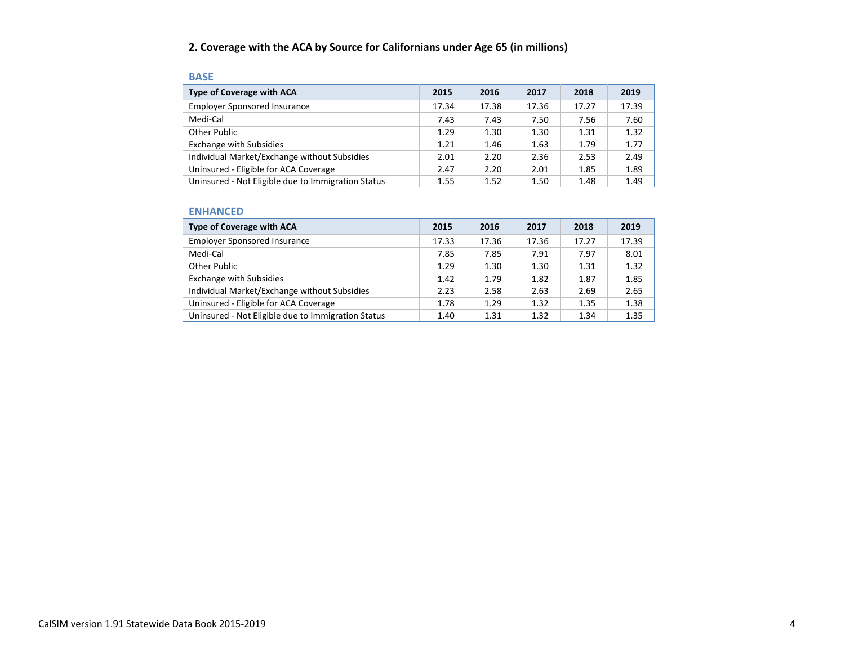## **2. Coverage with the ACA by Source for Californians under Age 65 (in millions)**

| <b>BASE</b>                                        |       |       |       |       |       |
|----------------------------------------------------|-------|-------|-------|-------|-------|
| <b>Type of Coverage with ACA</b>                   | 2015  | 2016  | 2017  | 2018  | 2019  |
| <b>Employer Sponsored Insurance</b>                | 17.34 | 17.38 | 17.36 | 17.27 | 17.39 |
| Medi-Cal                                           | 7.43  | 7.43  | 7.50  | 7.56  | 7.60  |
| Other Public                                       | 1.29  | 1.30  | 1.30  | 1.31  | 1.32  |
| <b>Exchange with Subsidies</b>                     | 1.21  | 1.46  | 1.63  | 1.79  | 1.77  |
| Individual Market/Exchange without Subsidies       | 2.01  | 2.20  | 2.36  | 2.53  | 2.49  |
| Uninsured - Eligible for ACA Coverage              | 2.47  | 2.20  | 2.01  | 1.85  | 1.89  |
| Uninsured - Not Eligible due to Immigration Status | 1.55  | 1.52  | 1.50  | 1.48  | 1.49  |

#### **ENHANCED**

| <b>Type of Coverage with ACA</b>                   | 2015  | 2016  | 2017  | 2018  | 2019  |
|----------------------------------------------------|-------|-------|-------|-------|-------|
| <b>Employer Sponsored Insurance</b>                | 17.33 | 17.36 | 17.36 | 17.27 | 17.39 |
| Medi-Cal                                           | 7.85  | 7.85  | 7.91  | 7.97  | 8.01  |
| Other Public                                       | 1.29  | 1.30  | 1.30  | 1.31  | 1.32  |
| <b>Exchange with Subsidies</b>                     | 1.42  | 1.79  | 1.82  | 1.87  | 1.85  |
| Individual Market/Exchange without Subsidies       | 2.23  | 2.58  | 2.63  | 2.69  | 2.65  |
| Uninsured - Eligible for ACA Coverage              | 1.78  | 1.29  | 1.32  | 1.35  | 1.38  |
| Uninsured - Not Eligible due to Immigration Status | 1.40  | 1.31  | 1.32  | 1.34  | 1.35  |

#### CalSIM version 1.91 Statewide Data Book 2015-2019 4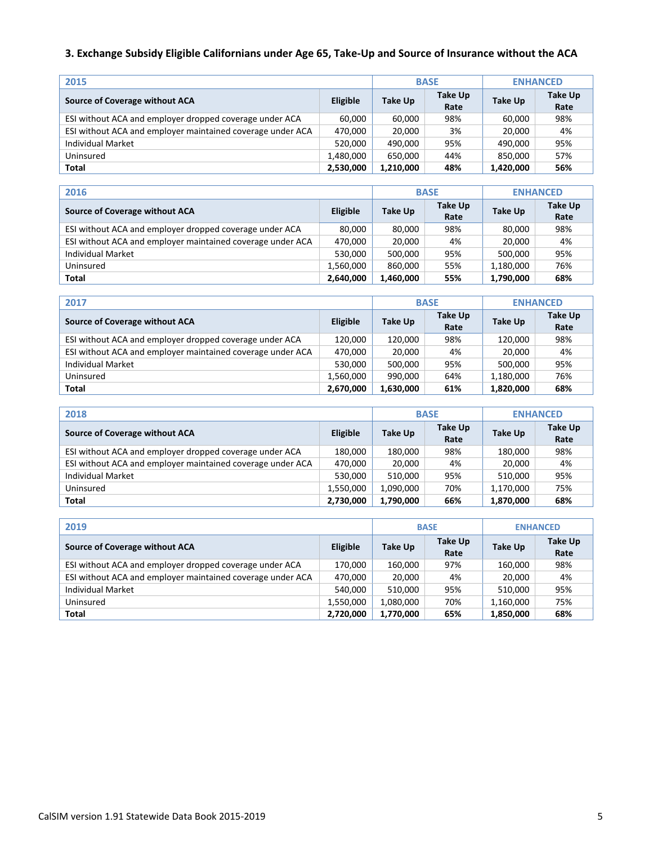## **3. Exchange Subsidy Eligible Californians under Age 65, Take-Up and Source of Insurance without the ACA**

| 2015                                                       |                 | <b>BASE</b> | <b>ENHANCED</b> |           |                        |
|------------------------------------------------------------|-----------------|-------------|-----------------|-----------|------------------------|
| Source of Coverage without ACA                             | <b>Eligible</b> | Take Up     | Take Up<br>Rate | Take Up   | <b>Take Up</b><br>Rate |
| ESI without ACA and employer dropped coverage under ACA    | 60,000          | 60,000      | 98%             | 60,000    | 98%                    |
| ESI without ACA and employer maintained coverage under ACA | 470,000         | 20,000      | 3%              | 20,000    | 4%                     |
| <b>Individual Market</b>                                   | 520.000         | 490.000     | 95%             | 490.000   | 95%                    |
| Uninsured                                                  | 1,480,000       | 650.000     | 44%             | 850.000   | 57%                    |
| Total                                                      | 2,530,000       | 1,210,000   | 48%             | 1,420,000 | 56%                    |

| 2016                                                       |                 |           | <b>BASE</b>     | <b>ENHANCED</b> |                        |  |
|------------------------------------------------------------|-----------------|-----------|-----------------|-----------------|------------------------|--|
| Source of Coverage without ACA                             | <b>Eligible</b> | Take Up   | Take Up<br>Rate | Take Up         | <b>Take Up</b><br>Rate |  |
| ESI without ACA and employer dropped coverage under ACA    | 80.000          | 80,000    | 98%             | 80,000          | 98%                    |  |
| ESI without ACA and employer maintained coverage under ACA | 470.000         | 20.000    | 4%              | 20.000          | 4%                     |  |
| Individual Market                                          | 530.000         | 500.000   | 95%             | 500.000         | 95%                    |  |
| Uninsured                                                  | 1,560,000       | 860.000   | 55%             | 1,180,000       | 76%                    |  |
| Total                                                      | 2,640,000       | 1,460,000 | 55%             | 1,790,000       | 68%                    |  |

| 2017                                                       |                 |                | <b>BASE</b>            | <b>ENHANCED</b> |                        |
|------------------------------------------------------------|-----------------|----------------|------------------------|-----------------|------------------------|
| Source of Coverage without ACA                             | <b>Eligible</b> | <b>Take Up</b> | <b>Take Up</b><br>Rate | Take Up         | <b>Take Up</b><br>Rate |
| ESI without ACA and employer dropped coverage under ACA    | 120.000         | 120.000        | 98%                    | 120.000         | 98%                    |
| ESI without ACA and employer maintained coverage under ACA | 470,000         | 20,000         | 4%                     | 20.000          | 4%                     |
| Individual Market                                          | 530.000         | 500.000        | 95%                    | 500.000         | 95%                    |
| Uninsured                                                  | 1,560,000       | 990.000        | 64%                    | 1,180,000       | 76%                    |
| Total                                                      | 2,670,000       | 1,630,000      | 61%                    | 1,820,000       | 68%                    |

| 2018                                                       |           |           | <b>BASE</b>     | <b>ENHANCED</b> |                 |  |
|------------------------------------------------------------|-----------|-----------|-----------------|-----------------|-----------------|--|
| Source of Coverage without ACA                             | Eligible  | Take Up   | Take Up<br>Rate | Take Up         | Take Up<br>Rate |  |
| ESI without ACA and employer dropped coverage under ACA    | 180.000   | 180.000   | 98%             | 180,000         | 98%             |  |
| ESI without ACA and employer maintained coverage under ACA | 470,000   | 20,000    | 4%              | 20,000          | 4%              |  |
| Individual Market                                          | 530,000   | 510.000   | 95%             | 510.000         | 95%             |  |
| Uninsured                                                  | 1,550,000 | 1,090,000 | 70%             | 1,170,000       | 75%             |  |
| Total                                                      | 2,730,000 | 1,790,000 | 66%             | 1,870,000       | 68%             |  |

| 2019                                                       |                 |           | <b>BASE</b>     | <b>ENHANCED</b> |                 |  |
|------------------------------------------------------------|-----------------|-----------|-----------------|-----------------|-----------------|--|
| Source of Coverage without ACA                             | <b>Eligible</b> | Take Up   | Take Up<br>Rate | Take Up         | Take Up<br>Rate |  |
| ESI without ACA and employer dropped coverage under ACA    | 170.000         | 160.000   | 97%             | 160,000         | 98%             |  |
| ESI without ACA and employer maintained coverage under ACA | 470.000         | 20,000    | 4%              | 20,000          | 4%              |  |
| Individual Market                                          | 540,000         | 510.000   | 95%             | 510.000         | 95%             |  |
| Uninsured                                                  | 1,550,000       | 1,080,000 | 70%             | 1,160,000       | 75%             |  |
| Total                                                      | 2,720,000       | 1,770,000 | 65%             | 1,850,000       | 68%             |  |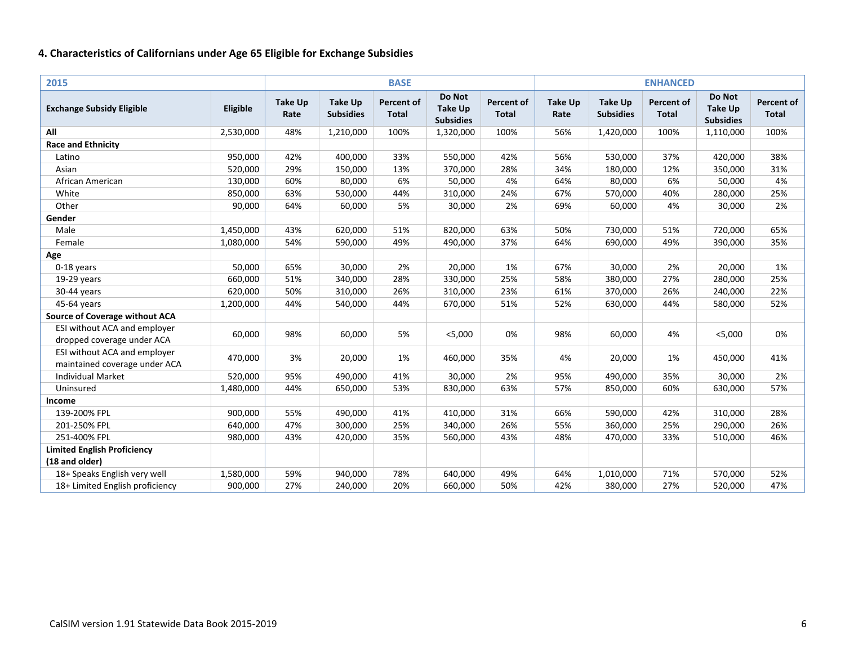| 2015                                                          |           |                        |                                    | <b>BASE</b>                       |                                              |                                   |                        |                                    | <b>ENHANCED</b>                   |                                              |                            |
|---------------------------------------------------------------|-----------|------------------------|------------------------------------|-----------------------------------|----------------------------------------------|-----------------------------------|------------------------|------------------------------------|-----------------------------------|----------------------------------------------|----------------------------|
| <b>Exchange Subsidy Eligible</b>                              | Eligible  | <b>Take Up</b><br>Rate | <b>Take Up</b><br><b>Subsidies</b> | <b>Percent of</b><br><b>Total</b> | Do Not<br><b>Take Up</b><br><b>Subsidies</b> | <b>Percent of</b><br><b>Total</b> | <b>Take Up</b><br>Rate | <b>Take Up</b><br><b>Subsidies</b> | <b>Percent of</b><br><b>Total</b> | Do Not<br><b>Take Up</b><br><b>Subsidies</b> | Percent of<br><b>Total</b> |
| All                                                           | 2,530,000 | 48%                    | 1,210,000                          | 100%                              | 1,320,000                                    | 100%                              | 56%                    | 1,420,000                          | 100%                              | 1,110,000                                    | 100%                       |
| <b>Race and Ethnicity</b>                                     |           |                        |                                    |                                   |                                              |                                   |                        |                                    |                                   |                                              |                            |
| Latino                                                        | 950,000   | 42%                    | 400,000                            | 33%                               | 550,000                                      | 42%                               | 56%                    | 530,000                            | 37%                               | 420,000                                      | 38%                        |
| Asian                                                         | 520,000   | 29%                    | 150,000                            | 13%                               | 370,000                                      | 28%                               | 34%                    | 180,000                            | 12%                               | 350,000                                      | 31%                        |
| African American                                              | 130,000   | 60%                    | 80,000                             | 6%                                | 50,000                                       | 4%                                | 64%                    | 80,000                             | 6%                                | 50,000                                       | 4%                         |
| White                                                         | 850,000   | 63%                    | 530,000                            | 44%                               | 310,000                                      | 24%                               | 67%                    | 570,000                            | 40%                               | 280,000                                      | 25%                        |
| Other                                                         | 90,000    | 64%                    | 60,000                             | 5%                                | 30,000                                       | 2%                                | 69%                    | 60,000                             | 4%                                | 30,000                                       | 2%                         |
| Gender                                                        |           |                        |                                    |                                   |                                              |                                   |                        |                                    |                                   |                                              |                            |
| Male                                                          | 1,450,000 | 43%                    | 620,000                            | 51%                               | 820,000                                      | 63%                               | 50%                    | 730,000                            | 51%                               | 720,000                                      | 65%                        |
| Female                                                        | 1,080,000 | 54%                    | 590,000                            | 49%                               | 490,000                                      | 37%                               | 64%                    | 690,000                            | 49%                               | 390,000                                      | 35%                        |
| Age                                                           |           |                        |                                    |                                   |                                              |                                   |                        |                                    |                                   |                                              |                            |
| 0-18 years                                                    | 50,000    | 65%                    | 30,000                             | 2%                                | 20,000                                       | 1%                                | 67%                    | 30,000                             | 2%                                | 20,000                                       | 1%                         |
| 19-29 years                                                   | 660,000   | 51%                    | 340,000                            | 28%                               | 330,000                                      | 25%                               | 58%                    | 380,000                            | 27%                               | 280,000                                      | 25%                        |
| 30-44 years                                                   | 620,000   | 50%                    | 310,000                            | 26%                               | 310,000                                      | 23%                               | 61%                    | 370,000                            | 26%                               | 240,000                                      | 22%                        |
| 45-64 years                                                   | 1,200,000 | 44%                    | 540,000                            | 44%                               | 670,000                                      | 51%                               | 52%                    | 630,000                            | 44%                               | 580,000                                      | 52%                        |
| <b>Source of Coverage without ACA</b>                         |           |                        |                                    |                                   |                                              |                                   |                        |                                    |                                   |                                              |                            |
| ESI without ACA and employer<br>dropped coverage under ACA    | 60,000    | 98%                    | 60,000                             | 5%                                | $<$ 5,000                                    | 0%                                | 98%                    | 60,000                             | 4%                                | $<$ 5,000                                    | 0%                         |
| ESI without ACA and employer<br>maintained coverage under ACA | 470,000   | 3%                     | 20,000                             | 1%                                | 460,000                                      | 35%                               | 4%                     | 20,000                             | 1%                                | 450,000                                      | 41%                        |
| <b>Individual Market</b>                                      | 520,000   | 95%                    | 490,000                            | 41%                               | 30,000                                       | 2%                                | 95%                    | 490,000                            | 35%                               | 30,000                                       | 2%                         |
| Uninsured                                                     | 1,480,000 | 44%                    | 650,000                            | 53%                               | 830,000                                      | 63%                               | 57%                    | 850,000                            | 60%                               | 630,000                                      | 57%                        |
| Income                                                        |           |                        |                                    |                                   |                                              |                                   |                        |                                    |                                   |                                              |                            |
| 139-200% FPL                                                  | 900,000   | 55%                    | 490,000                            | 41%                               | 410,000                                      | 31%                               | 66%                    | 590,000                            | 42%                               | 310,000                                      | 28%                        |
| 201-250% FPL                                                  | 640,000   | 47%                    | 300,000                            | 25%                               | 340,000                                      | 26%                               | 55%                    | 360,000                            | 25%                               | 290,000                                      | 26%                        |
| 251-400% FPL                                                  | 980,000   | 43%                    | 420,000                            | 35%                               | 560,000                                      | 43%                               | 48%                    | 470,000                            | 33%                               | 510,000                                      | 46%                        |
| <b>Limited English Proficiency</b><br>(18 and older)          |           |                        |                                    |                                   |                                              |                                   |                        |                                    |                                   |                                              |                            |
| 18+ Speaks English very well                                  | 1,580,000 | 59%                    | 940,000                            | 78%                               | 640,000                                      | 49%                               | 64%                    | 1,010,000                          | 71%                               | 570,000                                      | 52%                        |
| 18+ Limited English proficiency                               | 900,000   | 27%                    | 240,000                            | 20%                               | 660,000                                      | 50%                               | 42%                    | 380,000                            | 27%                               | 520,000                                      | 47%                        |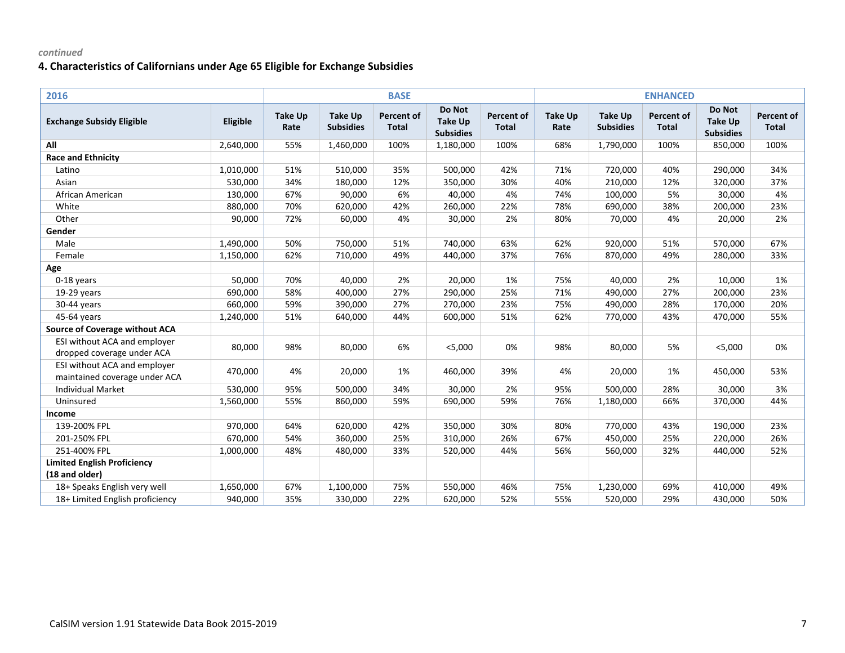| 2016                                                          |           |                        |                                    | <b>BASE</b>                       |                                              |                                   |                        |                                    | <b>ENHANCED</b>            |                                              |                            |
|---------------------------------------------------------------|-----------|------------------------|------------------------------------|-----------------------------------|----------------------------------------------|-----------------------------------|------------------------|------------------------------------|----------------------------|----------------------------------------------|----------------------------|
| <b>Exchange Subsidy Eligible</b>                              | Eligible  | <b>Take Up</b><br>Rate | <b>Take Up</b><br><b>Subsidies</b> | <b>Percent of</b><br><b>Total</b> | Do Not<br><b>Take Up</b><br><b>Subsidies</b> | <b>Percent of</b><br><b>Total</b> | <b>Take Up</b><br>Rate | <b>Take Up</b><br><b>Subsidies</b> | Percent of<br><b>Total</b> | Do Not<br><b>Take Up</b><br><b>Subsidies</b> | Percent of<br><b>Total</b> |
| All                                                           | 2,640,000 | 55%                    | 1,460,000                          | 100%                              | 1,180,000                                    | 100%                              | 68%                    | 1,790,000                          | 100%                       | 850,000                                      | 100%                       |
| <b>Race and Ethnicity</b>                                     |           |                        |                                    |                                   |                                              |                                   |                        |                                    |                            |                                              |                            |
| Latino                                                        | 1,010,000 | 51%                    | 510,000                            | 35%                               | 500,000                                      | 42%                               | 71%                    | 720,000                            | 40%                        | 290,000                                      | 34%                        |
| Asian                                                         | 530,000   | 34%                    | 180,000                            | 12%                               | 350,000                                      | 30%                               | 40%                    | 210,000                            | 12%                        | 320,000                                      | 37%                        |
| African American                                              | 130,000   | 67%                    | 90,000                             | 6%                                | 40,000                                       | 4%                                | 74%                    | 100,000                            | 5%                         | 30,000                                       | 4%                         |
| White                                                         | 880,000   | 70%                    | 620,000                            | 42%                               | 260,000                                      | 22%                               | 78%                    | 690,000                            | 38%                        | 200,000                                      | 23%                        |
| Other                                                         | 90,000    | 72%                    | 60,000                             | 4%                                | 30,000                                       | 2%                                | 80%                    | 70,000                             | 4%                         | 20,000                                       | 2%                         |
| Gender                                                        |           |                        |                                    |                                   |                                              |                                   |                        |                                    |                            |                                              |                            |
| Male                                                          | 1,490,000 | 50%                    | 750,000                            | 51%                               | 740,000                                      | 63%                               | 62%                    | 920,000                            | 51%                        | 570,000                                      | 67%                        |
| Female                                                        | 1,150,000 | 62%                    | 710,000                            | 49%                               | 440,000                                      | 37%                               | 76%                    | 870,000                            | 49%                        | 280,000                                      | 33%                        |
| Age                                                           |           |                        |                                    |                                   |                                              |                                   |                        |                                    |                            |                                              |                            |
| 0-18 years                                                    | 50,000    | 70%                    | 40,000                             | 2%                                | 20,000                                       | 1%                                | 75%                    | 40,000                             | 2%                         | 10,000                                       | 1%                         |
| 19-29 years                                                   | 690,000   | 58%                    | 400,000                            | 27%                               | 290,000                                      | 25%                               | 71%                    | 490,000                            | 27%                        | 200,000                                      | 23%                        |
| 30-44 years                                                   | 660,000   | 59%                    | 390,000                            | 27%                               | 270,000                                      | 23%                               | 75%                    | 490,000                            | 28%                        | 170,000                                      | 20%                        |
| 45-64 years                                                   | 1,240,000 | 51%                    | 640,000                            | 44%                               | 600,000                                      | 51%                               | 62%                    | 770,000                            | 43%                        | 470,000                                      | 55%                        |
| <b>Source of Coverage without ACA</b>                         |           |                        |                                    |                                   |                                              |                                   |                        |                                    |                            |                                              |                            |
| ESI without ACA and employer<br>dropped coverage under ACA    | 80,000    | 98%                    | 80,000                             | 6%                                | $<$ 5,000                                    | 0%                                | 98%                    | 80,000                             | 5%                         | $<$ 5,000                                    | 0%                         |
| ESI without ACA and employer<br>maintained coverage under ACA | 470,000   | 4%                     | 20,000                             | 1%                                | 460,000                                      | 39%                               | 4%                     | 20,000                             | 1%                         | 450,000                                      | 53%                        |
| <b>Individual Market</b>                                      | 530,000   | 95%                    | 500,000                            | 34%                               | 30,000                                       | 2%                                | 95%                    | 500,000                            | 28%                        | 30,000                                       | 3%                         |
| Uninsured                                                     | 1,560,000 | 55%                    | 860,000                            | 59%                               | 690,000                                      | 59%                               | 76%                    | 1,180,000                          | 66%                        | 370,000                                      | 44%                        |
| Income                                                        |           |                        |                                    |                                   |                                              |                                   |                        |                                    |                            |                                              |                            |
| 139-200% FPL                                                  | 970,000   | 64%                    | 620,000                            | 42%                               | 350,000                                      | 30%                               | 80%                    | 770,000                            | 43%                        | 190,000                                      | 23%                        |
| 201-250% FPL                                                  | 670,000   | 54%                    | 360,000                            | 25%                               | 310,000                                      | 26%                               | 67%                    | 450,000                            | 25%                        | 220,000                                      | 26%                        |
| 251-400% FPL                                                  | 1,000,000 | 48%                    | 480,000                            | 33%                               | 520,000                                      | 44%                               | 56%                    | 560,000                            | 32%                        | 440,000                                      | 52%                        |
| <b>Limited English Proficiency</b>                            |           |                        |                                    |                                   |                                              |                                   |                        |                                    |                            |                                              |                            |
| (18 and older)                                                |           |                        |                                    |                                   |                                              |                                   |                        |                                    |                            |                                              |                            |
| 18+ Speaks English very well                                  | 1,650,000 | 67%                    | 1,100,000                          | 75%                               | 550,000                                      | 46%                               | 75%                    | 1,230,000                          | 69%                        | 410,000                                      | 49%                        |
| 18+ Limited English proficiency                               | 940,000   | 35%                    | 330,000                            | 22%                               | 620,000                                      | 52%                               | 55%                    | 520,000                            | 29%                        | 430,000                                      | 50%                        |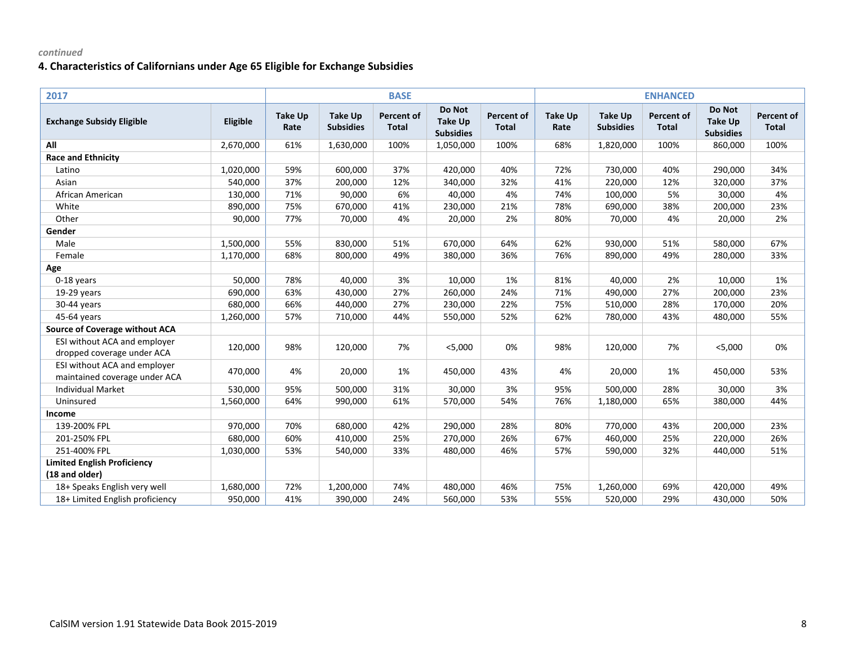| 2017                                                          |           |                        |                                    | <b>BASE</b>                       |                                              |                                   |                        |                                    | <b>ENHANCED</b>            |                                              |                            |
|---------------------------------------------------------------|-----------|------------------------|------------------------------------|-----------------------------------|----------------------------------------------|-----------------------------------|------------------------|------------------------------------|----------------------------|----------------------------------------------|----------------------------|
| <b>Exchange Subsidy Eligible</b>                              | Eligible  | <b>Take Up</b><br>Rate | <b>Take Up</b><br><b>Subsidies</b> | <b>Percent of</b><br><b>Total</b> | Do Not<br><b>Take Up</b><br><b>Subsidies</b> | <b>Percent of</b><br><b>Total</b> | <b>Take Up</b><br>Rate | <b>Take Up</b><br><b>Subsidies</b> | Percent of<br><b>Total</b> | Do Not<br><b>Take Up</b><br><b>Subsidies</b> | Percent of<br><b>Total</b> |
| All                                                           | 2,670,000 | 61%                    | 1,630,000                          | 100%                              | 1,050,000                                    | 100%                              | 68%                    | 1,820,000                          | 100%                       | 860,000                                      | 100%                       |
| <b>Race and Ethnicity</b>                                     |           |                        |                                    |                                   |                                              |                                   |                        |                                    |                            |                                              |                            |
| Latino                                                        | 1,020,000 | 59%                    | 600,000                            | 37%                               | 420,000                                      | 40%                               | 72%                    | 730,000                            | 40%                        | 290,000                                      | 34%                        |
| Asian                                                         | 540,000   | 37%                    | 200,000                            | 12%                               | 340,000                                      | 32%                               | 41%                    | 220,000                            | 12%                        | 320,000                                      | 37%                        |
| African American                                              | 130,000   | 71%                    | 90,000                             | 6%                                | 40,000                                       | 4%                                | 74%                    | 100,000                            | 5%                         | 30,000                                       | 4%                         |
| White                                                         | 890,000   | 75%                    | 670,000                            | 41%                               | 230,000                                      | 21%                               | 78%                    | 690,000                            | 38%                        | 200,000                                      | 23%                        |
| Other                                                         | 90,000    | 77%                    | 70,000                             | 4%                                | 20,000                                       | 2%                                | 80%                    | 70,000                             | 4%                         | 20,000                                       | 2%                         |
| Gender                                                        |           |                        |                                    |                                   |                                              |                                   |                        |                                    |                            |                                              |                            |
| Male                                                          | 1,500,000 | 55%                    | 830,000                            | 51%                               | 670,000                                      | 64%                               | 62%                    | 930,000                            | 51%                        | 580,000                                      | 67%                        |
| Female                                                        | 1,170,000 | 68%                    | 800,000                            | 49%                               | 380,000                                      | 36%                               | 76%                    | 890,000                            | 49%                        | 280,000                                      | 33%                        |
| Age                                                           |           |                        |                                    |                                   |                                              |                                   |                        |                                    |                            |                                              |                            |
| 0-18 years                                                    | 50,000    | 78%                    | 40,000                             | 3%                                | 10,000                                       | 1%                                | 81%                    | 40,000                             | 2%                         | 10,000                                       | 1%                         |
| 19-29 years                                                   | 690,000   | 63%                    | 430,000                            | 27%                               | 260,000                                      | 24%                               | 71%                    | 490,000                            | 27%                        | 200,000                                      | 23%                        |
| 30-44 years                                                   | 680,000   | 66%                    | 440,000                            | 27%                               | 230,000                                      | 22%                               | 75%                    | 510,000                            | 28%                        | 170,000                                      | 20%                        |
| 45-64 years                                                   | 1,260,000 | 57%                    | 710,000                            | 44%                               | 550,000                                      | 52%                               | 62%                    | 780,000                            | 43%                        | 480,000                                      | 55%                        |
| <b>Source of Coverage without ACA</b>                         |           |                        |                                    |                                   |                                              |                                   |                        |                                    |                            |                                              |                            |
| ESI without ACA and employer<br>dropped coverage under ACA    | 120,000   | 98%                    | 120,000                            | 7%                                | $<$ 5,000                                    | 0%                                | 98%                    | 120,000                            | 7%                         | $<$ 5,000                                    | 0%                         |
| ESI without ACA and employer<br>maintained coverage under ACA | 470,000   | 4%                     | 20,000                             | 1%                                | 450,000                                      | 43%                               | 4%                     | 20,000                             | 1%                         | 450,000                                      | 53%                        |
| <b>Individual Market</b>                                      | 530,000   | 95%                    | 500,000                            | 31%                               | 30,000                                       | 3%                                | 95%                    | 500,000                            | 28%                        | 30,000                                       | 3%                         |
| Uninsured                                                     | 1,560,000 | 64%                    | 990,000                            | 61%                               | 570,000                                      | 54%                               | 76%                    | 1,180,000                          | 65%                        | 380,000                                      | 44%                        |
| Income                                                        |           |                        |                                    |                                   |                                              |                                   |                        |                                    |                            |                                              |                            |
| 139-200% FPL                                                  | 970,000   | 70%                    | 680,000                            | 42%                               | 290,000                                      | 28%                               | 80%                    | 770,000                            | 43%                        | 200,000                                      | 23%                        |
| 201-250% FPL                                                  | 680,000   | 60%                    | 410,000                            | 25%                               | 270,000                                      | 26%                               | 67%                    | 460,000                            | 25%                        | 220,000                                      | 26%                        |
| 251-400% FPL                                                  | 1,030,000 | 53%                    | 540,000                            | 33%                               | 480,000                                      | 46%                               | 57%                    | 590,000                            | 32%                        | 440,000                                      | 51%                        |
| <b>Limited English Proficiency</b>                            |           |                        |                                    |                                   |                                              |                                   |                        |                                    |                            |                                              |                            |
| (18 and older)                                                |           |                        |                                    |                                   |                                              |                                   |                        |                                    |                            |                                              |                            |
| 18+ Speaks English very well                                  | 1,680,000 | 72%                    | 1,200,000                          | 74%                               | 480,000                                      | 46%                               | 75%                    | 1,260,000                          | 69%                        | 420,000                                      | 49%                        |
| 18+ Limited English proficiency                               | 950,000   | 41%                    | 390,000                            | 24%                               | 560,000                                      | 53%                               | 55%                    | 520,000                            | 29%                        | 430,000                                      | 50%                        |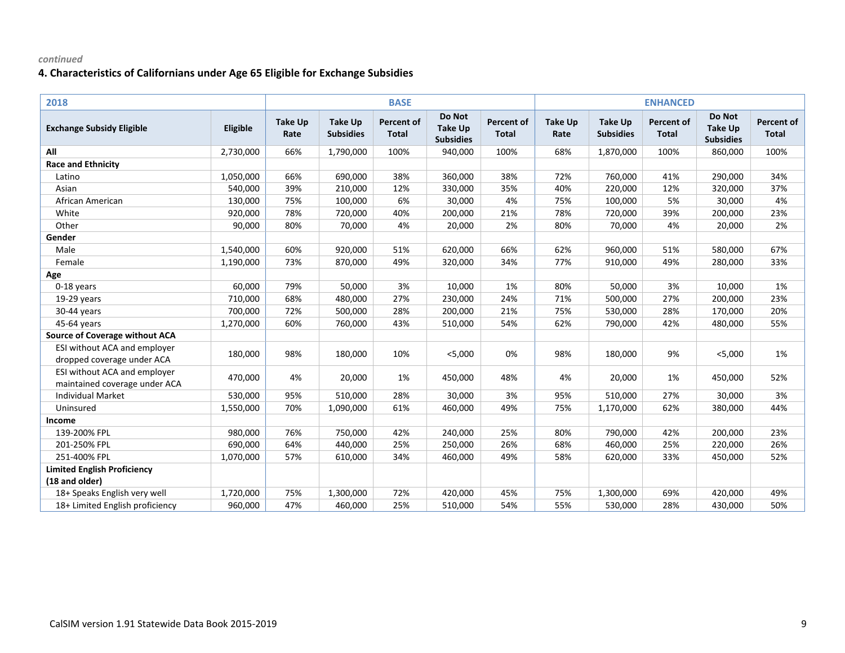| 2018                                                          |           |                        |                                    | <b>BASE</b>                       |                                              |                                   |                        |                                    | <b>ENHANCED</b>                   |                                              |                            |
|---------------------------------------------------------------|-----------|------------------------|------------------------------------|-----------------------------------|----------------------------------------------|-----------------------------------|------------------------|------------------------------------|-----------------------------------|----------------------------------------------|----------------------------|
| <b>Exchange Subsidy Eligible</b>                              | Eligible  | <b>Take Up</b><br>Rate | <b>Take Up</b><br><b>Subsidies</b> | <b>Percent of</b><br><b>Total</b> | Do Not<br><b>Take Up</b><br><b>Subsidies</b> | <b>Percent of</b><br><b>Total</b> | <b>Take Up</b><br>Rate | <b>Take Up</b><br><b>Subsidies</b> | <b>Percent of</b><br><b>Total</b> | Do Not<br><b>Take Up</b><br><b>Subsidies</b> | Percent of<br><b>Total</b> |
| All                                                           | 2,730,000 | 66%                    | 1,790,000                          | 100%                              | 940,000                                      | 100%                              | 68%                    | 1,870,000                          | 100%                              | 860,000                                      | 100%                       |
| <b>Race and Ethnicity</b>                                     |           |                        |                                    |                                   |                                              |                                   |                        |                                    |                                   |                                              |                            |
| Latino                                                        | 1,050,000 | 66%                    | 690,000                            | 38%                               | 360,000                                      | 38%                               | 72%                    | 760,000                            | 41%                               | 290,000                                      | 34%                        |
| Asian                                                         | 540,000   | 39%                    | 210,000                            | 12%                               | 330,000                                      | 35%                               | 40%                    | 220,000                            | 12%                               | 320,000                                      | 37%                        |
| African American                                              | 130,000   | 75%                    | 100,000                            | 6%                                | 30,000                                       | 4%                                | 75%                    | 100,000                            | 5%                                | 30,000                                       | 4%                         |
| White                                                         | 920,000   | 78%                    | 720,000                            | 40%                               | 200,000                                      | 21%                               | 78%                    | 720,000                            | 39%                               | 200,000                                      | 23%                        |
| Other                                                         | 90,000    | 80%                    | 70,000                             | 4%                                | 20,000                                       | 2%                                | 80%                    | 70,000                             | 4%                                | 20,000                                       | 2%                         |
| Gender                                                        |           |                        |                                    |                                   |                                              |                                   |                        |                                    |                                   |                                              |                            |
| Male                                                          | 1,540,000 | 60%                    | 920,000                            | 51%                               | 620,000                                      | 66%                               | 62%                    | 960,000                            | 51%                               | 580,000                                      | 67%                        |
| Female                                                        | 1,190,000 | 73%                    | 870,000                            | 49%                               | 320,000                                      | 34%                               | 77%                    | 910,000                            | 49%                               | 280,000                                      | 33%                        |
| Age                                                           |           |                        |                                    |                                   |                                              |                                   |                        |                                    |                                   |                                              |                            |
| 0-18 years                                                    | 60,000    | 79%                    | 50,000                             | 3%                                | 10,000                                       | 1%                                | 80%                    | 50,000                             | 3%                                | 10,000                                       | 1%                         |
| $19-29$ years                                                 | 710,000   | 68%                    | 480,000                            | 27%                               | 230,000                                      | 24%                               | 71%                    | 500,000                            | 27%                               | 200,000                                      | 23%                        |
| 30-44 years                                                   | 700,000   | 72%                    | 500,000                            | 28%                               | 200,000                                      | 21%                               | 75%                    | 530,000                            | 28%                               | 170,000                                      | 20%                        |
| 45-64 years                                                   | 1,270,000 | 60%                    | 760,000                            | 43%                               | 510,000                                      | 54%                               | 62%                    | 790,000                            | 42%                               | 480,000                                      | 55%                        |
| <b>Source of Coverage without ACA</b>                         |           |                        |                                    |                                   |                                              |                                   |                        |                                    |                                   |                                              |                            |
| ESI without ACA and employer<br>dropped coverage under ACA    | 180,000   | 98%                    | 180,000                            | 10%                               | $<$ 5,000                                    | 0%                                | 98%                    | 180,000                            | 9%                                | $<$ 5,000                                    | 1%                         |
| ESI without ACA and employer<br>maintained coverage under ACA | 470,000   | 4%                     | 20,000                             | 1%                                | 450,000                                      | 48%                               | 4%                     | 20,000                             | 1%                                | 450,000                                      | 52%                        |
| <b>Individual Market</b>                                      | 530,000   | 95%                    | 510,000                            | 28%                               | 30,000                                       | 3%                                | 95%                    | 510,000                            | 27%                               | 30,000                                       | 3%                         |
| Uninsured                                                     | 1,550,000 | 70%                    | 1,090,000                          | 61%                               | 460,000                                      | 49%                               | 75%                    | 1,170,000                          | 62%                               | 380,000                                      | 44%                        |
| Income                                                        |           |                        |                                    |                                   |                                              |                                   |                        |                                    |                                   |                                              |                            |
| 139-200% FPL                                                  | 980,000   | 76%                    | 750,000                            | 42%                               | 240,000                                      | 25%                               | 80%                    | 790,000                            | 42%                               | 200,000                                      | 23%                        |
| 201-250% FPL                                                  | 690,000   | 64%                    | 440,000                            | 25%                               | 250,000                                      | 26%                               | 68%                    | 460,000                            | 25%                               | 220,000                                      | 26%                        |
| 251-400% FPL                                                  | 1,070,000 | 57%                    | 610,000                            | 34%                               | 460,000                                      | 49%                               | 58%                    | 620,000                            | 33%                               | 450,000                                      | 52%                        |
| <b>Limited English Proficiency</b>                            |           |                        |                                    |                                   |                                              |                                   |                        |                                    |                                   |                                              |                            |
| (18 and older)                                                |           |                        |                                    |                                   |                                              |                                   |                        |                                    |                                   |                                              |                            |
| 18+ Speaks English very well                                  | 1,720,000 | 75%                    | 1,300,000                          | 72%                               | 420,000                                      | 45%                               | 75%                    | 1,300,000                          | 69%                               | 420,000                                      | 49%                        |
| 18+ Limited English proficiency                               | 960,000   | 47%                    | 460,000                            | 25%                               | 510,000                                      | 54%                               | 55%                    | 530,000                            | 28%                               | 430,000                                      | 50%                        |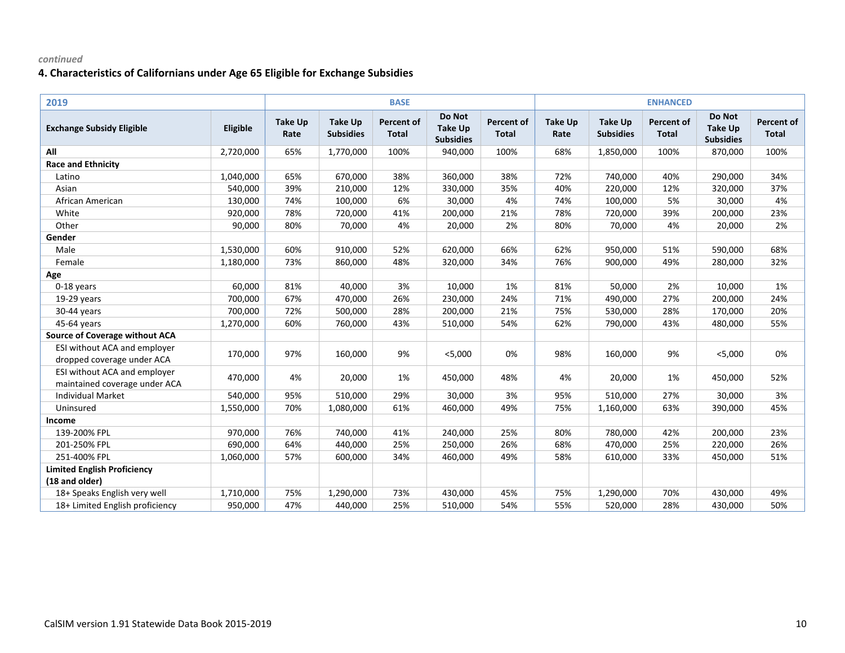| 2019                                                          |           |                        |                                    | <b>BASE</b>                       |                                              |                                   |                        |                                    | <b>ENHANCED</b>                   |                                              |                                   |
|---------------------------------------------------------------|-----------|------------------------|------------------------------------|-----------------------------------|----------------------------------------------|-----------------------------------|------------------------|------------------------------------|-----------------------------------|----------------------------------------------|-----------------------------------|
| <b>Exchange Subsidy Eligible</b>                              | Eligible  | <b>Take Up</b><br>Rate | <b>Take Up</b><br><b>Subsidies</b> | <b>Percent of</b><br><b>Total</b> | Do Not<br><b>Take Up</b><br><b>Subsidies</b> | <b>Percent of</b><br><b>Total</b> | <b>Take Up</b><br>Rate | <b>Take Up</b><br><b>Subsidies</b> | <b>Percent of</b><br><b>Total</b> | Do Not<br><b>Take Up</b><br><b>Subsidies</b> | <b>Percent of</b><br><b>Total</b> |
| All                                                           | 2,720,000 | 65%                    | 1,770,000                          | 100%                              | 940,000                                      | 100%                              | 68%                    | 1,850,000                          | 100%                              | 870,000                                      | 100%                              |
| <b>Race and Ethnicity</b>                                     |           |                        |                                    |                                   |                                              |                                   |                        |                                    |                                   |                                              |                                   |
| Latino                                                        | 1,040,000 | 65%                    | 670,000                            | 38%                               | 360,000                                      | 38%                               | 72%                    | 740,000                            | 40%                               | 290,000                                      | 34%                               |
| Asian                                                         | 540,000   | 39%                    | 210,000                            | 12%                               | 330,000                                      | 35%                               | 40%                    | 220,000                            | 12%                               | 320,000                                      | 37%                               |
| African American                                              | 130,000   | 74%                    | 100,000                            | 6%                                | 30,000                                       | 4%                                | 74%                    | 100,000                            | 5%                                | 30,000                                       | 4%                                |
| White                                                         | 920,000   | 78%                    | 720,000                            | 41%                               | 200,000                                      | 21%                               | 78%                    | 720,000                            | 39%                               | 200,000                                      | 23%                               |
| Other                                                         | 90,000    | 80%                    | 70,000                             | 4%                                | 20,000                                       | 2%                                | 80%                    | 70,000                             | 4%                                | 20,000                                       | 2%                                |
| Gender                                                        |           |                        |                                    |                                   |                                              |                                   |                        |                                    |                                   |                                              |                                   |
| Male                                                          | 1,530,000 | 60%                    | 910,000                            | 52%                               | 620,000                                      | 66%                               | 62%                    | 950,000                            | 51%                               | 590,000                                      | 68%                               |
| Female                                                        | 1,180,000 | 73%                    | 860,000                            | 48%                               | 320,000                                      | 34%                               | 76%                    | 900,000                            | 49%                               | 280,000                                      | 32%                               |
| Age                                                           |           |                        |                                    |                                   |                                              |                                   |                        |                                    |                                   |                                              |                                   |
| 0-18 years                                                    | 60,000    | 81%                    | 40,000                             | 3%                                | 10,000                                       | 1%                                | 81%                    | 50,000                             | 2%                                | 10,000                                       | 1%                                |
| 19-29 years                                                   | 700,000   | 67%                    | 470,000                            | 26%                               | 230,000                                      | 24%                               | 71%                    | 490,000                            | 27%                               | 200,000                                      | 24%                               |
| 30-44 years                                                   | 700,000   | 72%                    | 500,000                            | 28%                               | 200,000                                      | 21%                               | 75%                    | 530,000                            | 28%                               | 170,000                                      | 20%                               |
| 45-64 years                                                   | 1,270,000 | 60%                    | 760,000                            | 43%                               | 510,000                                      | 54%                               | 62%                    | 790,000                            | 43%                               | 480,000                                      | 55%                               |
| <b>Source of Coverage without ACA</b>                         |           |                        |                                    |                                   |                                              |                                   |                        |                                    |                                   |                                              |                                   |
| ESI without ACA and employer<br>dropped coverage under ACA    | 170,000   | 97%                    | 160,000                            | 9%                                | $<$ 5,000                                    | 0%                                | 98%                    | 160,000                            | 9%                                | $<$ 5,000                                    | 0%                                |
| ESI without ACA and employer<br>maintained coverage under ACA | 470,000   | 4%                     | 20,000                             | 1%                                | 450,000                                      | 48%                               | 4%                     | 20,000                             | 1%                                | 450,000                                      | 52%                               |
| <b>Individual Market</b>                                      | 540,000   | 95%                    | 510,000                            | 29%                               | 30,000                                       | 3%                                | 95%                    | 510,000                            | 27%                               | 30,000                                       | 3%                                |
| Uninsured                                                     | 1,550,000 | 70%                    | 1,080,000                          | 61%                               | 460,000                                      | 49%                               | 75%                    | 1,160,000                          | 63%                               | 390,000                                      | 45%                               |
| Income                                                        |           |                        |                                    |                                   |                                              |                                   |                        |                                    |                                   |                                              |                                   |
| 139-200% FPL                                                  | 970,000   | 76%                    | 740,000                            | 41%                               | 240,000                                      | 25%                               | 80%                    | 780,000                            | 42%                               | 200,000                                      | 23%                               |
| 201-250% FPL                                                  | 690,000   | 64%                    | 440,000                            | 25%                               | 250,000                                      | 26%                               | 68%                    | 470,000                            | 25%                               | 220,000                                      | 26%                               |
| 251-400% FPL                                                  | 1,060,000 | 57%                    | 600,000                            | 34%                               | 460,000                                      | 49%                               | 58%                    | 610,000                            | 33%                               | 450,000                                      | 51%                               |
| <b>Limited English Proficiency</b>                            |           |                        |                                    |                                   |                                              |                                   |                        |                                    |                                   |                                              |                                   |
| (18 and older)                                                |           |                        |                                    |                                   |                                              |                                   |                        |                                    |                                   |                                              |                                   |
| 18+ Speaks English very well                                  | 1,710,000 | 75%                    | 1,290,000                          | 73%                               | 430,000                                      | 45%                               | 75%                    | 1,290,000                          | 70%                               | 430,000                                      | 49%                               |
| 18+ Limited English proficiency                               | 950,000   | 47%                    | 440,000                            | 25%                               | 510,000                                      | 54%                               | 55%                    | 520,000                            | 28%                               | 430,000                                      | 50%                               |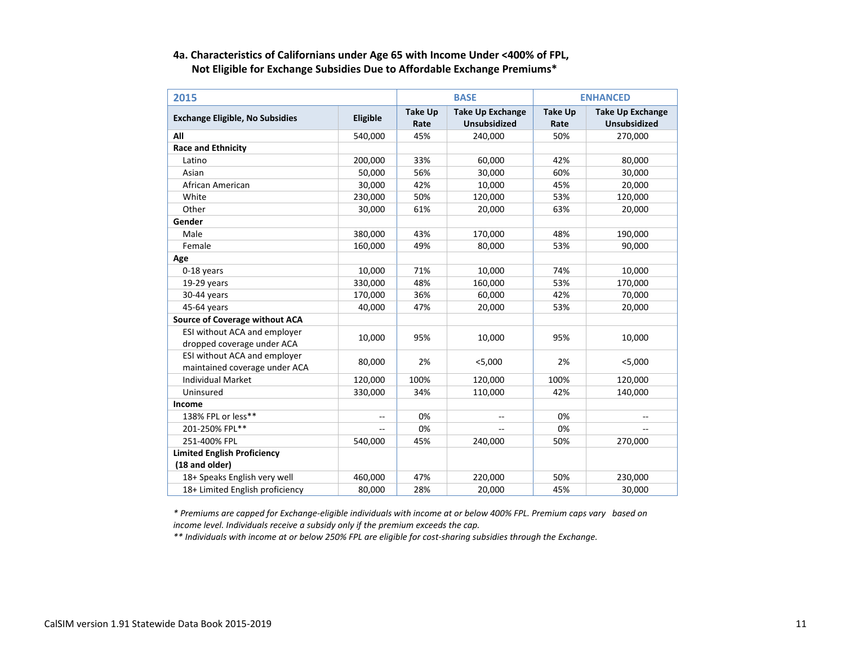### **4a. Characteristics of Californians under Age 65 with Income Under <400% of FPL, Not Eligible for Exchange Subsidies Due to Affordable Exchange Premiums\***

| 2015                                                 |          | <b>BASE</b>            | <b>ENHANCED</b>                                |                        |                                                |
|------------------------------------------------------|----------|------------------------|------------------------------------------------|------------------------|------------------------------------------------|
| <b>Exchange Eligible, No Subsidies</b>               | Eligible | <b>Take Up</b><br>Rate | <b>Take Up Exchange</b><br><b>Unsubsidized</b> | <b>Take Up</b><br>Rate | <b>Take Up Exchange</b><br><b>Unsubsidized</b> |
| All                                                  | 540,000  | 45%                    | 240,000                                        | 50%                    | 270,000                                        |
| <b>Race and Ethnicity</b>                            |          |                        |                                                |                        |                                                |
| Latino                                               | 200,000  | 33%                    | 60,000                                         | 42%                    | 80,000                                         |
| Asian                                                | 50,000   | 56%                    | 30,000                                         | 60%                    | 30,000                                         |
| African American                                     | 30,000   | 42%                    | 10,000                                         | 45%                    | 20,000                                         |
| White                                                | 230,000  | 50%                    | 120,000                                        | 53%                    | 120,000                                        |
| Other                                                | 30,000   | 61%                    | 20,000                                         | 63%                    | 20,000                                         |
| Gender                                               |          |                        |                                                |                        |                                                |
| Male                                                 | 380,000  | 43%                    | 170,000                                        | 48%                    | 190,000                                        |
| Female                                               | 160,000  | 49%                    | 80,000                                         | 53%                    | 90,000                                         |
| Age                                                  |          |                        |                                                |                        |                                                |
| 0-18 years                                           | 10,000   | 71%                    | 10,000                                         | 74%                    | 10,000                                         |
| $19-29$ years                                        | 330,000  | 48%                    | 160,000                                        | 53%                    | 170,000                                        |
| 30-44 years                                          | 170,000  | 36%                    | 60,000                                         | 42%                    | 70,000                                         |
| 45-64 years                                          | 40,000   | 47%                    | 20,000                                         | 53%                    | 20,000                                         |
| <b>Source of Coverage without ACA</b>                |          |                        |                                                |                        |                                                |
| ESI without ACA and employer                         | 10,000   | 95%                    | 10,000                                         | 95%                    | 10,000                                         |
| dropped coverage under ACA                           |          |                        |                                                |                        |                                                |
| ESI without ACA and employer                         | 80,000   | 2%                     | $<$ 5,000                                      | 2%                     | $<$ 5,000                                      |
| maintained coverage under ACA                        |          |                        |                                                |                        |                                                |
| <b>Individual Market</b>                             | 120,000  | 100%                   | 120,000                                        | 100%                   | 120,000                                        |
| Uninsured                                            | 330,000  | 34%                    | 110,000                                        | 42%                    | 140,000                                        |
| Income                                               |          |                        |                                                |                        |                                                |
| 138% FPL or less**                                   | Щ,       | 0%                     | $-$                                            | 0%                     |                                                |
| 201-250% FPL**                                       | --       | 0%                     |                                                | 0%                     |                                                |
| 251-400% FPL                                         | 540,000  | 45%                    | 240,000                                        | 50%                    | 270,000                                        |
| <b>Limited English Proficiency</b><br>(18 and older) |          |                        |                                                |                        |                                                |
| 18+ Speaks English very well                         | 460,000  | 47%                    | 220,000                                        | 50%                    | 230,000                                        |
| 18+ Limited English proficiency                      | 80,000   | 28%                    | 20,000                                         | 45%                    | 30,000                                         |

*\* Premiums are capped for Exchange-eligible individuals with income at or below 400% FPL. Premium caps vary based on income level. Individuals receive a subsidy only if the premium exceeds the cap.*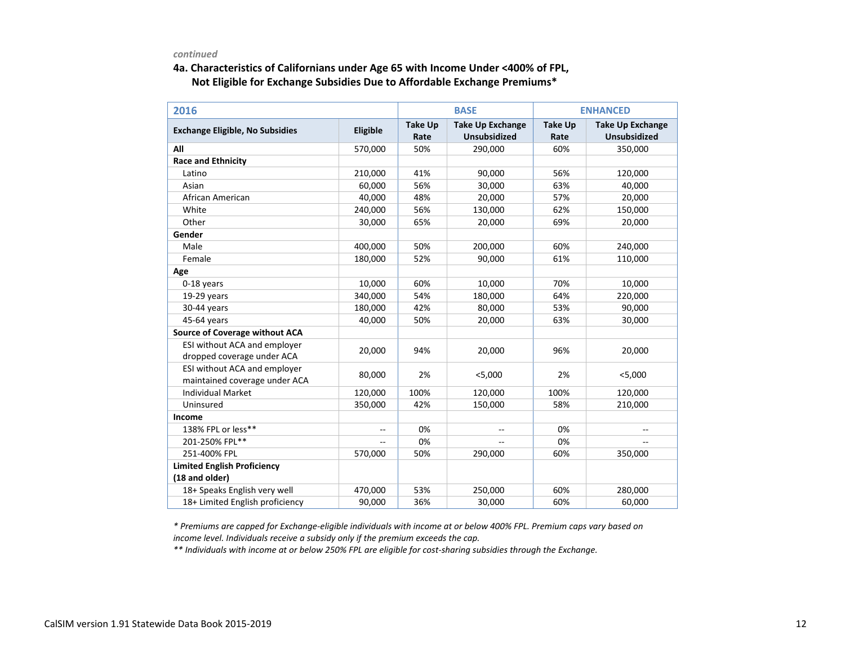### **4a. Characteristics of Californians under Age 65 with Income Under <400% of FPL, Not Eligible for Exchange Subsidies Due to Affordable Exchange Premiums\***

| 2016                                   |                |                        | <b>BASE</b>                                    | <b>ENHANCED</b>        |                                                |  |
|----------------------------------------|----------------|------------------------|------------------------------------------------|------------------------|------------------------------------------------|--|
| <b>Exchange Eligible, No Subsidies</b> | Eligible       | <b>Take Up</b><br>Rate | <b>Take Up Exchange</b><br><b>Unsubsidized</b> | <b>Take Up</b><br>Rate | <b>Take Up Exchange</b><br><b>Unsubsidized</b> |  |
| All                                    | 570,000        | 50%                    | 290,000                                        | 60%                    | 350,000                                        |  |
| <b>Race and Ethnicity</b>              |                |                        |                                                |                        |                                                |  |
| Latino                                 | 210,000        | 41%                    | 90,000                                         | 56%                    | 120,000                                        |  |
| Asian                                  | 60,000         | 56%                    | 30,000                                         | 63%                    | 40,000                                         |  |
| African American                       | 40,000         | 48%                    | 20,000                                         | 57%                    | 20,000                                         |  |
| White                                  | 240,000        | 56%                    | 130,000                                        | 62%                    | 150,000                                        |  |
| Other                                  | 30,000         | 65%                    | 20,000                                         | 69%                    | 20,000                                         |  |
| Gender                                 |                |                        |                                                |                        |                                                |  |
| Male                                   | 400,000        | 50%                    | 200,000                                        | 60%                    | 240,000                                        |  |
| Female                                 | 180,000        | 52%                    | 90,000                                         | 61%                    | 110,000                                        |  |
| Age                                    |                |                        |                                                |                        |                                                |  |
| 0-18 years                             | 10,000         | 60%                    | 10,000                                         | 70%                    | 10,000                                         |  |
| $19-29$ years                          | 340,000        | 54%                    | 180,000                                        | 64%                    | 220,000                                        |  |
| 30-44 years                            | 180,000        | 42%                    | 80,000                                         | 53%                    | 90,000                                         |  |
| 45-64 years                            | 40,000         | 50%                    | 20,000                                         | 63%                    | 30,000                                         |  |
| <b>Source of Coverage without ACA</b>  |                |                        |                                                |                        |                                                |  |
| ESI without ACA and employer           | 20,000         | 94%                    | 20,000                                         | 96%                    | 20,000                                         |  |
| dropped coverage under ACA             |                |                        |                                                |                        |                                                |  |
| ESI without ACA and employer           | 80,000         | 2%                     | < 5,000                                        | 2%                     | < 5,000                                        |  |
| maintained coverage under ACA          |                |                        |                                                |                        |                                                |  |
| <b>Individual Market</b>               | 120,000        | 100%                   | 120,000                                        | 100%                   | 120,000                                        |  |
| Uninsured                              | 350,000        | 42%                    | 150,000                                        | 58%                    | 210,000                                        |  |
| Income                                 |                |                        |                                                |                        |                                                |  |
| 138% FPL or less**                     | $\overline{a}$ | 0%                     | $\overline{a}$                                 | 0%                     |                                                |  |
| 201-250% FPL**                         | $-$            | 0%                     | $\overline{a}$                                 | 0%                     |                                                |  |
| 251-400% FPL                           | 570,000        | 50%                    | 290,000                                        | 60%                    | 350,000                                        |  |
| <b>Limited English Proficiency</b>     |                |                        |                                                |                        |                                                |  |
| (18 and older)                         |                |                        |                                                |                        |                                                |  |
| 18+ Speaks English very well           | 470,000        | 53%                    | 250,000                                        | 60%                    | 280,000                                        |  |
| 18+ Limited English proficiency        | 90,000         | 36%                    | 30,000                                         | 60%                    | 60,000                                         |  |

*\* Premiums are capped for Exchange-eligible individuals with income at or below 400% FPL. Premium caps vary based on income level. Individuals receive a subsidy only if the premium exceeds the cap.*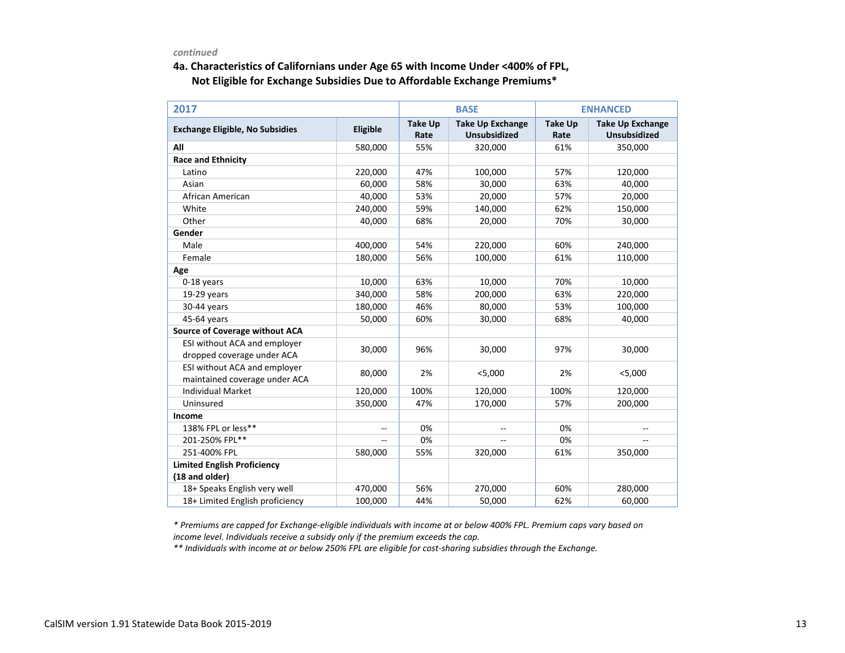### **4a. Characteristics of Californians under Age 65 with Income Under <400% of FPL, Not Eligible for Exchange Subsidies Due to Affordable Exchange Premiums\***

| 2017                                   |          |                        | <b>BASE</b>                                    | <b>ENHANCED</b>        |                                                |  |
|----------------------------------------|----------|------------------------|------------------------------------------------|------------------------|------------------------------------------------|--|
| <b>Exchange Eligible, No Subsidies</b> | Eligible | <b>Take Up</b><br>Rate | <b>Take Up Exchange</b><br><b>Unsubsidized</b> | <b>Take Up</b><br>Rate | <b>Take Up Exchange</b><br><b>Unsubsidized</b> |  |
| All                                    | 580,000  | 55%                    | 320,000                                        | 61%                    | 350,000                                        |  |
| <b>Race and Ethnicity</b>              |          |                        |                                                |                        |                                                |  |
| Latino                                 | 220,000  | 47%                    | 100,000                                        | 57%                    | 120,000                                        |  |
| Asian                                  | 60,000   | 58%                    | 30,000                                         | 63%                    | 40,000                                         |  |
| African American                       | 40,000   | 53%                    | 20,000                                         | 57%                    | 20,000                                         |  |
| White                                  | 240,000  | 59%                    | 140,000                                        | 62%                    | 150,000                                        |  |
| Other                                  | 40,000   | 68%                    | 20,000                                         | 70%                    | 30,000                                         |  |
| Gender                                 |          |                        |                                                |                        |                                                |  |
| Male                                   | 400,000  | 54%                    | 220,000                                        | 60%                    | 240,000                                        |  |
| Female                                 | 180,000  | 56%                    | 100,000                                        | 61%                    | 110,000                                        |  |
| Age                                    |          |                        |                                                |                        |                                                |  |
| 0-18 years                             | 10,000   | 63%                    | 10,000                                         | 70%                    | 10,000                                         |  |
| 19-29 years                            | 340,000  | 58%                    | 200,000                                        | 63%                    | 220,000                                        |  |
| 30-44 years                            | 180,000  | 46%                    | 80,000                                         | 53%                    | 100,000                                        |  |
| 45-64 years                            | 50,000   | 60%                    | 30,000                                         | 68%                    | 40,000                                         |  |
| <b>Source of Coverage without ACA</b>  |          |                        |                                                |                        |                                                |  |
| ESI without ACA and employer           |          | 96%                    |                                                |                        |                                                |  |
| dropped coverage under ACA             | 30,000   |                        | 30,000                                         | 97%                    | 30,000                                         |  |
| ESI without ACA and employer           | 80,000   | 2%                     | $<$ 5,000                                      | 2%                     | $<$ 5,000                                      |  |
| maintained coverage under ACA          |          |                        |                                                |                        |                                                |  |
| <b>Individual Market</b>               | 120,000  | 100%                   | 120,000                                        | 100%                   | 120,000                                        |  |
| Uninsured                              | 350,000  | 47%                    | 170,000                                        | 57%                    | 200,000                                        |  |
| Income                                 |          |                        |                                                |                        |                                                |  |
| 138% FPL or less**                     |          | 0%                     | $-$                                            | 0%                     |                                                |  |
| 201-250% FPL**                         |          | 0%                     | $\overline{a}$                                 | 0%                     |                                                |  |
| 251-400% FPL                           | 580,000  | 55%                    | 320,000                                        | 61%                    | 350,000                                        |  |
| <b>Limited English Proficiency</b>     |          |                        |                                                |                        |                                                |  |
| (18 and older)                         |          |                        |                                                |                        |                                                |  |
| 18+ Speaks English very well           | 470,000  | 56%                    | 270,000                                        | 60%                    | 280,000                                        |  |
| 18+ Limited English proficiency        | 100,000  | 44%                    | 50,000                                         | 62%                    | 60,000                                         |  |

*\* Premiums are capped for Exchange-eligible individuals with income at or below 400% FPL. Premium caps vary based on income level. Individuals receive a subsidy only if the premium exceeds the cap.*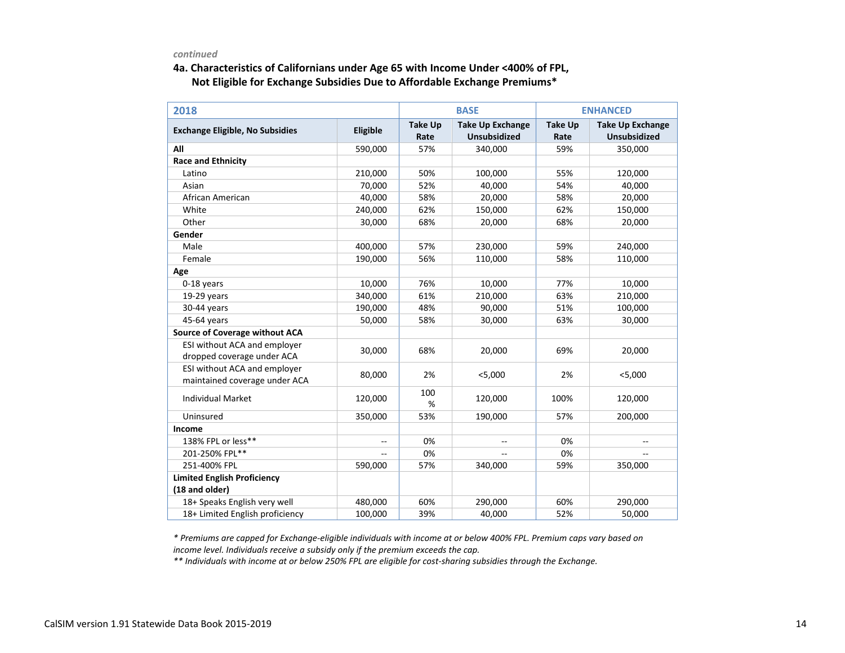### **4a. Characteristics of Californians under Age 65 with Income Under <400% of FPL, Not Eligible for Exchange Subsidies Due to Affordable Exchange Premiums\***

| 2018                                                 |          |                        | <b>BASE</b>                                    | <b>ENHANCED</b>        |                                                |  |
|------------------------------------------------------|----------|------------------------|------------------------------------------------|------------------------|------------------------------------------------|--|
| <b>Exchange Eligible, No Subsidies</b>               | Eligible | <b>Take Up</b><br>Rate | <b>Take Up Exchange</b><br><b>Unsubsidized</b> | <b>Take Up</b><br>Rate | <b>Take Up Exchange</b><br><b>Unsubsidized</b> |  |
| All                                                  | 590,000  | 57%                    | 340,000                                        | 59%                    | 350,000                                        |  |
| <b>Race and Ethnicity</b>                            |          |                        |                                                |                        |                                                |  |
| Latino                                               | 210,000  | 50%                    | 100,000                                        | 55%                    | 120,000                                        |  |
| Asian                                                | 70,000   | 52%                    | 40,000                                         | 54%                    | 40,000                                         |  |
| African American                                     | 40,000   | 58%                    | 20,000                                         | 58%                    | 20,000                                         |  |
| White                                                | 240,000  | 62%                    | 150,000                                        | 62%                    | 150,000                                        |  |
| Other                                                | 30,000   | 68%                    | 20,000                                         | 68%                    | 20,000                                         |  |
| Gender                                               |          |                        |                                                |                        |                                                |  |
| Male                                                 | 400,000  | 57%                    | 230,000                                        | 59%                    | 240,000                                        |  |
| Female                                               | 190,000  | 56%                    | 110,000                                        | 58%                    | 110,000                                        |  |
| Age                                                  |          |                        |                                                |                        |                                                |  |
| 0-18 years                                           | 10,000   | 76%                    | 10,000                                         | 77%                    | 10,000                                         |  |
| $19-29$ years                                        | 340,000  | 61%                    | 210,000                                        | 63%                    | 210,000                                        |  |
| 30-44 years                                          | 190,000  | 48%                    | 90,000                                         | 51%                    | 100,000                                        |  |
| 45-64 years                                          | 50,000   | 58%                    | 30,000                                         | 63%                    | 30,000                                         |  |
| Source of Coverage without ACA                       |          |                        |                                                |                        |                                                |  |
| ESI without ACA and employer                         | 30,000   | 68%                    | 20,000                                         | 69%                    | 20,000                                         |  |
| dropped coverage under ACA                           |          |                        |                                                |                        |                                                |  |
| ESI without ACA and employer                         | 80,000   | 2%                     | < 5,000                                        | 2%                     | < 5,000                                        |  |
| maintained coverage under ACA                        |          |                        |                                                |                        |                                                |  |
| <b>Individual Market</b>                             | 120,000  | 100<br>%               | 120,000                                        | 100%                   | 120,000                                        |  |
| Uninsured                                            | 350,000  | 53%                    | 190,000                                        | 57%                    | 200,000                                        |  |
| Income                                               |          |                        |                                                |                        |                                                |  |
| 138% FPL or less**                                   | $-$      | 0%                     | $\overline{\phantom{a}}$                       | 0%                     |                                                |  |
| 201-250% FPL**                                       |          | 0%                     |                                                | 0%                     |                                                |  |
| 251-400% FPL                                         | 590,000  | 57%                    | 340,000                                        | 59%                    | 350,000                                        |  |
| <b>Limited English Proficiency</b><br>(18 and older) |          |                        |                                                |                        |                                                |  |
| 18+ Speaks English very well                         | 480,000  | 60%                    | 290,000                                        | 60%                    | 290,000                                        |  |
| 18+ Limited English proficiency                      | 100,000  | 39%                    | 40,000                                         | 52%                    | 50,000                                         |  |

*\* Premiums are capped for Exchange-eligible individuals with income at or below 400% FPL. Premium caps vary based on income level. Individuals receive a subsidy only if the premium exceeds the cap.*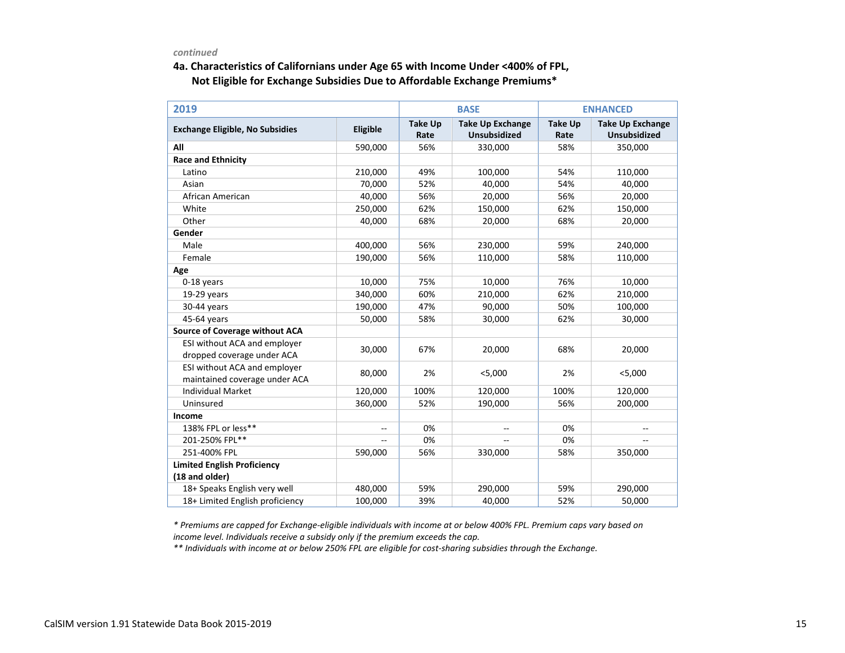### **4a. Characteristics of Californians under Age 65 with Income Under <400% of FPL, Not Eligible for Exchange Subsidies Due to Affordable Exchange Premiums\***

| 2019                                                          |          |                        | <b>BASE</b>                                    | <b>ENHANCED</b>        |                                                |  |
|---------------------------------------------------------------|----------|------------------------|------------------------------------------------|------------------------|------------------------------------------------|--|
| <b>Exchange Eligible, No Subsidies</b>                        | Eligible | <b>Take Up</b><br>Rate | <b>Take Up Exchange</b><br><b>Unsubsidized</b> | <b>Take Up</b><br>Rate | <b>Take Up Exchange</b><br><b>Unsubsidized</b> |  |
| All                                                           | 590,000  | 56%                    | 330,000                                        | 58%                    | 350,000                                        |  |
| <b>Race and Ethnicity</b>                                     |          |                        |                                                |                        |                                                |  |
| Latino                                                        | 210,000  | 49%                    | 100,000                                        | 54%                    | 110,000                                        |  |
| Asian                                                         | 70,000   | 52%                    | 40,000                                         | 54%                    | 40,000                                         |  |
| African American                                              | 40,000   | 56%                    | 20,000                                         | 56%                    | 20,000                                         |  |
| White                                                         | 250,000  | 62%                    | 150,000                                        | 62%                    | 150,000                                        |  |
| Other                                                         | 40,000   | 68%                    | 20,000                                         | 68%                    | 20,000                                         |  |
| Gender                                                        |          |                        |                                                |                        |                                                |  |
| Male                                                          | 400,000  | 56%                    | 230,000                                        | 59%                    | 240,000                                        |  |
| Female                                                        | 190,000  | 56%                    | 110,000                                        | 58%                    | 110,000                                        |  |
| Age                                                           |          |                        |                                                |                        |                                                |  |
| 0-18 years                                                    | 10,000   | 75%                    | 10,000                                         | 76%                    | 10,000                                         |  |
| $19-29$ years                                                 | 340,000  | 60%                    | 210,000                                        | 62%                    | 210,000                                        |  |
| 30-44 years                                                   | 190,000  | 47%                    | 90,000                                         | 50%                    | 100,000                                        |  |
| 45-64 years                                                   | 50,000   | 58%                    | 30,000                                         | 62%                    | 30,000                                         |  |
| <b>Source of Coverage without ACA</b>                         |          |                        |                                                |                        |                                                |  |
| ESI without ACA and employer                                  | 30,000   | 67%                    | 20,000                                         | 68%                    |                                                |  |
| dropped coverage under ACA                                    |          |                        |                                                |                        | 20,000                                         |  |
| ESI without ACA and employer<br>maintained coverage under ACA | 80,000   | 2%                     | < 5,000                                        | 2%                     | < 5,000                                        |  |
| <b>Individual Market</b>                                      | 120,000  | 100%                   | 120,000                                        | 100%                   | 120,000                                        |  |
| Uninsured                                                     | 360,000  | 52%                    | 190,000                                        | 56%                    | 200,000                                        |  |
| Income                                                        |          |                        |                                                |                        |                                                |  |
| 138% FPL or less**                                            |          | 0%                     |                                                | 0%                     |                                                |  |
| 201-250% FPL**                                                |          | 0%                     |                                                | 0%                     |                                                |  |
| 251-400% FPL                                                  | 590,000  | 56%                    | 330,000                                        | 58%                    | 350,000                                        |  |
| <b>Limited English Proficiency</b>                            |          |                        |                                                |                        |                                                |  |
| (18 and older)                                                |          |                        |                                                |                        |                                                |  |
| 18+ Speaks English very well                                  | 480,000  | 59%                    | 290,000                                        | 59%                    | 290,000                                        |  |
| 18+ Limited English proficiency                               | 100,000  | 39%                    | 40,000                                         | 52%                    | 50,000                                         |  |

*\* Premiums are capped for Exchange-eligible individuals with income at or below 400% FPL. Premium caps vary based on income level. Individuals receive a subsidy only if the premium exceeds the cap.*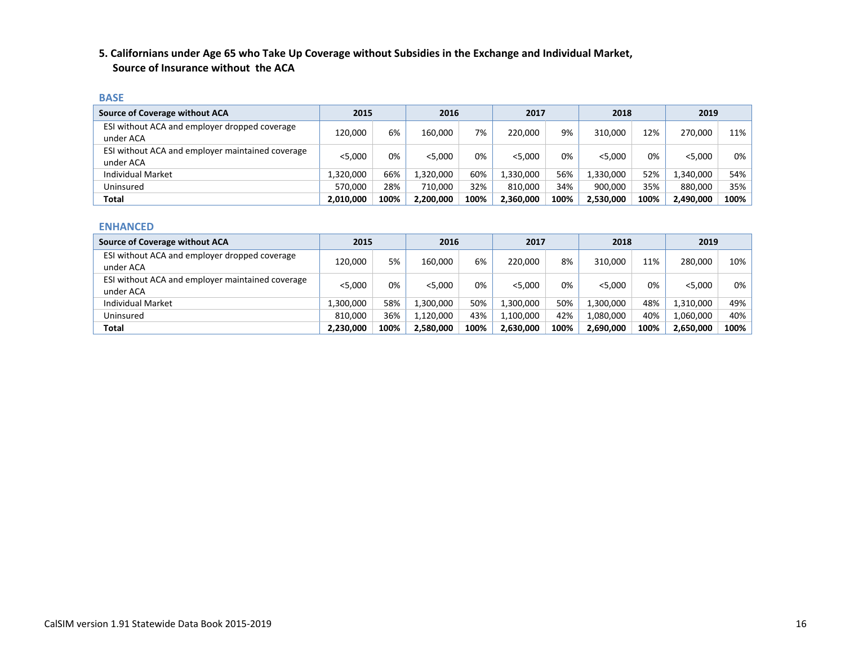### **5. Californians under Age 65 who Take Up Coverage without Subsidies in the Exchange and Individual Market, Source of Insurance without the ACA**

#### **BASE**

| <b>Source of Coverage without ACA</b>                         | 2015      |      | 2016      |      | 2017      |      | 2018      |      | 2019      |       |
|---------------------------------------------------------------|-----------|------|-----------|------|-----------|------|-----------|------|-----------|-------|
| ESI without ACA and employer dropped coverage<br>under ACA    | 120.000   | 6%   | 160,000   | 7%   | 220,000   | 9%   | 310.000   | 12%  | 270.000   | 11%   |
| ESI without ACA and employer maintained coverage<br>under ACA | < 5.000   | 0%   | < 5.000   | 0%   | < 5.000   | 0%   | < 5.000   | 0%   | < 5.000   | $0\%$ |
| <b>Individual Market</b>                                      | 1,320,000 | 66%  | 1,320,000 | 60%  | .,330,000 | 56%  | 1,330,000 | 52%  | 1,340,000 | 54%   |
| Uninsured                                                     | 570.000   | 28%  | 710.000   | 32%  | 810.000   | 34%  | 900.000   | 35%  | 880.000   | 35%   |
| Total                                                         | 2,010,000 | 100% | 2,200,000 | 100% | 2,360,000 | 100% | 2,530,000 | 100% | 2,490,000 | 100%  |

#### **ENHANCED**

| Source of Coverage without ACA                                | 2015      |      | 2016      |      | 2017      |      | 2018      |      | 2019      |       |
|---------------------------------------------------------------|-----------|------|-----------|------|-----------|------|-----------|------|-----------|-------|
| ESI without ACA and employer dropped coverage<br>under ACA    | 120,000   | 5%   | 160.000   | 6%   | 220.000   | 8%   | 310.000   | 11%  | 280.000   | 10%   |
| ESI without ACA and employer maintained coverage<br>under ACA | < 5.000   | 0%   | < 5.000   | 0%   | < 5.000   | 0%   | < 5.000   | 0%   | $<$ 5,000 | $0\%$ |
| <b>Individual Market</b>                                      | 1.300.000 | 58%  | 1,300,000 | 50%  | 1.300.000 | 50%  | 1.300.000 | 48%  | 1,310,000 | 49%   |
| Uninsured                                                     | 810,000   | 36%  | 1,120,000 | 43%  | 1.100.000 | 42%  | 1.080.000 | 40%  | 1.060.000 | 40%   |
| Total                                                         | 2,230,000 | 100% | 2,580,000 | 100% | 2,630,000 | 100% | 2,690,000 | 100% | 2,650,000 | 100%  |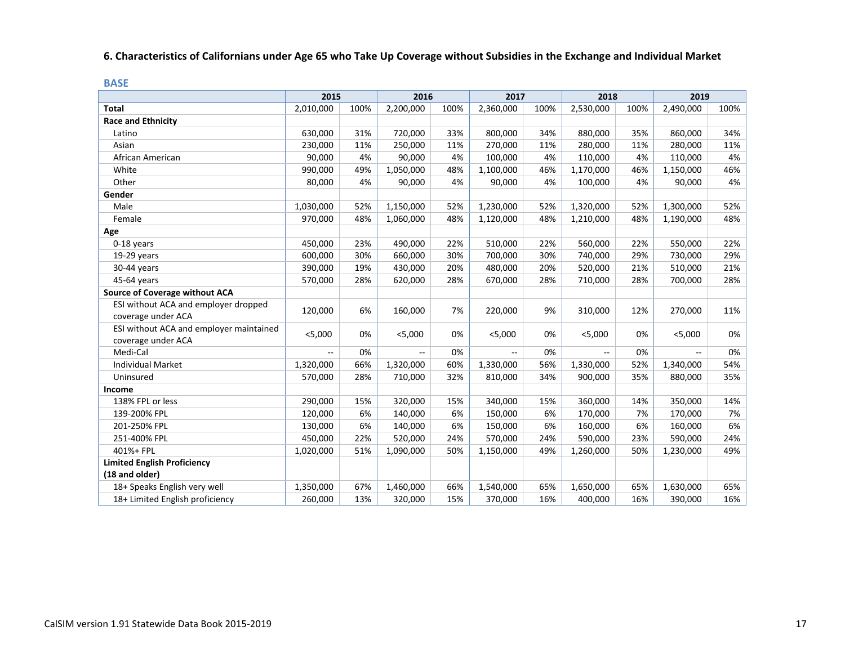## **6. Characteristics of Californians under Age 65 who Take Up Coverage without Subsidies in the Exchange and Individual Market**

|    | n.       |  |
|----|----------|--|
| ۰. |          |  |
|    | ________ |  |

|                                                               | 2015           |      | 2016                     |      | 2017                     |      | 2018         |      | 2019      |      |
|---------------------------------------------------------------|----------------|------|--------------------------|------|--------------------------|------|--------------|------|-----------|------|
| <b>Total</b>                                                  | 2,010,000      | 100% | 2,200,000                | 100% | 2,360,000                | 100% | 2,530,000    | 100% | 2,490,000 | 100% |
| <b>Race and Ethnicity</b>                                     |                |      |                          |      |                          |      |              |      |           |      |
| Latino                                                        | 630,000        | 31%  | 720,000                  | 33%  | 800,000                  | 34%  | 880,000      | 35%  | 860,000   | 34%  |
| Asian                                                         | 230,000        | 11%  | 250,000                  | 11%  | 270,000                  | 11%  | 280,000      | 11%  | 280,000   | 11%  |
| African American                                              | 90,000         | 4%   | 90,000                   | 4%   | 100,000                  | 4%   | 110,000      | 4%   | 110,000   | 4%   |
| White                                                         | 990,000        | 49%  | 1,050,000                | 48%  | 1,100,000                | 46%  | 1,170,000    | 46%  | 1,150,000 | 46%  |
| Other                                                         | 80,000         | 4%   | 90,000                   | 4%   | 90,000                   | 4%   | 100,000      | 4%   | 90,000    | 4%   |
| Gender                                                        |                |      |                          |      |                          |      |              |      |           |      |
| Male                                                          | 1,030,000      | 52%  | 1,150,000                | 52%  | 1,230,000                | 52%  | 1,320,000    | 52%  | 1,300,000 | 52%  |
| Female                                                        | 970,000        | 48%  | 1,060,000                | 48%  | 1,120,000                | 48%  | 1,210,000    | 48%  | 1,190,000 | 48%  |
| Age                                                           |                |      |                          |      |                          |      |              |      |           |      |
| 0-18 years                                                    | 450,000        | 23%  | 490,000                  | 22%  | 510,000                  | 22%  | 560,000      | 22%  | 550,000   | 22%  |
| 19-29 years                                                   | 600,000        | 30%  | 660,000                  | 30%  | 700,000                  | 30%  | 740,000      | 29%  | 730,000   | 29%  |
| 30-44 years                                                   | 390,000        | 19%  | 430,000                  | 20%  | 480,000                  | 20%  | 520,000      | 21%  | 510,000   | 21%  |
| 45-64 years                                                   | 570,000        | 28%  | 620,000                  | 28%  | 670,000                  | 28%  | 710,000      | 28%  | 700,000   | 28%  |
| <b>Source of Coverage without ACA</b>                         |                |      |                          |      |                          |      |              |      |           |      |
| ESI without ACA and employer dropped<br>coverage under ACA    | 120,000        | 6%   | 160,000                  | 7%   | 220,000                  | 9%   | 310,000      | 12%  | 270,000   | 11%  |
| ESI without ACA and employer maintained<br>coverage under ACA | $<$ 5,000      | 0%   | $<$ 5,000                | 0%   | $<$ 5,000                | 0%   | $<$ 5,000    | 0%   | $<$ 5,000 | 0%   |
| Medi-Cal                                                      | $\overline{a}$ | 0%   | $\overline{\phantom{a}}$ | 0%   | $\overline{\phantom{a}}$ | 0%   | $\mathbf{L}$ | 0%   | $-$       | 0%   |
| <b>Individual Market</b>                                      | 1,320,000      | 66%  | 1,320,000                | 60%  | 1,330,000                | 56%  | 1,330,000    | 52%  | 1,340,000 | 54%  |
| Uninsured                                                     | 570,000        | 28%  | 710,000                  | 32%  | 810,000                  | 34%  | 900,000      | 35%  | 880,000   | 35%  |
| Income                                                        |                |      |                          |      |                          |      |              |      |           |      |
| 138% FPL or less                                              | 290,000        | 15%  | 320,000                  | 15%  | 340,000                  | 15%  | 360,000      | 14%  | 350,000   | 14%  |
| 139-200% FPL                                                  | 120,000        | 6%   | 140,000                  | 6%   | 150,000                  | 6%   | 170,000      | 7%   | 170,000   | 7%   |
| 201-250% FPL                                                  | 130,000        | 6%   | 140,000                  | 6%   | 150,000                  | 6%   | 160,000      | 6%   | 160,000   | 6%   |
| 251-400% FPL                                                  | 450,000        | 22%  | 520,000                  | 24%  | 570,000                  | 24%  | 590,000      | 23%  | 590,000   | 24%  |
| 401%+ FPL                                                     | 1,020,000      | 51%  | 1,090,000                | 50%  | 1,150,000                | 49%  | 1,260,000    | 50%  | 1,230,000 | 49%  |
| <b>Limited English Proficiency</b>                            |                |      |                          |      |                          |      |              |      |           |      |
| (18 and older)                                                |                |      |                          |      |                          |      |              |      |           |      |
| 18+ Speaks English very well                                  | 1,350,000      | 67%  | 1,460,000                | 66%  | 1,540,000                | 65%  | 1,650,000    | 65%  | 1,630,000 | 65%  |
| 18+ Limited English proficiency                               | 260,000        | 13%  | 320,000                  | 15%  | 370,000                  | 16%  | 400,000      | 16%  | 390,000   | 16%  |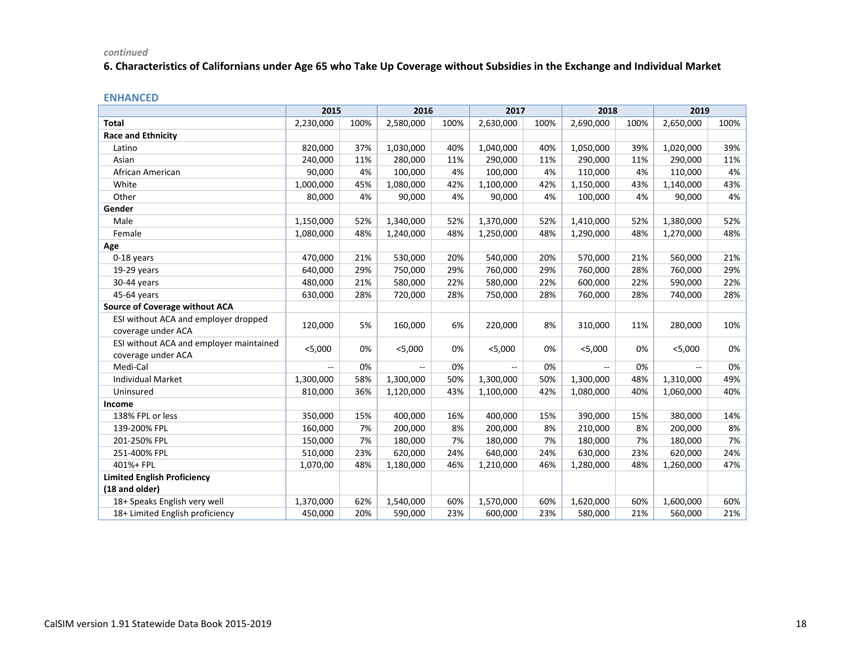### **6. Characteristics of Californians under Age 65 who Take Up Coverage without Subsidies in the Exchange and Individual Market**

|                                                               | 2015      |      | 2016      |      | 2017      |      | 2018      |      | 2019      |      |
|---------------------------------------------------------------|-----------|------|-----------|------|-----------|------|-----------|------|-----------|------|
| <b>Total</b>                                                  | 2,230,000 | 100% | 2,580,000 | 100% | 2,630,000 | 100% | 2,690,000 | 100% | 2,650,000 | 100% |
| <b>Race and Ethnicity</b>                                     |           |      |           |      |           |      |           |      |           |      |
| Latino                                                        | 820,000   | 37%  | 1,030,000 | 40%  | 1,040,000 | 40%  | 1,050,000 | 39%  | 1,020,000 | 39%  |
| Asian                                                         | 240,000   | 11%  | 280,000   | 11%  | 290,000   | 11%  | 290,000   | 11%  | 290,000   | 11%  |
| African American                                              | 90,000    | 4%   | 100,000   | 4%   | 100,000   | 4%   | 110,000   | 4%   | 110,000   | 4%   |
| White                                                         | 1,000,000 | 45%  | 1,080,000 | 42%  | 1,100,000 | 42%  | 1,150,000 | 43%  | 1,140,000 | 43%  |
| Other                                                         | 80,000    | 4%   | 90,000    | 4%   | 90,000    | 4%   | 100,000   | 4%   | 90,000    | 4%   |
| Gender                                                        |           |      |           |      |           |      |           |      |           |      |
| Male                                                          | 1,150,000 | 52%  | 1,340,000 | 52%  | 1,370,000 | 52%  | 1,410,000 | 52%  | 1,380,000 | 52%  |
| Female                                                        | 1,080,000 | 48%  | 1,240,000 | 48%  | 1,250,000 | 48%  | 1,290,000 | 48%  | 1,270,000 | 48%  |
| Age                                                           |           |      |           |      |           |      |           |      |           |      |
| 0-18 years                                                    | 470,000   | 21%  | 530,000   | 20%  | 540,000   | 20%  | 570,000   | 21%  | 560,000   | 21%  |
| 19-29 years                                                   | 640,000   | 29%  | 750,000   | 29%  | 760,000   | 29%  | 760,000   | 28%  | 760,000   | 29%  |
| 30-44 years                                                   | 480,000   | 21%  | 580,000   | 22%  | 580,000   | 22%  | 600,000   | 22%  | 590,000   | 22%  |
| 45-64 years                                                   | 630,000   | 28%  | 720,000   | 28%  | 750,000   | 28%  | 760,000   | 28%  | 740,000   | 28%  |
| <b>Source of Coverage without ACA</b>                         |           |      |           |      |           |      |           |      |           |      |
| ESI without ACA and employer dropped<br>coverage under ACA    | 120,000   | 5%   | 160,000   | 6%   | 220,000   | 8%   | 310,000   | 11%  | 280,000   | 10%  |
| ESI without ACA and employer maintained<br>coverage under ACA | $<$ 5,000 | 0%   | < 5,000   | 0%   | $<$ 5,000 | 0%   | $<$ 5,000 | 0%   | $<$ 5,000 | 0%   |
| Medi-Cal                                                      | $-$       | 0%   | $-$       | 0%   |           | 0%   | $-$       | 0%   |           | 0%   |
| <b>Individual Market</b>                                      | 1,300,000 | 58%  | 1,300,000 | 50%  | 1,300,000 | 50%  | 1,300,000 | 48%  | 1,310,000 | 49%  |
| Uninsured                                                     | 810,000   | 36%  | 1,120,000 | 43%  | 1,100,000 | 42%  | 1,080,000 | 40%  | 1,060,000 | 40%  |
| <b>Income</b>                                                 |           |      |           |      |           |      |           |      |           |      |
| 138% FPL or less                                              | 350,000   | 15%  | 400,000   | 16%  | 400,000   | 15%  | 390,000   | 15%  | 380,000   | 14%  |
| 139-200% FPL                                                  | 160,000   | 7%   | 200,000   | 8%   | 200,000   | 8%   | 210,000   | 8%   | 200,000   | 8%   |
| 201-250% FPL                                                  | 150,000   | 7%   | 180,000   | 7%   | 180,000   | 7%   | 180,000   | 7%   | 180,000   | 7%   |
| 251-400% FPL                                                  | 510,000   | 23%  | 620,000   | 24%  | 640,000   | 24%  | 630,000   | 23%  | 620,000   | 24%  |
| 401%+ FPL                                                     | 1,070,00  | 48%  | 1,180,000 | 46%  | 1,210,000 | 46%  | 1,280,000 | 48%  | 1,260,000 | 47%  |
| <b>Limited English Proficiency</b>                            |           |      |           |      |           |      |           |      |           |      |
| (18 and older)                                                |           |      |           |      |           |      |           |      |           |      |
| 18+ Speaks English very well                                  | 1,370,000 | 62%  | 1,540,000 | 60%  | 1,570,000 | 60%  | 1,620,000 | 60%  | 1,600,000 | 60%  |
| 18+ Limited English proficiency                               | 450,000   | 20%  | 590,000   | 23%  | 600,000   | 23%  | 580,000   | 21%  | 560,000   | 21%  |

#### **ENHANCED**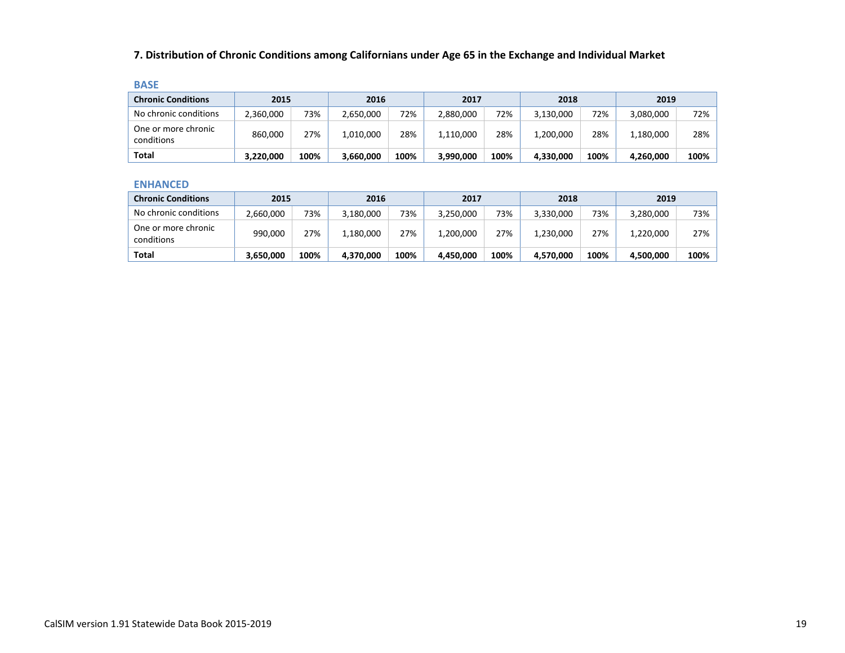## **7. Distribution of Chronic Conditions among Californians under Age 65 in the Exchange and Individual Market**

| . . |      |  |
|-----|------|--|
| ۰.  | ____ |  |

| <b>Chronic Conditions</b>         | 2015      |      | 2016      |      | 2017      |      | 2018      |      | 2019      |      |
|-----------------------------------|-----------|------|-----------|------|-----------|------|-----------|------|-----------|------|
| No chronic conditions             | 2,360,000 | 73%  | 2,650,000 | 72%  | 2,880,000 | 72%  | 3,130,000 | 72%  | 3,080,000 | 72%  |
| One or more chronic<br>conditions | 860,000   | 27%  | 1,010,000 | 28%  | 1,110,000 | 28%  | 1,200,000 | 28%  | 1,180,000 | 28%  |
| Total                             | 3,220,000 | 100% | 3,660,000 | 100% | 3,990,000 | 100% | 4,330,000 | 100% | 4,260,000 | 100% |

#### **ENHANCED**

| <b>Chronic Conditions</b>         | 2015      |      | 2016      |      | 2017      |      | 2018      |      | 2019      |      |
|-----------------------------------|-----------|------|-----------|------|-----------|------|-----------|------|-----------|------|
| No chronic conditions             | 2,660,000 | 73%  | 3,180,000 | 73%  | 3,250,000 | 73%  | 3.330.000 | 73%  | 3,280,000 | 73%  |
| One or more chronic<br>conditions | 990,000   | 27%  | 1,180,000 | 27%  | 1,200,000 | 27%  | 1,230,000 | 27%  | 1,220,000 | 27%  |
| Total                             | 3,650,000 | 100% | 4,370,000 | 100% | 4.450.000 | 100% | 4,570,000 | 100% | 4,500,000 | 100% |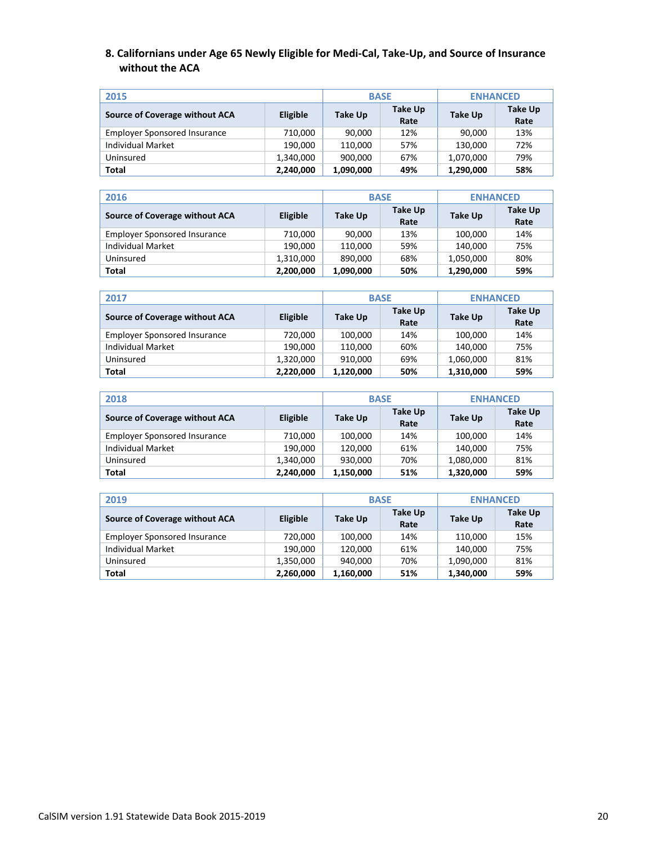### **8. Californians under Age 65 Newly Eligible for Medi-Cal, Take-Up, and Source of Insurance without the ACA**

| 2015                                |           |           | <b>BASE</b>     | <b>ENHANCED</b> |                 |  |
|-------------------------------------|-----------|-----------|-----------------|-----------------|-----------------|--|
| Source of Coverage without ACA      | Eligible  | Take Up   | Take Up<br>Rate | Take Up         | Take Up<br>Rate |  |
| <b>Employer Sponsored Insurance</b> | 710,000   | 90,000    | 12%             | 90,000          | 13%             |  |
| Individual Market                   | 190.000   | 110.000   | 57%             | 130.000         | 72%             |  |
| Uninsured                           | 1,340,000 | 900,000   | 67%             | 1,070,000       | 79%             |  |
| Total                               | 2,240,000 | 1,090,000 | 49%             | 1,290,000       | 58%             |  |

| 2016                                |           | <b>BASE</b> |                 | <b>ENHANCED</b> |                 |  |
|-------------------------------------|-----------|-------------|-----------------|-----------------|-----------------|--|
| Source of Coverage without ACA      | Eligible  | Take Up     | Take Up<br>Rate | Take Up         | Take Up<br>Rate |  |
| <b>Employer Sponsored Insurance</b> | 710,000   | 90,000      | 13%             | 100,000         | 14%             |  |
| <b>Individual Market</b>            | 190,000   | 110,000     | 59%             | 140,000         | 75%             |  |
| Uninsured                           | 1,310,000 | 890,000     | 68%             | 1,050,000       | 80%             |  |
| Total                               | 2,200,000 | 1,090,000   | 50%             | 1,290,000       | 59%             |  |

| 2017                                |           | <b>BASE</b> |                 | <b>ENHANCED</b> |                 |  |
|-------------------------------------|-----------|-------------|-----------------|-----------------|-----------------|--|
| Source of Coverage without ACA      | Eligible  | Take Up     | Take Up<br>Rate | Take Up         | Take Up<br>Rate |  |
| <b>Employer Sponsored Insurance</b> | 720,000   | 100,000     | 14%             | 100,000         | 14%             |  |
| Individual Market                   | 190.000   | 110.000     | 60%             | 140,000         | 75%             |  |
| Uninsured                           | 1,320,000 | 910.000     | 69%             | 1,060,000       | 81%             |  |
| Total                               | 2,220,000 | 1,120,000   | 50%             | 1,310,000       | 59%             |  |

| 2018                                |           | <b>BASE</b> |                        | <b>ENHANCED</b> |                 |  |
|-------------------------------------|-----------|-------------|------------------------|-----------------|-----------------|--|
| Source of Coverage without ACA      | Eligible  | Take Up     | <b>Take Up</b><br>Rate | <b>Take Up</b>  | Take Up<br>Rate |  |
| <b>Employer Sponsored Insurance</b> | 710,000   | 100.000     | 14%                    | 100,000         | 14%             |  |
| <b>Individual Market</b>            | 190,000   | 120.000     | 61%                    | 140.000         | 75%             |  |
| Uninsured                           | 1,340,000 | 930,000     | 70%                    | 1,080,000       | 81%             |  |
| Total                               | 2,240,000 | 1,150,000   | 51%                    | 1,320,000       | 59%             |  |

| 2019                                |           | <b>BASE</b> |                 | <b>ENHANCED</b> |                 |  |
|-------------------------------------|-----------|-------------|-----------------|-----------------|-----------------|--|
| Source of Coverage without ACA      | Eligible  | Take Up     | Take Up<br>Rate | Take Up         | Take Up<br>Rate |  |
| <b>Employer Sponsored Insurance</b> | 720,000   | 100,000     | 14%             | 110,000         | 15%             |  |
| <b>Individual Market</b>            | 190,000   | 120.000     | 61%             | 140,000         | 75%             |  |
| Uninsured                           | 1,350,000 | 940,000     | 70%             | 1,090,000       | 81%             |  |
| Total                               | 2,260,000 | 1,160,000   | 51%             | 1,340,000       | 59%             |  |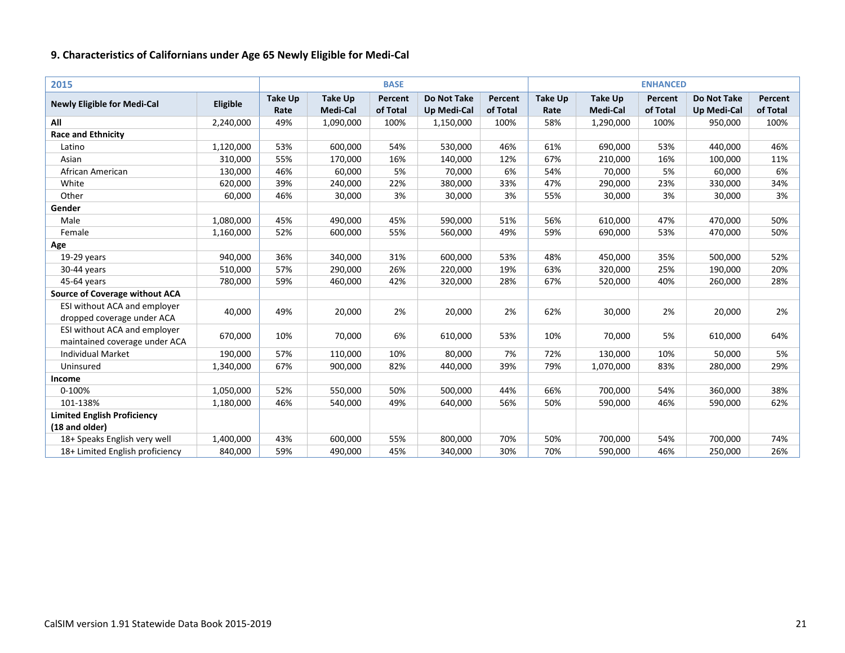| 2015                                                          |           |                        |                                   | <b>BASE</b>         |                                          |                     | <b>ENHANCED</b>        |                                   |                     |                                          |                     |
|---------------------------------------------------------------|-----------|------------------------|-----------------------------------|---------------------|------------------------------------------|---------------------|------------------------|-----------------------------------|---------------------|------------------------------------------|---------------------|
| <b>Newly Eligible for Medi-Cal</b>                            | Eligible  | <b>Take Up</b><br>Rate | <b>Take Up</b><br><b>Medi-Cal</b> | Percent<br>of Total | <b>Do Not Take</b><br><b>Up Medi-Cal</b> | Percent<br>of Total | <b>Take Up</b><br>Rate | <b>Take Up</b><br><b>Medi-Cal</b> | Percent<br>of Total | <b>Do Not Take</b><br><b>Up Medi-Cal</b> | Percent<br>of Total |
| All                                                           | 2,240,000 | 49%                    | 1,090,000                         | 100%                | 1,150,000                                | 100%                | 58%                    | 1,290,000                         | 100%                | 950,000                                  | 100%                |
| <b>Race and Ethnicity</b>                                     |           |                        |                                   |                     |                                          |                     |                        |                                   |                     |                                          |                     |
| Latino                                                        | 1,120,000 | 53%                    | 600,000                           | 54%                 | 530,000                                  | 46%                 | 61%                    | 690,000                           | 53%                 | 440,000                                  | 46%                 |
| Asian                                                         | 310,000   | 55%                    | 170,000                           | 16%                 | 140,000                                  | 12%                 | 67%                    | 210,000                           | 16%                 | 100,000                                  | 11%                 |
| African American                                              | 130,000   | 46%                    | 60,000                            | 5%                  | 70,000                                   | 6%                  | 54%                    | 70,000                            | 5%                  | 60,000                                   | 6%                  |
| White                                                         | 620,000   | 39%                    | 240,000                           | 22%                 | 380,000                                  | 33%                 | 47%                    | 290,000                           | 23%                 | 330,000                                  | 34%                 |
| Other                                                         | 60,000    | 46%                    | 30,000                            | 3%                  | 30,000                                   | 3%                  | 55%                    | 30,000                            | 3%                  | 30,000                                   | 3%                  |
| Gender                                                        |           |                        |                                   |                     |                                          |                     |                        |                                   |                     |                                          |                     |
| Male                                                          | 1,080,000 | 45%                    | 490,000                           | 45%                 | 590,000                                  | 51%                 | 56%                    | 610,000                           | 47%                 | 470,000                                  | 50%                 |
| Female                                                        | 1,160,000 | 52%                    | 600,000                           | 55%                 | 560,000                                  | 49%                 | 59%                    | 690,000                           | 53%                 | 470,000                                  | 50%                 |
| Age                                                           |           |                        |                                   |                     |                                          |                     |                        |                                   |                     |                                          |                     |
| $19-29$ years                                                 | 940,000   | 36%                    | 340,000                           | 31%                 | 600,000                                  | 53%                 | 48%                    | 450,000                           | 35%                 | 500,000                                  | 52%                 |
| 30-44 years                                                   | 510,000   | 57%                    | 290,000                           | 26%                 | 220,000                                  | 19%                 | 63%                    | 320,000                           | 25%                 | 190,000                                  | 20%                 |
| 45-64 years                                                   | 780,000   | 59%                    | 460,000                           | 42%                 | 320,000                                  | 28%                 | 67%                    | 520,000                           | 40%                 | 260,000                                  | 28%                 |
| <b>Source of Coverage without ACA</b>                         |           |                        |                                   |                     |                                          |                     |                        |                                   |                     |                                          |                     |
| ESI without ACA and employer<br>dropped coverage under ACA    | 40,000    | 49%                    | 20,000                            | 2%                  | 20,000                                   | 2%                  | 62%                    | 30,000                            | 2%                  | 20,000                                   | 2%                  |
| ESI without ACA and employer<br>maintained coverage under ACA | 670,000   | 10%                    | 70,000                            | 6%                  | 610,000                                  | 53%                 | 10%                    | 70,000                            | 5%                  | 610,000                                  | 64%                 |
| <b>Individual Market</b>                                      | 190,000   | 57%                    | 110,000                           | 10%                 | 80,000                                   | 7%                  | 72%                    | 130,000                           | 10%                 | 50,000                                   | 5%                  |
| Uninsured                                                     | 1,340,000 | 67%                    | 900,000                           | 82%                 | 440,000                                  | 39%                 | 79%                    | 1,070,000                         | 83%                 | 280,000                                  | 29%                 |
| Income                                                        |           |                        |                                   |                     |                                          |                     |                        |                                   |                     |                                          |                     |
| 0-100%                                                        | 1,050,000 | 52%                    | 550,000                           | 50%                 | 500,000                                  | 44%                 | 66%                    | 700,000                           | 54%                 | 360,000                                  | 38%                 |
| 101-138%                                                      | 1,180,000 | 46%                    | 540,000                           | 49%                 | 640,000                                  | 56%                 | 50%                    | 590,000                           | 46%                 | 590,000                                  | 62%                 |
| <b>Limited English Proficiency</b>                            |           |                        |                                   |                     |                                          |                     |                        |                                   |                     |                                          |                     |
| (18 and older)                                                |           |                        |                                   |                     |                                          |                     |                        |                                   |                     |                                          |                     |
| 18+ Speaks English very well                                  | 1,400,000 | 43%                    | 600,000                           | 55%                 | 800,000                                  | 70%                 | 50%                    | 700,000                           | 54%                 | 700,000                                  | 74%                 |
| 18+ Limited English proficiency                               | 840,000   | 59%                    | 490,000                           | 45%                 | 340,000                                  | 30%                 | 70%                    | 590,000                           | 46%                 | 250,000                                  | 26%                 |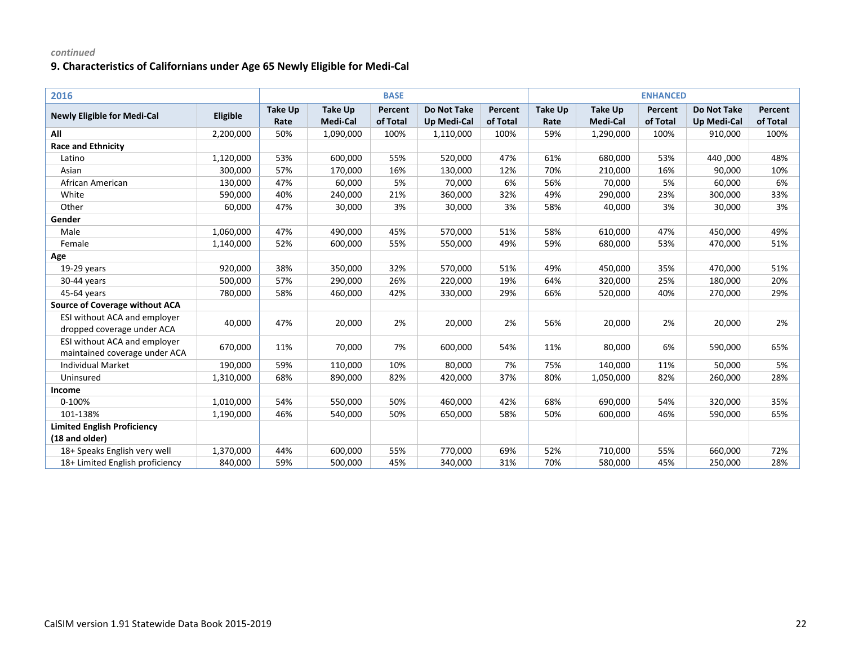| 2016                                                          |           |                        |                                   | <b>BASE</b>         |                                          |                     |                        |                            | <b>ENHANCED</b>     |                                          |                     |
|---------------------------------------------------------------|-----------|------------------------|-----------------------------------|---------------------|------------------------------------------|---------------------|------------------------|----------------------------|---------------------|------------------------------------------|---------------------|
| <b>Newly Eligible for Medi-Cal</b>                            | Eligible  | <b>Take Up</b><br>Rate | <b>Take Up</b><br><b>Medi-Cal</b> | Percent<br>of Total | <b>Do Not Take</b><br><b>Up Medi-Cal</b> | Percent<br>of Total | <b>Take Up</b><br>Rate | <b>Take Up</b><br>Medi-Cal | Percent<br>of Total | <b>Do Not Take</b><br><b>Up Medi-Cal</b> | Percent<br>of Total |
| All                                                           | 2,200,000 | 50%                    | 1,090,000                         | 100%                | 1,110,000                                | 100%                | 59%                    | 1,290,000                  | 100%                | 910,000                                  | 100%                |
| <b>Race and Ethnicity</b>                                     |           |                        |                                   |                     |                                          |                     |                        |                            |                     |                                          |                     |
| Latino                                                        | 1,120,000 | 53%                    | 600,000                           | 55%                 | 520,000                                  | 47%                 | 61%                    | 680,000                    | 53%                 | 440,000                                  | 48%                 |
| Asian                                                         | 300,000   | 57%                    | 170,000                           | 16%                 | 130,000                                  | 12%                 | 70%                    | 210,000                    | 16%                 | 90,000                                   | 10%                 |
| African American                                              | 130,000   | 47%                    | 60,000                            | 5%                  | 70,000                                   | 6%                  | 56%                    | 70,000                     | 5%                  | 60,000                                   | 6%                  |
| White                                                         | 590,000   | 40%                    | 240,000                           | 21%                 | 360,000                                  | 32%                 | 49%                    | 290,000                    | 23%                 | 300,000                                  | 33%                 |
| Other                                                         | 60,000    | 47%                    | 30,000                            | 3%                  | 30,000                                   | 3%                  | 58%                    | 40,000                     | 3%                  | 30,000                                   | 3%                  |
| Gender                                                        |           |                        |                                   |                     |                                          |                     |                        |                            |                     |                                          |                     |
| Male                                                          | 1,060,000 | 47%                    | 490,000                           | 45%                 | 570,000                                  | 51%                 | 58%                    | 610,000                    | 47%                 | 450,000                                  | 49%                 |
| Female                                                        | 1,140,000 | 52%                    | 600,000                           | 55%                 | 550,000                                  | 49%                 | 59%                    | 680,000                    | 53%                 | 470,000                                  | 51%                 |
| Age                                                           |           |                        |                                   |                     |                                          |                     |                        |                            |                     |                                          |                     |
| 19-29 years                                                   | 920,000   | 38%                    | 350,000                           | 32%                 | 570,000                                  | 51%                 | 49%                    | 450,000                    | 35%                 | 470,000                                  | 51%                 |
| 30-44 years                                                   | 500,000   | 57%                    | 290,000                           | 26%                 | 220,000                                  | 19%                 | 64%                    | 320,000                    | 25%                 | 180,000                                  | 20%                 |
| 45-64 years                                                   | 780,000   | 58%                    | 460,000                           | 42%                 | 330,000                                  | 29%                 | 66%                    | 520,000                    | 40%                 | 270,000                                  | 29%                 |
| <b>Source of Coverage without ACA</b>                         |           |                        |                                   |                     |                                          |                     |                        |                            |                     |                                          |                     |
| ESI without ACA and employer<br>dropped coverage under ACA    | 40,000    | 47%                    | 20,000                            | 2%                  | 20,000                                   | 2%                  | 56%                    | 20,000                     | 2%                  | 20,000                                   | 2%                  |
| ESI without ACA and employer<br>maintained coverage under ACA | 670,000   | 11%                    | 70,000                            | 7%                  | 600,000                                  | 54%                 | 11%                    | 80,000                     | 6%                  | 590,000                                  | 65%                 |
| <b>Individual Market</b>                                      | 190,000   | 59%                    | 110,000                           | 10%                 | 80,000                                   | 7%                  | 75%                    | 140,000                    | 11%                 | 50,000                                   | 5%                  |
| Uninsured                                                     | 1,310,000 | 68%                    | 890,000                           | 82%                 | 420,000                                  | 37%                 | 80%                    | 1,050,000                  | 82%                 | 260,000                                  | 28%                 |
| Income                                                        |           |                        |                                   |                     |                                          |                     |                        |                            |                     |                                          |                     |
| 0-100%                                                        | 1,010,000 | 54%                    | 550,000                           | 50%                 | 460,000                                  | 42%                 | 68%                    | 690,000                    | 54%                 | 320,000                                  | 35%                 |
| 101-138%                                                      | 1,190,000 | 46%                    | 540,000                           | 50%                 | 650,000                                  | 58%                 | 50%                    | 600,000                    | 46%                 | 590,000                                  | 65%                 |
| <b>Limited English Proficiency</b>                            |           |                        |                                   |                     |                                          |                     |                        |                            |                     |                                          |                     |
| (18 and older)                                                |           |                        |                                   |                     |                                          |                     |                        |                            |                     |                                          |                     |
| 18+ Speaks English very well                                  | 1,370,000 | 44%                    | 600,000                           | 55%                 | 770,000                                  | 69%                 | 52%                    | 710,000                    | 55%                 | 660,000                                  | 72%                 |
| 18+ Limited English proficiency                               | 840,000   | 59%                    | 500,000                           | 45%                 | 340,000                                  | 31%                 | 70%                    | 580,000                    | 45%                 | 250,000                                  | 28%                 |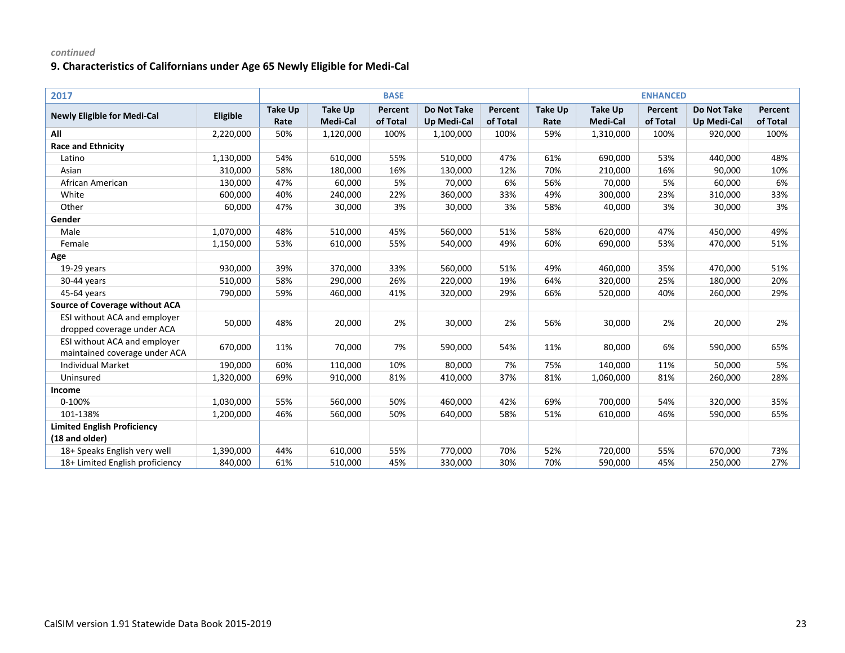| 2017                                                          |           |                        |                                   | <b>BASE</b>         |                                          |                     | <b>ENHANCED</b>        |                            |                     |                                          |                     |
|---------------------------------------------------------------|-----------|------------------------|-----------------------------------|---------------------|------------------------------------------|---------------------|------------------------|----------------------------|---------------------|------------------------------------------|---------------------|
| <b>Newly Eligible for Medi-Cal</b>                            | Eligible  | <b>Take Up</b><br>Rate | <b>Take Up</b><br><b>Medi-Cal</b> | Percent<br>of Total | <b>Do Not Take</b><br><b>Up Medi-Cal</b> | Percent<br>of Total | <b>Take Up</b><br>Rate | <b>Take Up</b><br>Medi-Cal | Percent<br>of Total | <b>Do Not Take</b><br><b>Up Medi-Cal</b> | Percent<br>of Total |
| All                                                           | 2,220,000 | 50%                    | 1,120,000                         | 100%                | 1,100,000                                | 100%                | 59%                    | 1,310,000                  | 100%                | 920,000                                  | 100%                |
| <b>Race and Ethnicity</b>                                     |           |                        |                                   |                     |                                          |                     |                        |                            |                     |                                          |                     |
| Latino                                                        | 1,130,000 | 54%                    | 610,000                           | 55%                 | 510,000                                  | 47%                 | 61%                    | 690,000                    | 53%                 | 440,000                                  | 48%                 |
| Asian                                                         | 310,000   | 58%                    | 180,000                           | 16%                 | 130,000                                  | 12%                 | 70%                    | 210,000                    | 16%                 | 90,000                                   | 10%                 |
| African American                                              | 130,000   | 47%                    | 60,000                            | 5%                  | 70,000                                   | 6%                  | 56%                    | 70,000                     | 5%                  | 60,000                                   | 6%                  |
| White                                                         | 600,000   | 40%                    | 240,000                           | 22%                 | 360,000                                  | 33%                 | 49%                    | 300,000                    | 23%                 | 310,000                                  | 33%                 |
| Other                                                         | 60,000    | 47%                    | 30,000                            | 3%                  | 30,000                                   | 3%                  | 58%                    | 40,000                     | 3%                  | 30,000                                   | 3%                  |
| Gender                                                        |           |                        |                                   |                     |                                          |                     |                        |                            |                     |                                          |                     |
| Male                                                          | 1,070,000 | 48%                    | 510,000                           | 45%                 | 560,000                                  | 51%                 | 58%                    | 620,000                    | 47%                 | 450,000                                  | 49%                 |
| Female                                                        | 1,150,000 | 53%                    | 610,000                           | 55%                 | 540,000                                  | 49%                 | 60%                    | 690,000                    | 53%                 | 470,000                                  | 51%                 |
| Age                                                           |           |                        |                                   |                     |                                          |                     |                        |                            |                     |                                          |                     |
| 19-29 years                                                   | 930,000   | 39%                    | 370,000                           | 33%                 | 560,000                                  | 51%                 | 49%                    | 460,000                    | 35%                 | 470,000                                  | 51%                 |
| 30-44 years                                                   | 510,000   | 58%                    | 290,000                           | 26%                 | 220,000                                  | 19%                 | 64%                    | 320,000                    | 25%                 | 180,000                                  | 20%                 |
| 45-64 years                                                   | 790,000   | 59%                    | 460,000                           | 41%                 | 320,000                                  | 29%                 | 66%                    | 520,000                    | 40%                 | 260,000                                  | 29%                 |
| <b>Source of Coverage without ACA</b>                         |           |                        |                                   |                     |                                          |                     |                        |                            |                     |                                          |                     |
| ESI without ACA and employer<br>dropped coverage under ACA    | 50,000    | 48%                    | 20,000                            | 2%                  | 30,000                                   | 2%                  | 56%                    | 30,000                     | 2%                  | 20,000                                   | 2%                  |
| ESI without ACA and employer<br>maintained coverage under ACA | 670,000   | 11%                    | 70,000                            | 7%                  | 590,000                                  | 54%                 | 11%                    | 80,000                     | 6%                  | 590,000                                  | 65%                 |
| <b>Individual Market</b>                                      | 190,000   | 60%                    | 110,000                           | 10%                 | 80,000                                   | 7%                  | 75%                    | 140,000                    | 11%                 | 50,000                                   | 5%                  |
| Uninsured                                                     | 1,320,000 | 69%                    | 910,000                           | 81%                 | 410,000                                  | 37%                 | 81%                    | 1,060,000                  | 81%                 | 260,000                                  | 28%                 |
| Income                                                        |           |                        |                                   |                     |                                          |                     |                        |                            |                     |                                          |                     |
| 0-100%                                                        | 1,030,000 | 55%                    | 560,000                           | 50%                 | 460,000                                  | 42%                 | 69%                    | 700,000                    | 54%                 | 320,000                                  | 35%                 |
| 101-138%                                                      | 1,200,000 | 46%                    | 560,000                           | 50%                 | 640,000                                  | 58%                 | 51%                    | 610,000                    | 46%                 | 590,000                                  | 65%                 |
| <b>Limited English Proficiency</b>                            |           |                        |                                   |                     |                                          |                     |                        |                            |                     |                                          |                     |
| (18 and older)                                                |           |                        |                                   |                     |                                          |                     |                        |                            |                     |                                          |                     |
| 18+ Speaks English very well                                  | 1,390,000 | 44%                    | 610,000                           | 55%                 | 770,000                                  | 70%                 | 52%                    | 720,000                    | 55%                 | 670,000                                  | 73%                 |
| 18+ Limited English proficiency                               | 840,000   | 61%                    | 510,000                           | 45%                 | 330,000                                  | 30%                 | 70%                    | 590,000                    | 45%                 | 250,000                                  | 27%                 |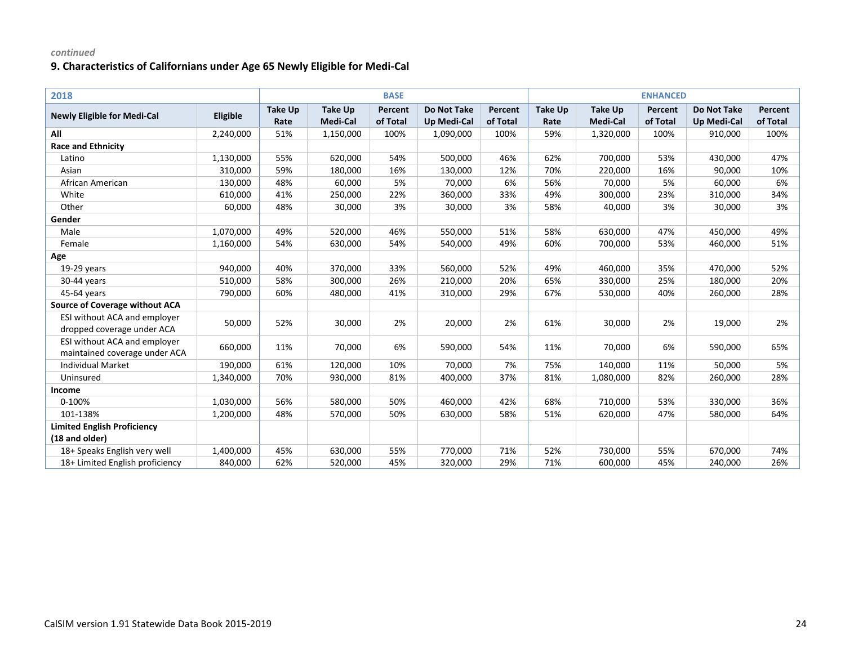| 2018                                                          |           |                        |                            | <b>BASE</b>         |                                          |                     | <b>ENHANCED</b>        |                            |                     |                                          |                     |
|---------------------------------------------------------------|-----------|------------------------|----------------------------|---------------------|------------------------------------------|---------------------|------------------------|----------------------------|---------------------|------------------------------------------|---------------------|
| <b>Newly Eligible for Medi-Cal</b>                            | Eligible  | <b>Take Up</b><br>Rate | <b>Take Up</b><br>Medi-Cal | Percent<br>of Total | <b>Do Not Take</b><br><b>Up Medi-Cal</b> | Percent<br>of Total | <b>Take Up</b><br>Rate | <b>Take Up</b><br>Medi-Cal | Percent<br>of Total | <b>Do Not Take</b><br><b>Up Medi-Cal</b> | Percent<br>of Total |
| All                                                           | 2,240,000 | 51%                    | 1,150,000                  | 100%                | 1,090,000                                | 100%                | 59%                    | 1,320,000                  | 100%                | 910,000                                  | 100%                |
| <b>Race and Ethnicity</b>                                     |           |                        |                            |                     |                                          |                     |                        |                            |                     |                                          |                     |
| Latino                                                        | 1,130,000 | 55%                    | 620,000                    | 54%                 | 500,000                                  | 46%                 | 62%                    | 700,000                    | 53%                 | 430,000                                  | 47%                 |
| Asian                                                         | 310,000   | 59%                    | 180,000                    | 16%                 | 130,000                                  | 12%                 | 70%                    | 220,000                    | 16%                 | 90,000                                   | 10%                 |
| African American                                              | 130,000   | 48%                    | 60,000                     | 5%                  | 70,000                                   | 6%                  | 56%                    | 70,000                     | 5%                  | 60,000                                   | 6%                  |
| White                                                         | 610,000   | 41%                    | 250,000                    | 22%                 | 360,000                                  | 33%                 | 49%                    | 300,000                    | 23%                 | 310,000                                  | 34%                 |
| Other                                                         | 60,000    | 48%                    | 30,000                     | 3%                  | 30,000                                   | 3%                  | 58%                    | 40,000                     | 3%                  | 30,000                                   | 3%                  |
| Gender                                                        |           |                        |                            |                     |                                          |                     |                        |                            |                     |                                          |                     |
| Male                                                          | 1,070,000 | 49%                    | 520,000                    | 46%                 | 550,000                                  | 51%                 | 58%                    | 630,000                    | 47%                 | 450,000                                  | 49%                 |
| Female                                                        | 1,160,000 | 54%                    | 630,000                    | 54%                 | 540,000                                  | 49%                 | 60%                    | 700,000                    | 53%                 | 460,000                                  | 51%                 |
| Age                                                           |           |                        |                            |                     |                                          |                     |                        |                            |                     |                                          |                     |
| 19-29 years                                                   | 940,000   | 40%                    | 370,000                    | 33%                 | 560,000                                  | 52%                 | 49%                    | 460,000                    | 35%                 | 470,000                                  | 52%                 |
| 30-44 years                                                   | 510,000   | 58%                    | 300,000                    | 26%                 | 210,000                                  | 20%                 | 65%                    | 330,000                    | 25%                 | 180,000                                  | 20%                 |
| 45-64 years                                                   | 790,000   | 60%                    | 480,000                    | 41%                 | 310,000                                  | 29%                 | 67%                    | 530,000                    | 40%                 | 260,000                                  | 28%                 |
| <b>Source of Coverage without ACA</b>                         |           |                        |                            |                     |                                          |                     |                        |                            |                     |                                          |                     |
| ESI without ACA and employer<br>dropped coverage under ACA    | 50,000    | 52%                    | 30,000                     | 2%                  | 20,000                                   | 2%                  | 61%                    | 30,000                     | 2%                  | 19,000                                   | 2%                  |
| ESI without ACA and employer<br>maintained coverage under ACA | 660,000   | 11%                    | 70,000                     | 6%                  | 590,000                                  | 54%                 | 11%                    | 70,000                     | 6%                  | 590,000                                  | 65%                 |
| <b>Individual Market</b>                                      | 190,000   | 61%                    | 120,000                    | 10%                 | 70,000                                   | 7%                  | 75%                    | 140,000                    | 11%                 | 50,000                                   | 5%                  |
| Uninsured                                                     | 1,340,000 | 70%                    | 930,000                    | 81%                 | 400,000                                  | 37%                 | 81%                    | 1,080,000                  | 82%                 | 260,000                                  | 28%                 |
| Income                                                        |           |                        |                            |                     |                                          |                     |                        |                            |                     |                                          |                     |
| 0-100%                                                        | 1,030,000 | 56%                    | 580,000                    | 50%                 | 460,000                                  | 42%                 | 68%                    | 710,000                    | 53%                 | 330,000                                  | 36%                 |
| 101-138%                                                      | 1,200,000 | 48%                    | 570,000                    | 50%                 | 630,000                                  | 58%                 | 51%                    | 620,000                    | 47%                 | 580,000                                  | 64%                 |
| <b>Limited English Proficiency</b>                            |           |                        |                            |                     |                                          |                     |                        |                            |                     |                                          |                     |
| (18 and older)                                                |           |                        |                            |                     |                                          |                     |                        |                            |                     |                                          |                     |
| 18+ Speaks English very well                                  | 1,400,000 | 45%                    | 630,000                    | 55%                 | 770,000                                  | 71%                 | 52%                    | 730,000                    | 55%                 | 670,000                                  | 74%                 |
| 18+ Limited English proficiency                               | 840,000   | 62%                    | 520,000                    | 45%                 | 320,000                                  | 29%                 | 71%                    | 600,000                    | 45%                 | 240,000                                  | 26%                 |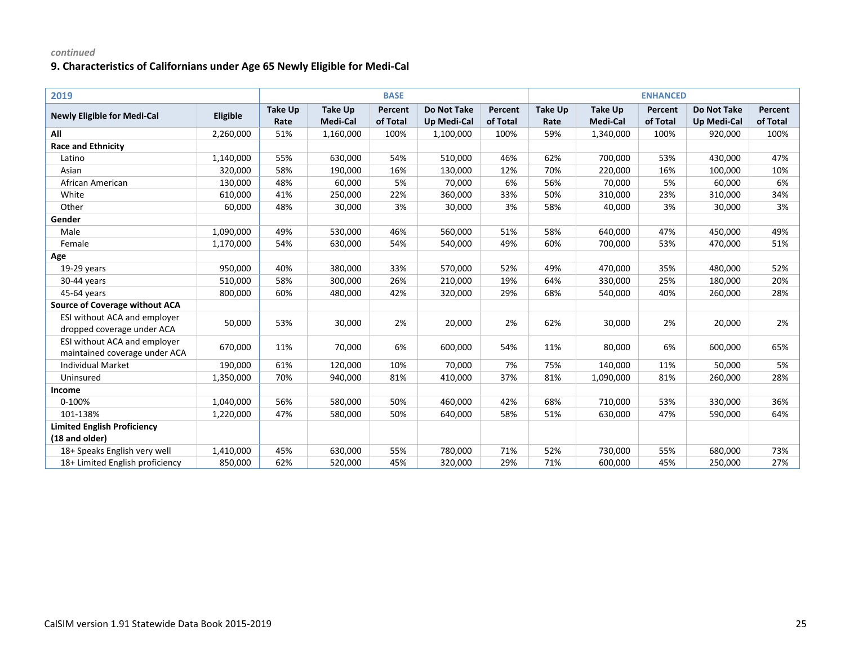| 2019                                                          |           |                        |                            | <b>BASE</b>         |                                          |                     | <b>ENHANCED</b>        |                            |                     |                                          |                     |
|---------------------------------------------------------------|-----------|------------------------|----------------------------|---------------------|------------------------------------------|---------------------|------------------------|----------------------------|---------------------|------------------------------------------|---------------------|
| <b>Newly Eligible for Medi-Cal</b>                            | Eligible  | <b>Take Up</b><br>Rate | <b>Take Up</b><br>Medi-Cal | Percent<br>of Total | <b>Do Not Take</b><br><b>Up Medi-Cal</b> | Percent<br>of Total | <b>Take Up</b><br>Rate | <b>Take Up</b><br>Medi-Cal | Percent<br>of Total | <b>Do Not Take</b><br><b>Up Medi-Cal</b> | Percent<br>of Total |
| All                                                           | 2,260,000 | 51%                    | 1,160,000                  | 100%                | 1,100,000                                | 100%                | 59%                    | 1,340,000                  | 100%                | 920,000                                  | 100%                |
| <b>Race and Ethnicity</b>                                     |           |                        |                            |                     |                                          |                     |                        |                            |                     |                                          |                     |
| Latino                                                        | 1,140,000 | 55%                    | 630,000                    | 54%                 | 510,000                                  | 46%                 | 62%                    | 700,000                    | 53%                 | 430,000                                  | 47%                 |
| Asian                                                         | 320,000   | 58%                    | 190,000                    | 16%                 | 130,000                                  | 12%                 | 70%                    | 220,000                    | 16%                 | 100,000                                  | 10%                 |
| African American                                              | 130,000   | 48%                    | 60,000                     | 5%                  | 70,000                                   | 6%                  | 56%                    | 70,000                     | 5%                  | 60,000                                   | 6%                  |
| White                                                         | 610,000   | 41%                    | 250,000                    | 22%                 | 360,000                                  | 33%                 | 50%                    | 310,000                    | 23%                 | 310,000                                  | 34%                 |
| Other                                                         | 60,000    | 48%                    | 30,000                     | 3%                  | 30,000                                   | 3%                  | 58%                    | 40,000                     | 3%                  | 30,000                                   | 3%                  |
| Gender                                                        |           |                        |                            |                     |                                          |                     |                        |                            |                     |                                          |                     |
| Male                                                          | 1,090,000 | 49%                    | 530,000                    | 46%                 | 560,000                                  | 51%                 | 58%                    | 640,000                    | 47%                 | 450,000                                  | 49%                 |
| Female                                                        | 1,170,000 | 54%                    | 630,000                    | 54%                 | 540,000                                  | 49%                 | 60%                    | 700,000                    | 53%                 | 470,000                                  | 51%                 |
| Age                                                           |           |                        |                            |                     |                                          |                     |                        |                            |                     |                                          |                     |
| 19-29 years                                                   | 950,000   | 40%                    | 380,000                    | 33%                 | 570,000                                  | 52%                 | 49%                    | 470,000                    | 35%                 | 480,000                                  | 52%                 |
| 30-44 years                                                   | 510,000   | 58%                    | 300,000                    | 26%                 | 210,000                                  | 19%                 | 64%                    | 330,000                    | 25%                 | 180,000                                  | 20%                 |
| 45-64 years                                                   | 800,000   | 60%                    | 480,000                    | 42%                 | 320,000                                  | 29%                 | 68%                    | 540,000                    | 40%                 | 260,000                                  | 28%                 |
| <b>Source of Coverage without ACA</b>                         |           |                        |                            |                     |                                          |                     |                        |                            |                     |                                          |                     |
| ESI without ACA and employer<br>dropped coverage under ACA    | 50,000    | 53%                    | 30,000                     | 2%                  | 20,000                                   | 2%                  | 62%                    | 30,000                     | 2%                  | 20,000                                   | 2%                  |
| ESI without ACA and employer<br>maintained coverage under ACA | 670,000   | 11%                    | 70,000                     | 6%                  | 600,000                                  | 54%                 | 11%                    | 80,000                     | 6%                  | 600,000                                  | 65%                 |
| <b>Individual Market</b>                                      | 190,000   | 61%                    | 120,000                    | 10%                 | 70,000                                   | 7%                  | 75%                    | 140,000                    | 11%                 | 50,000                                   | 5%                  |
| Uninsured                                                     | 1,350,000 | 70%                    | 940,000                    | 81%                 | 410,000                                  | 37%                 | 81%                    | 1,090,000                  | 81%                 | 260,000                                  | 28%                 |
| Income                                                        |           |                        |                            |                     |                                          |                     |                        |                            |                     |                                          |                     |
| 0-100%                                                        | 1,040,000 | 56%                    | 580,000                    | 50%                 | 460,000                                  | 42%                 | 68%                    | 710,000                    | 53%                 | 330,000                                  | 36%                 |
| 101-138%                                                      | 1,220,000 | 47%                    | 580,000                    | 50%                 | 640,000                                  | 58%                 | 51%                    | 630,000                    | 47%                 | 590,000                                  | 64%                 |
| <b>Limited English Proficiency</b>                            |           |                        |                            |                     |                                          |                     |                        |                            |                     |                                          |                     |
| (18 and older)                                                |           |                        |                            |                     |                                          |                     |                        |                            |                     |                                          |                     |
| 18+ Speaks English very well                                  | 1,410,000 | 45%                    | 630,000                    | 55%                 | 780,000                                  | 71%                 | 52%                    | 730,000                    | 55%                 | 680,000                                  | 73%                 |
| 18+ Limited English proficiency                               | 850,000   | 62%                    | 520,000                    | 45%                 | 320,000                                  | 29%                 | 71%                    | 600,000                    | 45%                 | 250,000                                  | 27%                 |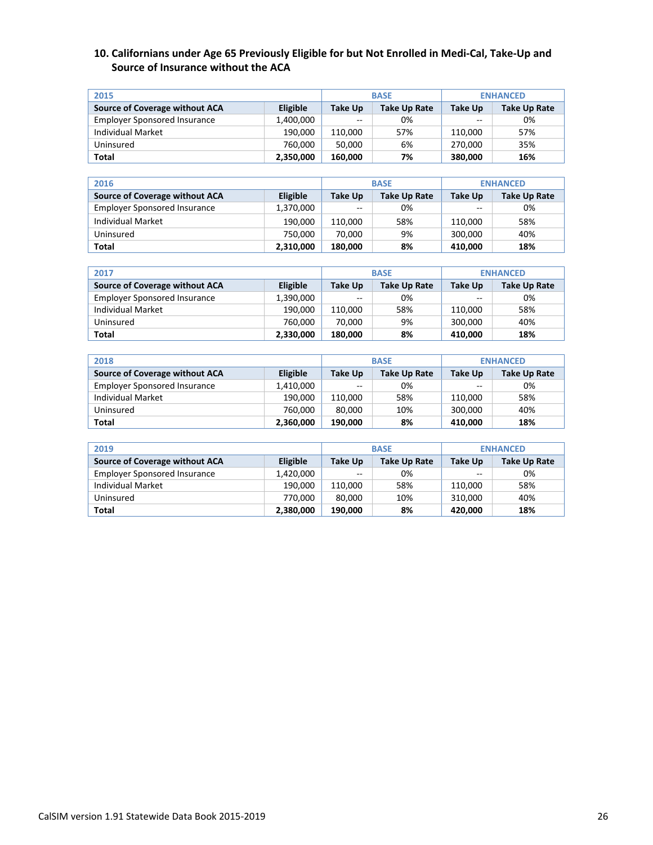### **10. Californians under Age 65 Previously Eligible for but Not Enrolled in Medi-Cal, Take-Up and Source of Insurance without the ACA**

| 2015                                |           |                | <b>BASE</b>  | <b>ENHANCED</b> |              |  |
|-------------------------------------|-----------|----------------|--------------|-----------------|--------------|--|
| Source of Coverage without ACA      | Eligible  | <b>Take Up</b> | Take Up Rate | Take Up         | Take Up Rate |  |
| <b>Employer Sponsored Insurance</b> | 1,400,000 | $-$            | 0%           | --              | 0%           |  |
| Individual Market                   | 190,000   | 110.000        | 57%          | 110,000         | 57%          |  |
| Uninsured                           | 760.000   | 50.000         | 6%           | 270.000         | 35%          |  |
| Total                               | 2,350,000 | 160.000        | 7%           | 380.000         | 16%          |  |

| 2016                                |           | <b>BASE</b>   | <b>ENHANCED</b>     |         |              |
|-------------------------------------|-----------|---------------|---------------------|---------|--------------|
| Source of Coverage without ACA      | Eligible  | Take Up       | <b>Take Up Rate</b> | Take Up | Take Up Rate |
| <b>Employer Sponsored Insurance</b> | 1,370,000 | $\sim$ $\sim$ | 0%                  | --      | 0%           |
| Individual Market                   | 190,000   | 110.000       | 58%                 | 110,000 | 58%          |
| Uninsured                           | 750,000   | 70.000        | 9%                  | 300,000 | 40%          |
| Total                               | 2,310,000 | 180,000       | 8%                  | 410,000 | 18%          |

| 2017                                |                 |                | <b>BASE</b>  | <b>ENHANCED</b> |              |  |
|-------------------------------------|-----------------|----------------|--------------|-----------------|--------------|--|
| Source of Coverage without ACA      | <b>Eligible</b> | <b>Take Up</b> | Take Up Rate | Take Up         | Take Up Rate |  |
| <b>Employer Sponsored Insurance</b> | 1,390,000       | $\sim$ $\sim$  | 0%           | --              | 0%           |  |
| Individual Market                   | 190.000         | 110.000        | 58%          | 110.000         | 58%          |  |
| Uninsured                           | 760.000         | 70.000         | 9%           | 300.000         | 40%          |  |
| Total                               | 2,330,000       | 180.000        | 8%           | 410.000         | 18%          |  |

| 2018                                |           |               | <b>BASE</b>  | <b>ENHANCED</b> |              |  |
|-------------------------------------|-----------|---------------|--------------|-----------------|--------------|--|
| Source of Coverage without ACA      | Eligible  | Take Up       | Take Up Rate | Take Up         | Take Up Rate |  |
| <b>Employer Sponsored Insurance</b> | 1,410,000 | $\sim$ $\sim$ | 0%           | $\sim$ $\sim$   | 0%           |  |
| Individual Market                   | 190,000   | 110.000       | 58%          | 110,000         | 58%          |  |
| Uninsured                           | 760.000   | 80.000        | 10%          | 300,000         | 40%          |  |
| <b>Total</b>                        | 2,360,000 | 190.000       | 8%           | 410,000         | 18%          |  |

| 2019                                |           |                          | <b>BASE</b>         | <b>ENHANCED</b> |              |  |
|-------------------------------------|-----------|--------------------------|---------------------|-----------------|--------------|--|
| Source of Coverage without ACA      | Eligible  | <b>Take Up</b>           | <b>Take Up Rate</b> | <b>Take Up</b>  | Take Up Rate |  |
| <b>Employer Sponsored Insurance</b> | 1,420,000 | $\overline{\phantom{m}}$ | 0%                  | $- -$           | 0%           |  |
| Individual Market                   | 190,000   | 110.000                  | 58%                 | 110,000         | 58%          |  |
| Uninsured                           | 770.000   | 80.000                   | 10%                 | 310,000         | 40%          |  |
| Total                               | 2,380,000 | 190.000                  | 8%                  | 420,000         | 18%          |  |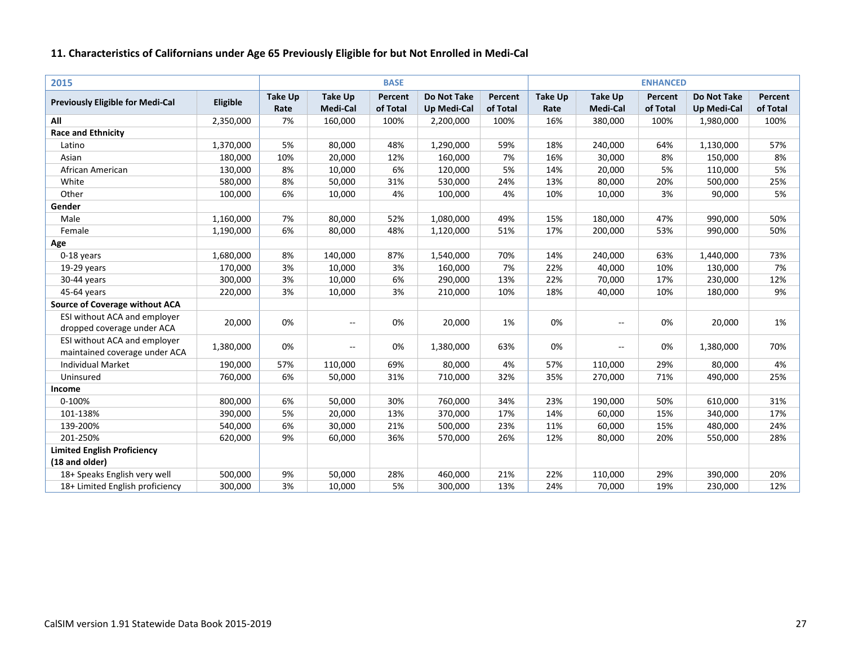| 2015                                    |           |                |                          | <b>BASE</b> |                    |          |                |                | <b>ENHANCED</b> |                    |          |
|-----------------------------------------|-----------|----------------|--------------------------|-------------|--------------------|----------|----------------|----------------|-----------------|--------------------|----------|
| <b>Previously Eligible for Medi-Cal</b> | Eligible  | <b>Take Up</b> | <b>Take Up</b>           | Percent     | <b>Do Not Take</b> | Percent  | <b>Take Up</b> | <b>Take Up</b> | Percent         | <b>Do Not Take</b> | Percent  |
|                                         |           | Rate           | Medi-Cal                 | of Total    | <b>Up Medi-Cal</b> | of Total | Rate           | Medi-Cal       | of Total        | <b>Up Medi-Cal</b> | of Total |
| All                                     | 2,350,000 | 7%             | 160,000                  | 100%        | 2,200,000          | 100%     | 16%            | 380,000        | 100%            | 1,980,000          | 100%     |
| <b>Race and Ethnicity</b>               |           |                |                          |             |                    |          |                |                |                 |                    |          |
| Latino                                  | 1,370,000 | 5%             | 80,000                   | 48%         | 1,290,000          | 59%      | 18%            | 240,000        | 64%             | 1,130,000          | 57%      |
| Asian                                   | 180,000   | 10%            | 20,000                   | 12%         | 160,000            | 7%       | 16%            | 30,000         | 8%              | 150,000            | 8%       |
| African American                        | 130,000   | 8%             | 10,000                   | 6%          | 120,000            | 5%       | 14%            | 20,000         | 5%              | 110,000            | 5%       |
| White                                   | 580,000   | 8%             | 50,000                   | 31%         | 530,000            | 24%      | 13%            | 80,000         | 20%             | 500,000            | 25%      |
| Other                                   | 100,000   | 6%             | 10,000                   | 4%          | 100,000            | 4%       | 10%            | 10,000         | 3%              | 90,000             | 5%       |
| Gender                                  |           |                |                          |             |                    |          |                |                |                 |                    |          |
| Male                                    | 1,160,000 | 7%             | 80,000                   | 52%         | 1,080,000          | 49%      | 15%            | 180,000        | 47%             | 990,000            | 50%      |
| Female                                  | 1,190,000 | 6%             | 80,000                   | 48%         | 1,120,000          | 51%      | 17%            | 200,000        | 53%             | 990,000            | 50%      |
| Age                                     |           |                |                          |             |                    |          |                |                |                 |                    |          |
| 0-18 years                              | 1,680,000 | 8%             | 140,000                  | 87%         | 1,540,000          | 70%      | 14%            | 240,000        | 63%             | 1,440,000          | 73%      |
| 19-29 years                             | 170,000   | 3%             | 10,000                   | 3%          | 160,000            | 7%       | 22%            | 40,000         | 10%             | 130,000            | 7%       |
| 30-44 years                             | 300,000   | 3%             | 10,000                   | 6%          | 290,000            | 13%      | 22%            | 70,000         | 17%             | 230,000            | 12%      |
| 45-64 years                             | 220,000   | 3%             | 10,000                   | 3%          | 210,000            | 10%      | 18%            | 40,000         | 10%             | 180,000            | 9%       |
| <b>Source of Coverage without ACA</b>   |           |                |                          |             |                    |          |                |                |                 |                    |          |
| ESI without ACA and employer            |           |                |                          |             |                    |          |                |                |                 |                    |          |
| dropped coverage under ACA              | 20,000    | 0%             | $\overline{\phantom{a}}$ | 0%          | 20,000             | 1%       | 0%             | $-$            | 0%              | 20,000             | 1%       |
| ESI without ACA and employer            |           |                |                          |             |                    |          | 0%             |                |                 |                    |          |
| maintained coverage under ACA           | 1,380,000 | 0%             | $\overline{\phantom{a}}$ | 0%          | 1,380,000          | 63%      |                | $-$            | 0%              | 1,380,000          | 70%      |
| <b>Individual Market</b>                | 190,000   | 57%            | 110,000                  | 69%         | 80,000             | 4%       | 57%            | 110,000        | 29%             | 80,000             | 4%       |
| Uninsured                               | 760,000   | 6%             | 50,000                   | 31%         | 710,000            | 32%      | 35%            | 270,000        | 71%             | 490,000            | 25%      |
| Income                                  |           |                |                          |             |                    |          |                |                |                 |                    |          |
| 0-100%                                  | 800,000   | 6%             | 50,000                   | 30%         | 760,000            | 34%      | 23%            | 190,000        | 50%             | 610,000            | 31%      |
| 101-138%                                | 390,000   | 5%             | 20,000                   | 13%         | 370,000            | 17%      | 14%            | 60,000         | 15%             | 340,000            | 17%      |
| 139-200%                                | 540,000   | 6%             | 30,000                   | 21%         | 500,000            | 23%      | 11%            | 60,000         | 15%             | 480,000            | 24%      |
| 201-250%                                | 620,000   | 9%             | 60,000                   | 36%         | 570,000            | 26%      | 12%            | 80,000         | 20%             | 550,000            | 28%      |
| <b>Limited English Proficiency</b>      |           |                |                          |             |                    |          |                |                |                 |                    |          |
| (18 and older)                          |           |                |                          |             |                    |          |                |                |                 |                    |          |
| 18+ Speaks English very well            | 500,000   | 9%             | 50,000                   | 28%         | 460,000            | 21%      | 22%            | 110,000        | 29%             | 390,000            | 20%      |
| 18+ Limited English proficiency         | 300,000   | 3%             | 10,000                   | 5%          | 300,000            | 13%      | 24%            | 70,000         | 19%             | 230,000            | 12%      |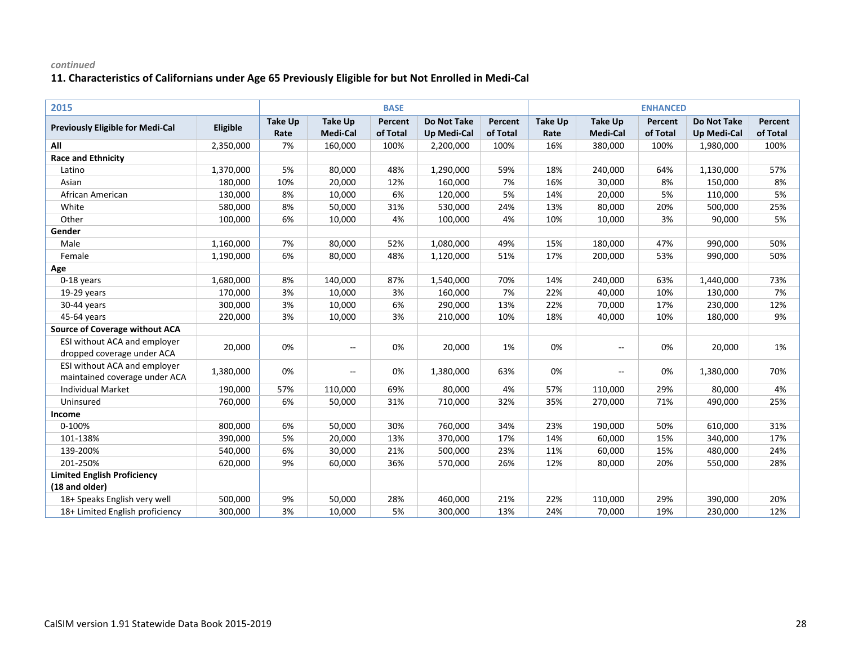| 2015                                    |           |                |                          | <b>BASE</b> |                    |          |                |                          | <b>ENHANCED</b> |                    |          |
|-----------------------------------------|-----------|----------------|--------------------------|-------------|--------------------|----------|----------------|--------------------------|-----------------|--------------------|----------|
|                                         |           | <b>Take Up</b> | <b>Take Up</b>           | Percent     | <b>Do Not Take</b> | Percent  | <b>Take Up</b> | <b>Take Up</b>           | Percent         | <b>Do Not Take</b> | Percent  |
| <b>Previously Eligible for Medi-Cal</b> | Eligible  | Rate           | Medi-Cal                 | of Total    | <b>Up Medi-Cal</b> | of Total | Rate           | Medi-Cal                 | of Total        | <b>Up Medi-Cal</b> | of Total |
| All                                     | 2,350,000 | 7%             | 160,000                  | 100%        | 2,200,000          | 100%     | 16%            | 380,000                  | 100%            | 1,980,000          | 100%     |
| <b>Race and Ethnicity</b>               |           |                |                          |             |                    |          |                |                          |                 |                    |          |
| Latino                                  | 1,370,000 | 5%             | 80,000                   | 48%         | 1,290,000          | 59%      | 18%            | 240,000                  | 64%             | 1,130,000          | 57%      |
| Asian                                   | 180,000   | 10%            | 20,000                   | 12%         | 160,000            | 7%       | 16%            | 30,000                   | 8%              | 150,000            | 8%       |
| African American                        | 130,000   | 8%             | 10,000                   | 6%          | 120,000            | 5%       | 14%            | 20,000                   | 5%              | 110,000            | 5%       |
| White                                   | 580,000   | 8%             | 50,000                   | 31%         | 530,000            | 24%      | 13%            | 80,000                   | 20%             | 500,000            | 25%      |
| Other                                   | 100,000   | 6%             | 10,000                   | 4%          | 100,000            | 4%       | 10%            | 10,000                   | 3%              | 90,000             | 5%       |
| Gender                                  |           |                |                          |             |                    |          |                |                          |                 |                    |          |
| Male                                    | 1,160,000 | 7%             | 80,000                   | 52%         | 1,080,000          | 49%      | 15%            | 180,000                  | 47%             | 990,000            | 50%      |
| Female                                  | 1,190,000 | 6%             | 80,000                   | 48%         | 1,120,000          | 51%      | 17%            | 200,000                  | 53%             | 990,000            | 50%      |
| Age                                     |           |                |                          |             |                    |          |                |                          |                 |                    |          |
| 0-18 years                              | 1,680,000 | 8%             | 140,000                  | 87%         | 1,540,000          | 70%      | 14%            | 240,000                  | 63%             | 1,440,000          | 73%      |
| 19-29 years                             | 170,000   | 3%             | 10,000                   | 3%          | 160,000            | 7%       | 22%            | 40,000                   | 10%             | 130,000            | 7%       |
| 30-44 years                             | 300,000   | 3%             | 10,000                   | 6%          | 290,000            | 13%      | 22%            | 70,000                   | 17%             | 230,000            | 12%      |
| 45-64 years                             | 220,000   | 3%             | 10,000                   | 3%          | 210,000            | 10%      | 18%            | 40,000                   | 10%             | 180,000            | 9%       |
| <b>Source of Coverage without ACA</b>   |           |                |                          |             |                    |          |                |                          |                 |                    |          |
| ESI without ACA and employer            | 20,000    | 0%             | $\overline{\phantom{a}}$ | 0%          | 20,000             | 1%       | 0%             | $\overline{\phantom{a}}$ | 0%              | 20,000             | 1%       |
| dropped coverage under ACA              |           |                |                          |             |                    |          |                |                          |                 |                    |          |
| ESI without ACA and employer            | 1,380,000 | 0%             | $\overline{\phantom{a}}$ | 0%          | 1,380,000          | 63%      | 0%             | $\overline{\phantom{a}}$ | 0%              | 1,380,000          | 70%      |
| maintained coverage under ACA           |           |                |                          |             |                    |          |                |                          |                 |                    |          |
| <b>Individual Market</b>                | 190,000   | 57%            | 110,000                  | 69%         | 80,000             | 4%       | 57%            | 110,000                  | 29%             | 80,000             | 4%       |
| Uninsured                               | 760,000   | 6%             | 50,000                   | 31%         | 710,000            | 32%      | 35%            | 270,000                  | 71%             | 490,000            | 25%      |
| Income                                  |           |                |                          |             |                    |          |                |                          |                 |                    |          |
| 0-100%                                  | 800,000   | 6%             | 50,000                   | 30%         | 760,000            | 34%      | 23%            | 190,000                  | 50%             | 610,000            | 31%      |
| 101-138%                                | 390,000   | 5%             | 20,000                   | 13%         | 370,000            | 17%      | 14%            | 60,000                   | 15%             | 340,000            | 17%      |
| 139-200%                                | 540,000   | 6%             | 30,000                   | 21%         | 500,000            | 23%      | 11%            | 60,000                   | 15%             | 480,000            | 24%      |
| 201-250%                                | 620,000   | 9%             | 60,000                   | 36%         | 570,000            | 26%      | 12%            | 80,000                   | 20%             | 550,000            | 28%      |
| <b>Limited English Proficiency</b>      |           |                |                          |             |                    |          |                |                          |                 |                    |          |
| (18 and older)                          |           |                |                          |             |                    |          |                |                          |                 |                    |          |
| 18+ Speaks English very well            | 500,000   | 9%             | 50,000                   | 28%         | 460,000            | 21%      | 22%            | 110,000                  | 29%             | 390,000            | 20%      |
| 18+ Limited English proficiency         | 300,000   | 3%             | 10,000                   | 5%          | 300,000            | 13%      | 24%            | 70,000                   | 19%             | 230,000            | 12%      |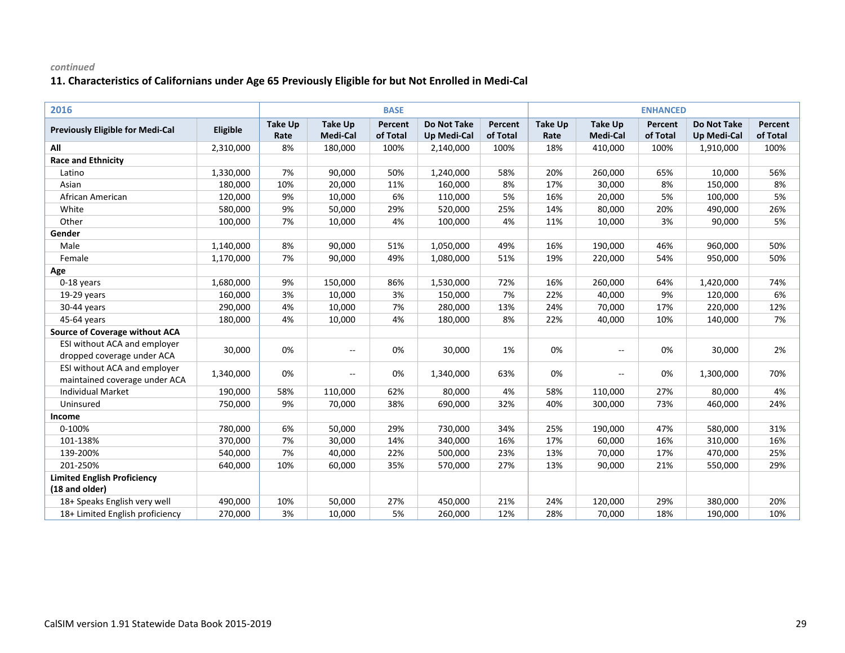| 2016                                    |           |                |                          | <b>BASE</b> |                    |          |                |                 | <b>ENHANCED</b> |                    |          |
|-----------------------------------------|-----------|----------------|--------------------------|-------------|--------------------|----------|----------------|-----------------|-----------------|--------------------|----------|
| <b>Previously Eligible for Medi-Cal</b> | Eligible  | <b>Take Up</b> | <b>Take Up</b>           | Percent     | <b>Do Not Take</b> | Percent  | <b>Take Up</b> | <b>Take Up</b>  | Percent         | <b>Do Not Take</b> | Percent  |
|                                         |           | Rate           | <b>Medi-Cal</b>          | of Total    | <b>Up Medi-Cal</b> | of Total | Rate           | <b>Medi-Cal</b> | of Total        | <b>Up Medi-Cal</b> | of Total |
| All                                     | 2,310,000 | 8%             | 180,000                  | 100%        | 2,140,000          | 100%     | 18%            | 410,000         | 100%            | 1,910,000          | 100%     |
| <b>Race and Ethnicity</b>               |           |                |                          |             |                    |          |                |                 |                 |                    |          |
| Latino                                  | 1,330,000 | 7%             | 90,000                   | 50%         | 1,240,000          | 58%      | 20%            | 260,000         | 65%             | 10,000             | 56%      |
| Asian                                   | 180,000   | 10%            | 20,000                   | 11%         | 160,000            | 8%       | 17%            | 30,000          | 8%              | 150,000            | 8%       |
| African American                        | 120,000   | 9%             | 10,000                   | 6%          | 110,000            | 5%       | 16%            | 20,000          | 5%              | 100,000            | 5%       |
| White                                   | 580,000   | 9%             | 50,000                   | 29%         | 520,000            | 25%      | 14%            | 80,000          | 20%             | 490,000            | 26%      |
| Other                                   | 100,000   | 7%             | 10,000                   | 4%          | 100,000            | 4%       | 11%            | 10,000          | 3%              | 90,000             | 5%       |
| Gender                                  |           |                |                          |             |                    |          |                |                 |                 |                    |          |
| Male                                    | 1,140,000 | 8%             | 90,000                   | 51%         | 1,050,000          | 49%      | 16%            | 190,000         | 46%             | 960,000            | 50%      |
| Female                                  | 1,170,000 | 7%             | 90,000                   | 49%         | 1,080,000          | 51%      | 19%            | 220,000         | 54%             | 950,000            | 50%      |
| Age                                     |           |                |                          |             |                    |          |                |                 |                 |                    |          |
| 0-18 years                              | 1,680,000 | 9%             | 150,000                  | 86%         | 1,530,000          | 72%      | 16%            | 260,000         | 64%             | 1,420,000          | 74%      |
| 19-29 years                             | 160,000   | 3%             | 10,000                   | 3%          | 150,000            | 7%       | 22%            | 40,000          | 9%              | 120,000            | 6%       |
| 30-44 years                             | 290,000   | 4%             | 10,000                   | 7%          | 280,000            | 13%      | 24%            | 70,000          | 17%             | 220,000            | 12%      |
| 45-64 years                             | 180,000   | 4%             | 10,000                   | 4%          | 180,000            | 8%       | 22%            | 40,000          | 10%             | 140,000            | 7%       |
| <b>Source of Coverage without ACA</b>   |           |                |                          |             |                    |          |                |                 |                 |                    |          |
| ESI without ACA and employer            |           | 0%             |                          |             |                    |          | 0%             |                 |                 |                    | 2%       |
| dropped coverage under ACA              | 30,000    |                | $\overline{\phantom{a}}$ | 0%          | 30,000             | 1%       |                | $-$             | 0%              | 30,000             |          |
| ESI without ACA and employer            | 1,340,000 | 0%             |                          | 0%          | 1,340,000          | 63%      | 0%             |                 | 0%              |                    | 70%      |
| maintained coverage under ACA           |           |                | $\overline{\phantom{a}}$ |             |                    |          |                | $- -$           |                 | 1,300,000          |          |
| <b>Individual Market</b>                | 190,000   | 58%            | 110,000                  | 62%         | 80,000             | 4%       | 58%            | 110,000         | 27%             | 80,000             | 4%       |
| Uninsured                               | 750,000   | 9%             | 70,000                   | 38%         | 690,000            | 32%      | 40%            | 300,000         | 73%             | 460,000            | 24%      |
| Income                                  |           |                |                          |             |                    |          |                |                 |                 |                    |          |
| 0-100%                                  | 780,000   | 6%             | 50,000                   | 29%         | 730,000            | 34%      | 25%            | 190,000         | 47%             | 580,000            | 31%      |
| 101-138%                                | 370,000   | 7%             | 30,000                   | 14%         | 340,000            | 16%      | 17%            | 60,000          | 16%             | 310,000            | 16%      |
| 139-200%                                | 540,000   | 7%             | 40,000                   | 22%         | 500,000            | 23%      | 13%            | 70,000          | 17%             | 470,000            | 25%      |
| 201-250%                                | 640,000   | 10%            | 60,000                   | 35%         | 570,000            | 27%      | 13%            | 90,000          | 21%             | 550,000            | 29%      |
| <b>Limited English Proficiency</b>      |           |                |                          |             |                    |          |                |                 |                 |                    |          |
| (18 and older)                          |           |                |                          |             |                    |          |                |                 |                 |                    |          |
| 18+ Speaks English very well            | 490,000   | 10%            | 50,000                   | 27%         | 450,000            | 21%      | 24%            | 120,000         | 29%             | 380,000            | 20%      |
| 18+ Limited English proficiency         | 270,000   | 3%             | 10,000                   | 5%          | 260,000            | 12%      | 28%            | 70,000          | 18%             | 190,000            | 10%      |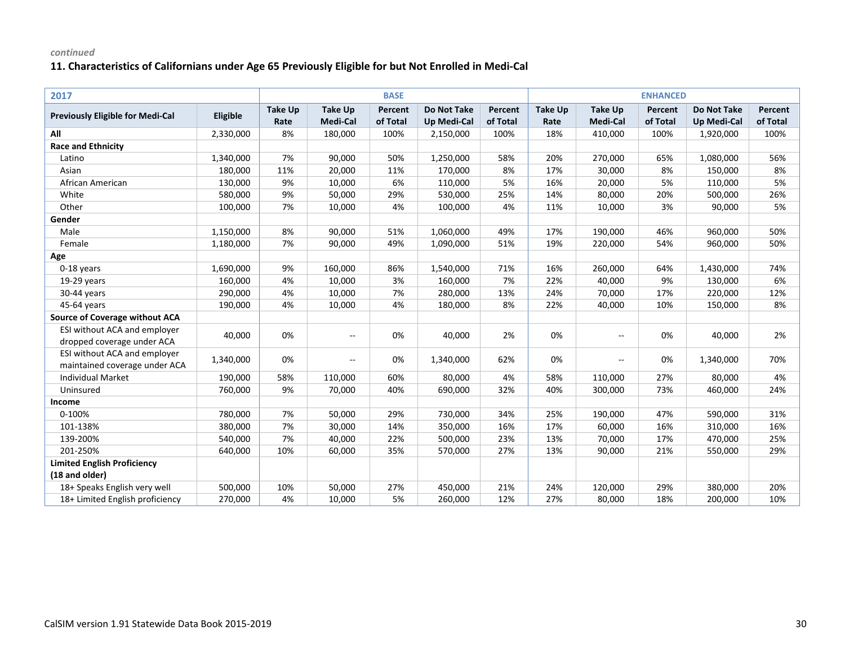| 2017                                                 |           |                        |                                   |                     |                                          |                     |                        |                                   | <b>ENHANCED</b>     |                                          |                     |
|------------------------------------------------------|-----------|------------------------|-----------------------------------|---------------------|------------------------------------------|---------------------|------------------------|-----------------------------------|---------------------|------------------------------------------|---------------------|
| <b>Previously Eligible for Medi-Cal</b>              | Eligible  | <b>Take Up</b><br>Rate | <b>Take Up</b><br><b>Medi-Cal</b> | Percent<br>of Total | <b>Do Not Take</b><br><b>Up Medi-Cal</b> | Percent<br>of Total | <b>Take Up</b><br>Rate | <b>Take Up</b><br><b>Medi-Cal</b> | Percent<br>of Total | <b>Do Not Take</b><br><b>Up Medi-Cal</b> | Percent<br>of Total |
| All                                                  | 2,330,000 | 8%                     | 180,000                           | 100%                | 2,150,000                                | 100%                | 18%                    | 410,000                           | 100%                | 1,920,000                                | 100%                |
| <b>Race and Ethnicity</b>                            |           |                        |                                   |                     |                                          |                     |                        |                                   |                     |                                          |                     |
| Latino                                               | 1,340,000 | 7%                     | 90,000                            | 50%                 | 1,250,000                                | 58%                 | 20%                    | 270,000                           | 65%                 | 1,080,000                                | 56%                 |
| Asian                                                | 180,000   | 11%                    | 20,000                            | 11%                 | 170,000                                  | 8%                  | 17%                    | 30,000                            | 8%                  | 150,000                                  | 8%                  |
| African American                                     | 130,000   | 9%                     | 10,000                            | 6%                  | 110,000                                  | 5%                  | 16%                    | 20,000                            | 5%                  | 110,000                                  | 5%                  |
| White                                                | 580,000   | 9%                     | 50,000                            | 29%                 | 530,000                                  | 25%                 | 14%                    | 80,000                            | 20%                 | 500,000                                  | 26%                 |
| Other                                                | 100,000   | 7%                     | 10,000                            | 4%                  | 100,000                                  | 4%                  | 11%                    | 10,000                            | 3%                  | 90,000                                   | 5%                  |
| Gender                                               |           |                        |                                   |                     |                                          |                     |                        |                                   |                     |                                          |                     |
| Male                                                 | 1,150,000 | 8%                     | 90,000                            | 51%                 | 1,060,000                                | 49%                 | 17%                    | 190,000                           | 46%                 | 960,000                                  | 50%                 |
| Female                                               | 1,180,000 | 7%                     | 90,000                            | 49%                 | 1,090,000                                | 51%                 | 19%                    | 220,000                           | 54%                 | 960,000                                  | 50%                 |
| Age                                                  |           |                        |                                   |                     |                                          |                     |                        |                                   |                     |                                          |                     |
| 0-18 years                                           | 1,690,000 | 9%                     | 160,000                           | 86%                 | 1,540,000                                | 71%                 | 16%                    | 260,000                           | 64%                 | 1,430,000                                | 74%                 |
| 19-29 years                                          | 160,000   | 4%                     | 10,000                            | 3%                  | 160,000                                  | 7%                  | 22%                    | 40,000                            | 9%                  | 130,000                                  | 6%                  |
| 30-44 years                                          | 290,000   | 4%                     | 10,000                            | 7%                  | 280,000                                  | 13%                 | 24%                    | 70,000                            | 17%                 | 220,000                                  | 12%                 |
| 45-64 years                                          | 190,000   | 4%                     | 10,000                            | 4%                  | 180,000                                  | 8%                  | 22%                    | 40,000                            | 10%                 | 150,000                                  | 8%                  |
| <b>Source of Coverage without ACA</b>                |           |                        |                                   |                     |                                          |                     |                        |                                   |                     |                                          |                     |
| ESI without ACA and employer                         |           |                        |                                   |                     |                                          |                     |                        |                                   |                     |                                          |                     |
| dropped coverage under ACA                           | 40,000    | 0%                     | $\overline{\phantom{a}}$          | 0%                  | 40,000                                   | 2%                  | 0%                     | $- -$                             | 0%                  | 40,000                                   | 2%                  |
| ESI without ACA and employer                         |           |                        |                                   |                     |                                          |                     | 0%                     |                                   | 0%                  |                                          | 70%                 |
| maintained coverage under ACA                        | 1,340,000 | 0%                     | $\overline{\phantom{a}}$          | 0%                  | 1,340,000                                | 62%                 |                        | $- -$                             |                     | 1,340,000                                |                     |
| Individual Market                                    | 190,000   | 58%                    | 110,000                           | 60%                 | 80,000                                   | 4%                  | 58%                    | 110,000                           | 27%                 | 80,000                                   | 4%                  |
| Uninsured                                            | 760,000   | 9%                     | 70,000                            | 40%                 | 690,000                                  | 32%                 | 40%                    | 300,000                           | 73%                 | 460,000                                  | 24%                 |
| Income                                               |           |                        |                                   |                     |                                          |                     |                        |                                   |                     |                                          |                     |
| 0-100%                                               | 780,000   | 7%                     | 50,000                            | 29%                 | 730,000                                  | 34%                 | 25%                    | 190,000                           | 47%                 | 590,000                                  | 31%                 |
| 101-138%                                             | 380,000   | 7%                     | 30,000                            | 14%                 | 350,000                                  | 16%                 | 17%                    | 60,000                            | 16%                 | 310,000                                  | 16%                 |
| 139-200%                                             | 540,000   | 7%                     | 40,000                            | 22%                 | 500,000                                  | 23%                 | 13%                    | 70,000                            | 17%                 | 470,000                                  | 25%                 |
| 201-250%                                             | 640,000   | 10%                    | 60,000                            | 35%                 | 570,000                                  | 27%                 | 13%                    | 90,000                            | 21%                 | 550,000                                  | 29%                 |
| <b>Limited English Proficiency</b><br>(18 and older) |           |                        |                                   |                     |                                          |                     |                        |                                   |                     |                                          |                     |
| 18+ Speaks English very well                         | 500,000   | 10%                    | 50,000                            | 27%                 | 450,000                                  | 21%                 | 24%                    | 120,000                           | 29%                 | 380,000                                  | 20%                 |
| 18+ Limited English proficiency                      | 270,000   | 4%                     | 10,000                            | 5%                  | 260,000                                  | 12%                 | 27%                    | 80,000                            | 18%                 | 200,000                                  | 10%                 |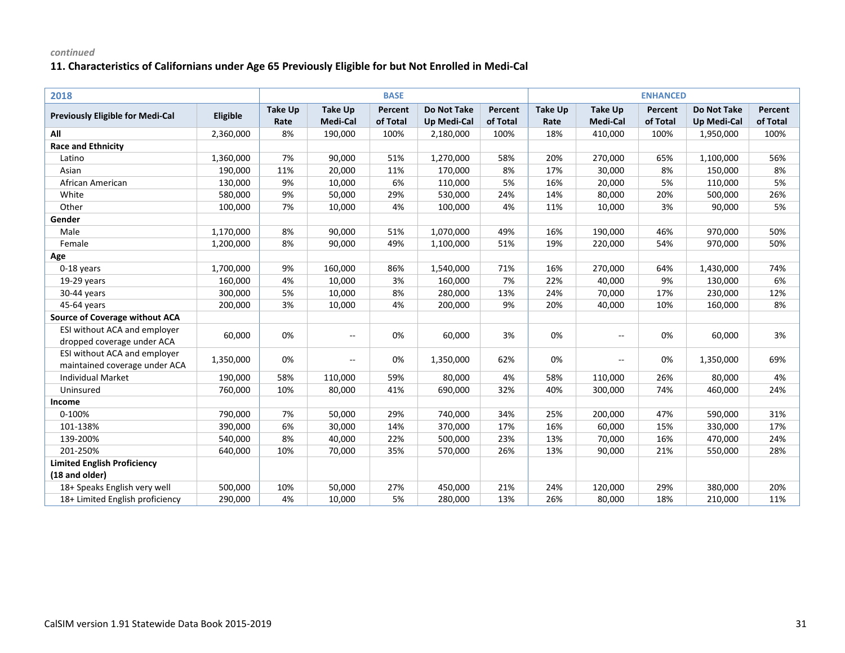| 2018                                                 |           |                        |                                   |                     |                                          |                     |                        |                                   | <b>ENHANCED</b>     |                                          |                     |
|------------------------------------------------------|-----------|------------------------|-----------------------------------|---------------------|------------------------------------------|---------------------|------------------------|-----------------------------------|---------------------|------------------------------------------|---------------------|
| <b>Previously Eligible for Medi-Cal</b>              | Eligible  | <b>Take Up</b><br>Rate | <b>Take Up</b><br><b>Medi-Cal</b> | Percent<br>of Total | <b>Do Not Take</b><br><b>Up Medi-Cal</b> | Percent<br>of Total | <b>Take Up</b><br>Rate | <b>Take Up</b><br><b>Medi-Cal</b> | Percent<br>of Total | <b>Do Not Take</b><br><b>Up Medi-Cal</b> | Percent<br>of Total |
| All                                                  | 2,360,000 | 8%                     | 190,000                           | 100%                | 2,180,000                                | 100%                | 18%                    | 410,000                           | 100%                | 1,950,000                                | 100%                |
| <b>Race and Ethnicity</b>                            |           |                        |                                   |                     |                                          |                     |                        |                                   |                     |                                          |                     |
| Latino                                               | 1,360,000 | 7%                     | 90,000                            | 51%                 | 1,270,000                                | 58%                 | 20%                    | 270,000                           | 65%                 | 1,100,000                                | 56%                 |
| Asian                                                | 190,000   | 11%                    | 20,000                            | 11%                 | 170,000                                  | 8%                  | 17%                    | 30,000                            | 8%                  | 150,000                                  | 8%                  |
| African American                                     | 130,000   | 9%                     | 10,000                            | 6%                  | 110,000                                  | 5%                  | 16%                    | 20,000                            | 5%                  | 110,000                                  | 5%                  |
| White                                                | 580,000   | 9%                     | 50,000                            | 29%                 | 530,000                                  | 24%                 | 14%                    | 80,000                            | 20%                 | 500,000                                  | 26%                 |
| Other                                                | 100,000   | 7%                     | 10,000                            | 4%                  | 100,000                                  | 4%                  | 11%                    | 10,000                            | 3%                  | 90,000                                   | 5%                  |
| Gender                                               |           |                        |                                   |                     |                                          |                     |                        |                                   |                     |                                          |                     |
| Male                                                 | 1,170,000 | 8%                     | 90,000                            | 51%                 | 1,070,000                                | 49%                 | 16%                    | 190,000                           | 46%                 | 970,000                                  | 50%                 |
| Female                                               | 1,200,000 | 8%                     | 90,000                            | 49%                 | 1,100,000                                | 51%                 | 19%                    | 220,000                           | 54%                 | 970,000                                  | 50%                 |
| Age                                                  |           |                        |                                   |                     |                                          |                     |                        |                                   |                     |                                          |                     |
| 0-18 years                                           | 1,700,000 | 9%                     | 160,000                           | 86%                 | 1,540,000                                | 71%                 | 16%                    | 270,000                           | 64%                 | 1,430,000                                | 74%                 |
| 19-29 years                                          | 160,000   | 4%                     | 10,000                            | 3%                  | 160,000                                  | 7%                  | 22%                    | 40,000                            | 9%                  | 130,000                                  | 6%                  |
| 30-44 years                                          | 300,000   | 5%                     | 10,000                            | 8%                  | 280,000                                  | 13%                 | 24%                    | 70,000                            | 17%                 | 230,000                                  | 12%                 |
| 45-64 years                                          | 200,000   | 3%                     | 10,000                            | 4%                  | 200,000                                  | 9%                  | 20%                    | 40,000                            | 10%                 | 160,000                                  | 8%                  |
| <b>Source of Coverage without ACA</b>                |           |                        |                                   |                     |                                          |                     |                        |                                   |                     |                                          |                     |
| ESI without ACA and employer                         |           | 0%                     |                                   | 0%                  | 60,000                                   | 3%                  | 0%                     |                                   | 0%                  |                                          | 3%                  |
| dropped coverage under ACA                           | 60,000    |                        | $\overline{\phantom{a}}$          |                     |                                          |                     |                        | $- -$                             |                     | 60,000                                   |                     |
| ESI without ACA and employer                         | 1,350,000 | 0%                     | $\overline{\phantom{a}}$          | 0%                  | 1,350,000                                | 62%                 | 0%                     | $- -$                             | 0%                  | 1,350,000                                | 69%                 |
| maintained coverage under ACA                        |           |                        |                                   |                     |                                          |                     |                        |                                   |                     |                                          |                     |
| Individual Market                                    | 190,000   | 58%                    | 110,000                           | 59%                 | 80,000                                   | 4%                  | 58%                    | 110,000                           | 26%                 | 80,000                                   | 4%                  |
| Uninsured                                            | 760,000   | 10%                    | 80,000                            | 41%                 | 690,000                                  | 32%                 | 40%                    | 300,000                           | 74%                 | 460,000                                  | 24%                 |
| Income                                               |           |                        |                                   |                     |                                          |                     |                        |                                   |                     |                                          |                     |
| 0-100%                                               | 790,000   | 7%                     | 50,000                            | 29%                 | 740,000                                  | 34%                 | 25%                    | 200,000                           | 47%                 | 590,000                                  | 31%                 |
| 101-138%                                             | 390,000   | 6%                     | 30,000                            | 14%                 | 370,000                                  | 17%                 | 16%                    | 60,000                            | 15%                 | 330,000                                  | 17%                 |
| 139-200%                                             | 540,000   | 8%                     | 40,000                            | 22%                 | 500,000                                  | 23%                 | 13%                    | 70,000                            | 16%                 | 470,000                                  | 24%                 |
| 201-250%                                             | 640,000   | 10%                    | 70,000                            | 35%                 | 570,000                                  | 26%                 | 13%                    | 90,000                            | 21%                 | 550,000                                  | 28%                 |
| <b>Limited English Proficiency</b><br>(18 and older) |           |                        |                                   |                     |                                          |                     |                        |                                   |                     |                                          |                     |
| 18+ Speaks English very well                         | 500,000   | 10%                    | 50,000                            | 27%                 | 450,000                                  | 21%                 | 24%                    | 120,000                           | 29%                 | 380,000                                  | 20%                 |
| 18+ Limited English proficiency                      | 290,000   | 4%                     | 10,000                            | 5%                  | 280,000                                  | 13%                 | 26%                    | 80,000                            | 18%                 | 210,000                                  | 11%                 |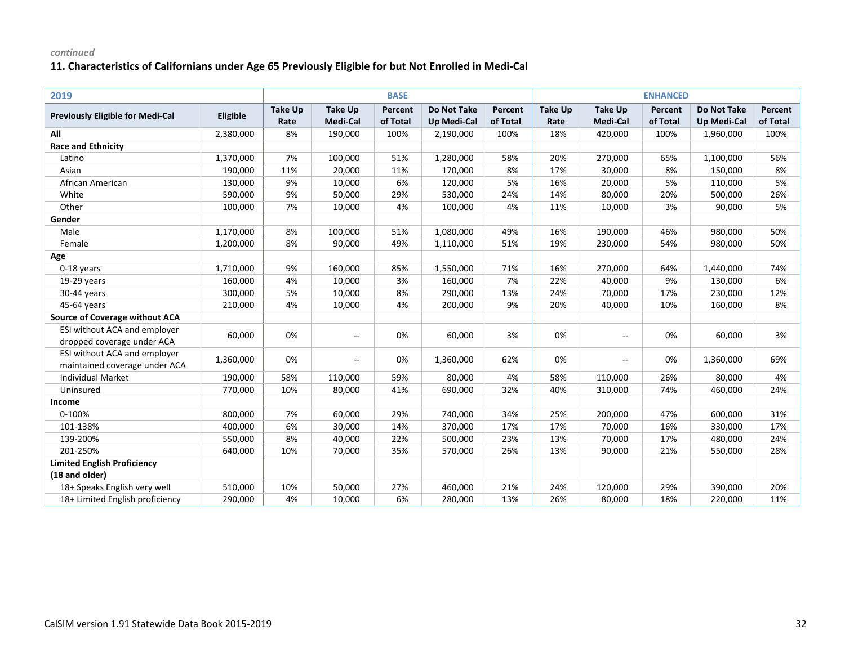| 2019                                    |           |                |                          | <b>BASE</b> |                    |          |                |                          | <b>ENHANCED</b> |                    |          |
|-----------------------------------------|-----------|----------------|--------------------------|-------------|--------------------|----------|----------------|--------------------------|-----------------|--------------------|----------|
| <b>Previously Eligible for Medi-Cal</b> | Eligible  | <b>Take Up</b> | <b>Take Up</b>           | Percent     | <b>Do Not Take</b> | Percent  | <b>Take Up</b> | <b>Take Up</b>           | Percent         | <b>Do Not Take</b> | Percent  |
|                                         |           | Rate           | Medi-Cal                 | of Total    | <b>Up Medi-Cal</b> | of Total | Rate           | Medi-Cal                 | of Total        | <b>Up Medi-Cal</b> | of Total |
| All                                     | 2,380,000 | 8%             | 190,000                  | 100%        | 2,190,000          | 100%     | 18%            | 420,000                  | 100%            | 1,960,000          | 100%     |
| <b>Race and Ethnicity</b>               |           |                |                          |             |                    |          |                |                          |                 |                    |          |
| Latino                                  | 1,370,000 | 7%             | 100,000                  | 51%         | 1,280,000          | 58%      | 20%            | 270,000                  | 65%             | 1,100,000          | 56%      |
| Asian                                   | 190,000   | 11%            | 20,000                   | 11%         | 170,000            | 8%       | 17%            | 30,000                   | 8%              | 150,000            | 8%       |
| African American                        | 130,000   | 9%             | 10,000                   | 6%          | 120,000            | 5%       | 16%            | 20,000                   | 5%              | 110,000            | 5%       |
| White                                   | 590,000   | 9%             | 50,000                   | 29%         | 530,000            | 24%      | 14%            | 80,000                   | 20%             | 500,000            | 26%      |
| Other                                   | 100,000   | 7%             | 10,000                   | 4%          | 100,000            | 4%       | 11%            | 10,000                   | 3%              | 90,000             | 5%       |
| Gender                                  |           |                |                          |             |                    |          |                |                          |                 |                    |          |
| Male                                    | 1,170,000 | 8%             | 100,000                  | 51%         | 1,080,000          | 49%      | 16%            | 190,000                  | 46%             | 980,000            | 50%      |
| Female                                  | 1,200,000 | 8%             | 90,000                   | 49%         | 1,110,000          | 51%      | 19%            | 230,000                  | 54%             | 980,000            | 50%      |
| Age                                     |           |                |                          |             |                    |          |                |                          |                 |                    |          |
| 0-18 years                              | 1,710,000 | 9%             | 160,000                  | 85%         | 1,550,000          | 71%      | 16%            | 270,000                  | 64%             | 1,440,000          | 74%      |
| $19-29$ years                           | 160,000   | 4%             | 10,000                   | 3%          | 160,000            | 7%       | 22%            | 40,000                   | 9%              | 130,000            | 6%       |
| 30-44 years                             | 300,000   | 5%             | 10,000                   | 8%          | 290,000            | 13%      | 24%            | 70,000                   | 17%             | 230,000            | 12%      |
| 45-64 years                             | 210,000   | 4%             | 10,000                   | 4%          | 200,000            | 9%       | 20%            | 40,000                   | 10%             | 160,000            | 8%       |
| <b>Source of Coverage without ACA</b>   |           |                |                          |             |                    |          |                |                          |                 |                    |          |
| ESI without ACA and employer            |           | 0%             |                          | 0%          | 60,000             | 3%       | 0%             |                          | 0%              | 60,000             | 3%       |
| dropped coverage under ACA              | 60,000    |                | $\overline{\phantom{a}}$ |             |                    |          |                | $- -$                    |                 |                    |          |
| ESI without ACA and employer            |           | 0%             |                          | 0%          |                    | 62%      | 0%             | $\overline{\phantom{a}}$ | 0%              |                    | 69%      |
| maintained coverage under ACA           | 1,360,000 |                | --                       |             | 1,360,000          |          |                |                          |                 | 1,360,000          |          |
| <b>Individual Market</b>                | 190,000   | 58%            | 110,000                  | 59%         | 80,000             | 4%       | 58%            | 110,000                  | 26%             | 80,000             | 4%       |
| Uninsured                               | 770,000   | 10%            | 80,000                   | 41%         | 690,000            | 32%      | 40%            | 310,000                  | 74%             | 460,000            | 24%      |
| Income                                  |           |                |                          |             |                    |          |                |                          |                 |                    |          |
| 0-100%                                  | 800,000   | 7%             | 60,000                   | 29%         | 740,000            | 34%      | 25%            | 200,000                  | 47%             | 600,000            | 31%      |
| 101-138%                                | 400,000   | 6%             | 30,000                   | 14%         | 370,000            | 17%      | 17%            | 70,000                   | 16%             | 330,000            | 17%      |
| 139-200%                                | 550,000   | 8%             | 40,000                   | 22%         | 500,000            | 23%      | 13%            | 70,000                   | 17%             | 480,000            | 24%      |
| 201-250%                                | 640,000   | 10%            | 70,000                   | 35%         | 570,000            | 26%      | 13%            | 90,000                   | 21%             | 550,000            | 28%      |
| <b>Limited English Proficiency</b>      |           |                |                          |             |                    |          |                |                          |                 |                    |          |
| (18 and older)                          |           |                |                          |             |                    |          |                |                          |                 |                    |          |
| 18+ Speaks English very well            | 510,000   | 10%            | 50,000                   | 27%         | 460,000            | 21%      | 24%            | 120,000                  | 29%             | 390,000            | 20%      |
| 18+ Limited English proficiency         | 290,000   | 4%             | 10,000                   | 6%          | 280,000            | 13%      | 26%            | 80,000                   | 18%             | 220,000            | 11%      |